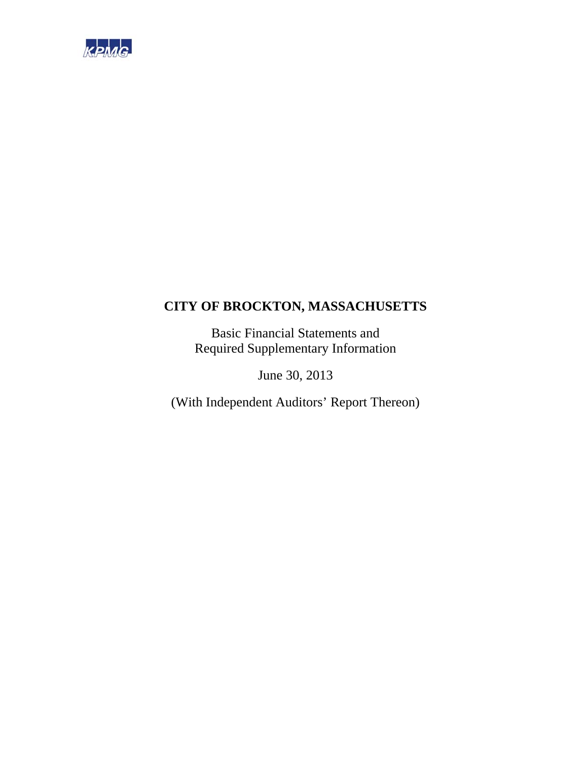

Basic Financial Statements and Required Supplementary Information

June 30, 2013

(With Independent Auditors' Report Thereon)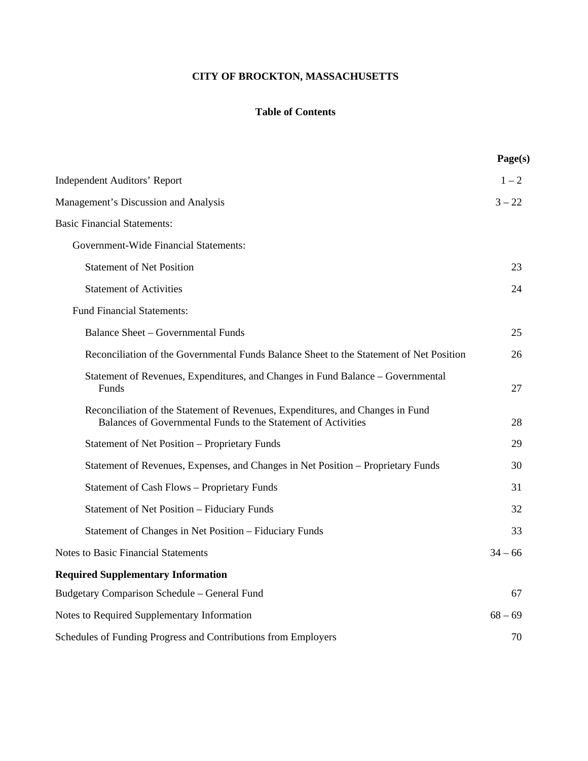## **Table of Contents**

|                                                                                                                                                 | Page(s)   |
|-------------------------------------------------------------------------------------------------------------------------------------------------|-----------|
| <b>Independent Auditors' Report</b>                                                                                                             | $1 - 2$   |
| Management's Discussion and Analysis                                                                                                            | $3 - 22$  |
| <b>Basic Financial Statements:</b>                                                                                                              |           |
| Government-Wide Financial Statements:                                                                                                           |           |
| <b>Statement of Net Position</b>                                                                                                                | 23        |
| <b>Statement of Activities</b>                                                                                                                  | 24        |
| <b>Fund Financial Statements:</b>                                                                                                               |           |
| <b>Balance Sheet - Governmental Funds</b>                                                                                                       | 25        |
| Reconciliation of the Governmental Funds Balance Sheet to the Statement of Net Position                                                         | 26        |
| Statement of Revenues, Expenditures, and Changes in Fund Balance – Governmental<br>Funds                                                        | 27        |
| Reconciliation of the Statement of Revenues, Expenditures, and Changes in Fund<br>Balances of Governmental Funds to the Statement of Activities | 28        |
| Statement of Net Position - Proprietary Funds                                                                                                   | 29        |
| Statement of Revenues, Expenses, and Changes in Net Position – Proprietary Funds                                                                | 30        |
| <b>Statement of Cash Flows - Proprietary Funds</b>                                                                                              | 31        |
| <b>Statement of Net Position - Fiduciary Funds</b>                                                                                              | 32        |
| Statement of Changes in Net Position - Fiduciary Funds                                                                                          | 33        |
| <b>Notes to Basic Financial Statements</b>                                                                                                      | $34 - 66$ |
| <b>Required Supplementary Information</b>                                                                                                       |           |
| Budgetary Comparison Schedule - General Fund                                                                                                    | 67        |
| Notes to Required Supplementary Information                                                                                                     | $68 - 69$ |
| Schedules of Funding Progress and Contributions from Employers                                                                                  | 70        |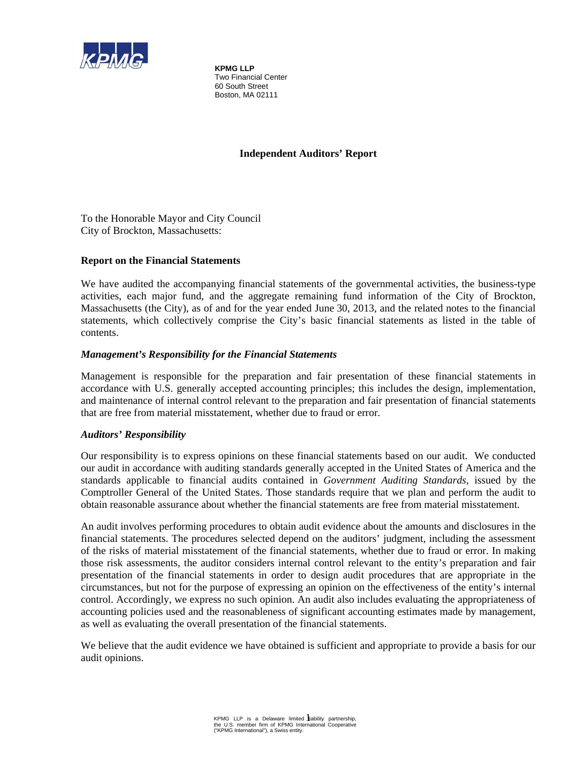

**KPMG LLP**  Two Financial Center 60 South Street Boston, MA 02111

**Independent Auditors' Report** 

To the Honorable Mayor and City Council City of Brockton, Massachusetts:

## **Report on the Financial Statements**

We have audited the accompanying financial statements of the governmental activities, the business-type activities, each major fund, and the aggregate remaining fund information of the City of Brockton, Massachusetts (the City), as of and for the year ended June 30, 2013, and the related notes to the financial statements, which collectively comprise the City's basic financial statements as listed in the table of contents.

## *Management's Responsibility for the Financial Statements*

Management is responsible for the preparation and fair presentation of these financial statements in accordance with U.S. generally accepted accounting principles; this includes the design, implementation, and maintenance of internal control relevant to the preparation and fair presentation of financial statements that are free from material misstatement, whether due to fraud or error.

## *Auditors' Responsibility*

Our responsibility is to express opinions on these financial statements based on our audit. We conducted our audit in accordance with auditing standards generally accepted in the United States of America and the standards applicable to financial audits contained in *Government Auditing Standards*, issued by the Comptroller General of the United States. Those standards require that we plan and perform the audit to obtain reasonable assurance about whether the financial statements are free from material misstatement.

An audit involves performing procedures to obtain audit evidence about the amounts and disclosures in the financial statements. The procedures selected depend on the auditors' judgment, including the assessment of the risks of material misstatement of the financial statements, whether due to fraud or error. In making those risk assessments, the auditor considers internal control relevant to the entity's preparation and fair presentation of the financial statements in order to design audit procedures that are appropriate in the circumstances, but not for the purpose of expressing an opinion on the effectiveness of the entity's internal control. Accordingly, we express no such opinion. An audit also includes evaluating the appropriateness of accounting policies used and the reasonableness of significant accounting estimates made by management, as well as evaluating the overall presentation of the financial statements.

We believe that the audit evidence we have obtained is sufficient and appropriate to provide a basis for our audit opinions.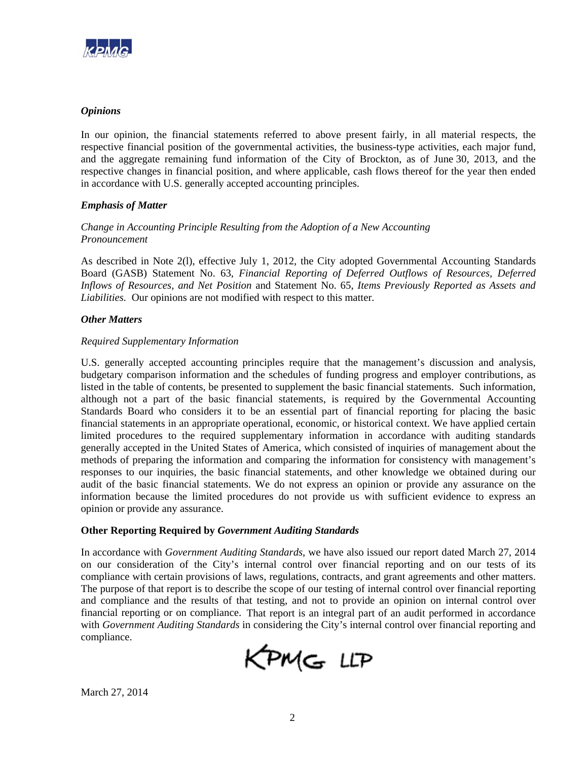

## *Opinions*

In our opinion, the financial statements referred to above present fairly, in all material respects, the respective financial position of the governmental activities, the business-type activities, each major fund, and the aggregate remaining fund information of the City of Brockton, as of June 30, 2013, and the respective changes in financial position, and where applicable, cash flows thereof for the year then ended in accordance with U.S. generally accepted accounting principles.

## *Emphasis of Matter*

*Change in Accounting Principle Resulting from the Adoption of a New Accounting Pronouncement*

As described in Note 2(l), effective July 1, 2012, the City adopted Governmental Accounting Standards Board (GASB) Statement No. 63, *Financial Reporting of Deferred Outflows of Resources, Deferred Inflows of Resources, and Net Position* and Statement No. 65, *Items Previously Reported as Assets and Liabilities.* Our opinions are not modified with respect to this matter.

## *Other Matters*

## *Required Supplementary Information*

U.S. generally accepted accounting principles require that the management's discussion and analysis, budgetary comparison information and the schedules of funding progress and employer contributions, as listed in the table of contents, be presented to supplement the basic financial statements. Such information, although not a part of the basic financial statements, is required by the Governmental Accounting Standards Board who considers it to be an essential part of financial reporting for placing the basic financial statements in an appropriate operational, economic, or historical context. We have applied certain limited procedures to the required supplementary information in accordance with auditing standards generally accepted in the United States of America, which consisted of inquiries of management about the methods of preparing the information and comparing the information for consistency with management's responses to our inquiries, the basic financial statements, and other knowledge we obtained during our audit of the basic financial statements. We do not express an opinion or provide any assurance on the information because the limited procedures do not provide us with sufficient evidence to express an opinion or provide any assurance.

## **Other Reporting Required by** *Government Auditing Standards*

In accordance with *Government Auditing Standards*, we have also issued our report dated March 27, 2014 on our consideration of the City's internal control over financial reporting and on our tests of its compliance with certain provisions of laws, regulations, contracts, and grant agreements and other matters. The purpose of that report is to describe the scope of our testing of internal control over financial reporting and compliance and the results of that testing, and not to provide an opinion on internal control over financial reporting or on compliance. That report is an integral part of an audit performed in accordance with *Government Auditing Standards* in considering the City's internal control over financial reporting and compliance.

KPMG LLP

March 27, 2014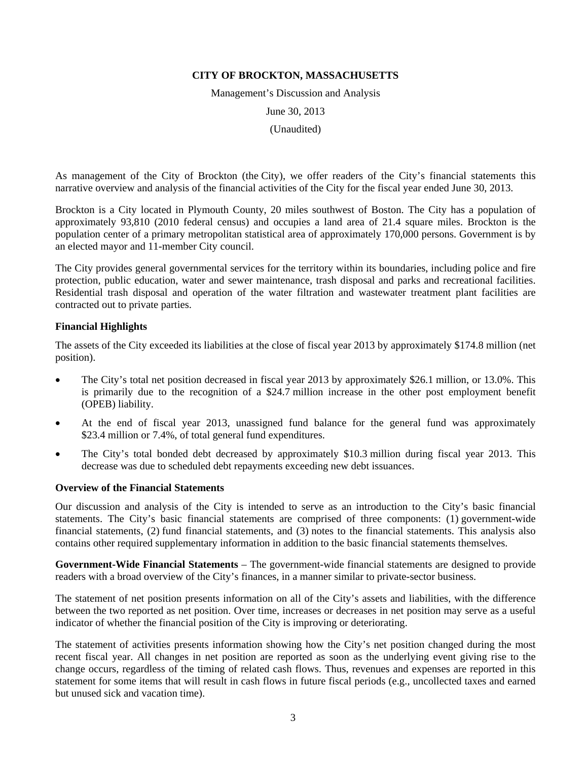Management's Discussion and Analysis

June 30, 2013

(Unaudited)

As management of the City of Brockton (the City), we offer readers of the City's financial statements this narrative overview and analysis of the financial activities of the City for the fiscal year ended June 30, 2013.

Brockton is a City located in Plymouth County, 20 miles southwest of Boston. The City has a population of approximately 93,810 (2010 federal census) and occupies a land area of 21.4 square miles. Brockton is the population center of a primary metropolitan statistical area of approximately 170,000 persons. Government is by an elected mayor and 11-member City council.

The City provides general governmental services for the territory within its boundaries, including police and fire protection, public education, water and sewer maintenance, trash disposal and parks and recreational facilities. Residential trash disposal and operation of the water filtration and wastewater treatment plant facilities are contracted out to private parties.

## **Financial Highlights**

The assets of the City exceeded its liabilities at the close of fiscal year 2013 by approximately \$174.8 million (net position).

- The City's total net position decreased in fiscal year 2013 by approximately \$26.1 million, or 13.0%. This is primarily due to the recognition of a \$24.7 million increase in the other post employment benefit (OPEB) liability.
- At the end of fiscal year 2013, unassigned fund balance for the general fund was approximately \$23.4 million or 7.4%, of total general fund expenditures.
- The City's total bonded debt decreased by approximately \$10.3 million during fiscal year 2013. This decrease was due to scheduled debt repayments exceeding new debt issuances.

#### **Overview of the Financial Statements**

Our discussion and analysis of the City is intended to serve as an introduction to the City's basic financial statements. The City's basic financial statements are comprised of three components: (1) government-wide financial statements, (2) fund financial statements, and (3) notes to the financial statements. This analysis also contains other required supplementary information in addition to the basic financial statements themselves.

**Government-Wide Financial Statements** – The government-wide financial statements are designed to provide readers with a broad overview of the City's finances, in a manner similar to private-sector business.

The statement of net position presents information on all of the City's assets and liabilities, with the difference between the two reported as net position. Over time, increases or decreases in net position may serve as a useful indicator of whether the financial position of the City is improving or deteriorating.

The statement of activities presents information showing how the City's net position changed during the most recent fiscal year. All changes in net position are reported as soon as the underlying event giving rise to the change occurs, regardless of the timing of related cash flows. Thus, revenues and expenses are reported in this statement for some items that will result in cash flows in future fiscal periods (e.g., uncollected taxes and earned but unused sick and vacation time).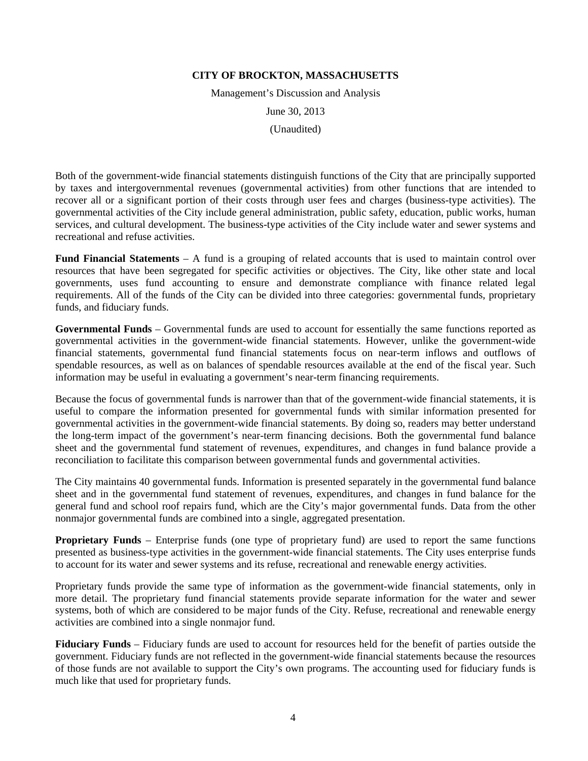Management's Discussion and Analysis

June 30, 2013

(Unaudited)

Both of the government-wide financial statements distinguish functions of the City that are principally supported by taxes and intergovernmental revenues (governmental activities) from other functions that are intended to recover all or a significant portion of their costs through user fees and charges (business-type activities). The governmental activities of the City include general administration, public safety, education, public works, human services, and cultural development. The business-type activities of the City include water and sewer systems and recreational and refuse activities.

**Fund Financial Statements** – A fund is a grouping of related accounts that is used to maintain control over resources that have been segregated for specific activities or objectives. The City, like other state and local governments, uses fund accounting to ensure and demonstrate compliance with finance related legal requirements. All of the funds of the City can be divided into three categories: governmental funds, proprietary funds, and fiduciary funds.

**Governmental Funds** – Governmental funds are used to account for essentially the same functions reported as governmental activities in the government-wide financial statements. However, unlike the government-wide financial statements, governmental fund financial statements focus on near-term inflows and outflows of spendable resources, as well as on balances of spendable resources available at the end of the fiscal year. Such information may be useful in evaluating a government's near-term financing requirements.

Because the focus of governmental funds is narrower than that of the government-wide financial statements, it is useful to compare the information presented for governmental funds with similar information presented for governmental activities in the government-wide financial statements. By doing so, readers may better understand the long-term impact of the government's near-term financing decisions. Both the governmental fund balance sheet and the governmental fund statement of revenues, expenditures, and changes in fund balance provide a reconciliation to facilitate this comparison between governmental funds and governmental activities.

The City maintains 40 governmental funds. Information is presented separately in the governmental fund balance sheet and in the governmental fund statement of revenues, expenditures, and changes in fund balance for the general fund and school roof repairs fund, which are the City's major governmental funds. Data from the other nonmajor governmental funds are combined into a single, aggregated presentation.

**Proprietary Funds** – Enterprise funds (one type of proprietary fund) are used to report the same functions presented as business-type activities in the government-wide financial statements. The City uses enterprise funds to account for its water and sewer systems and its refuse, recreational and renewable energy activities.

Proprietary funds provide the same type of information as the government-wide financial statements, only in more detail. The proprietary fund financial statements provide separate information for the water and sewer systems, both of which are considered to be major funds of the City. Refuse, recreational and renewable energy activities are combined into a single nonmajor fund.

**Fiduciary Funds** – Fiduciary funds are used to account for resources held for the benefit of parties outside the government. Fiduciary funds are not reflected in the government-wide financial statements because the resources of those funds are not available to support the City's own programs. The accounting used for fiduciary funds is much like that used for proprietary funds.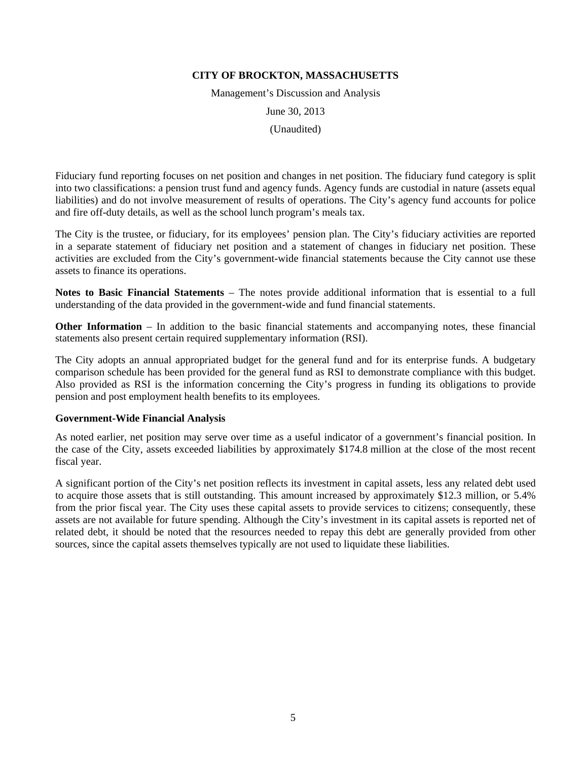Management's Discussion and Analysis

June 30, 2013

(Unaudited)

Fiduciary fund reporting focuses on net position and changes in net position. The fiduciary fund category is split into two classifications: a pension trust fund and agency funds. Agency funds are custodial in nature (assets equal liabilities) and do not involve measurement of results of operations. The City's agency fund accounts for police and fire off-duty details, as well as the school lunch program's meals tax.

The City is the trustee, or fiduciary, for its employees' pension plan. The City's fiduciary activities are reported in a separate statement of fiduciary net position and a statement of changes in fiduciary net position. These activities are excluded from the City's government-wide financial statements because the City cannot use these assets to finance its operations.

**Notes to Basic Financial Statements** – The notes provide additional information that is essential to a full understanding of the data provided in the government-wide and fund financial statements.

**Other Information** – In addition to the basic financial statements and accompanying notes, these financial statements also present certain required supplementary information (RSI).

The City adopts an annual appropriated budget for the general fund and for its enterprise funds. A budgetary comparison schedule has been provided for the general fund as RSI to demonstrate compliance with this budget. Also provided as RSI is the information concerning the City's progress in funding its obligations to provide pension and post employment health benefits to its employees.

#### **Government-Wide Financial Analysis**

As noted earlier, net position may serve over time as a useful indicator of a government's financial position. In the case of the City, assets exceeded liabilities by approximately \$174.8 million at the close of the most recent fiscal year.

A significant portion of the City's net position reflects its investment in capital assets, less any related debt used to acquire those assets that is still outstanding. This amount increased by approximately \$12.3 million, or 5.4% from the prior fiscal year. The City uses these capital assets to provide services to citizens; consequently, these assets are not available for future spending. Although the City's investment in its capital assets is reported net of related debt, it should be noted that the resources needed to repay this debt are generally provided from other sources, since the capital assets themselves typically are not used to liquidate these liabilities.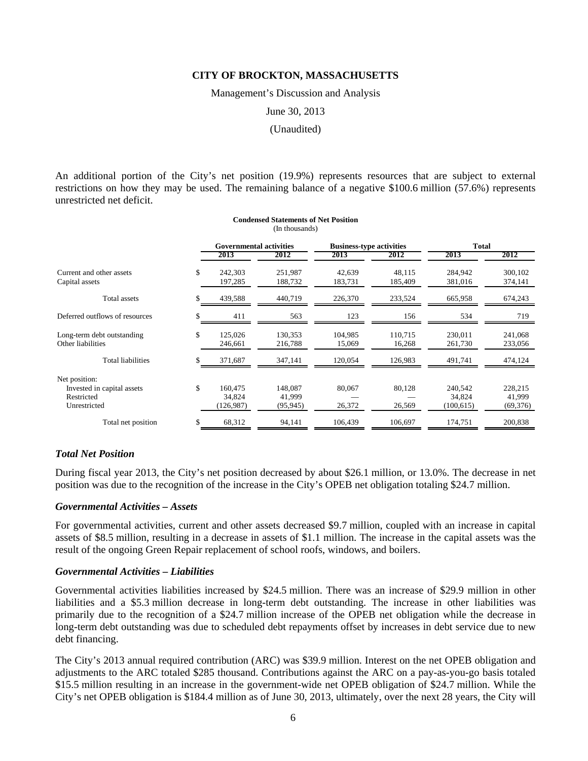Management's Discussion and Analysis

June 30, 2013

#### (Unaudited)

An additional portion of the City's net position (19.9%) represents resources that are subject to external restrictions on how they may be used. The remaining balance of a negative \$100.6 million (57.6%) represents unrestricted net deficit.

|                                                                           |    |                                | Congensed Statements of Tyel I osition<br>(In thousands) |                                 |                   |                                 |                               |  |
|---------------------------------------------------------------------------|----|--------------------------------|----------------------------------------------------------|---------------------------------|-------------------|---------------------------------|-------------------------------|--|
|                                                                           |    | <b>Governmental activities</b> |                                                          | <b>Business-type activities</b> |                   | <b>Total</b>                    |                               |  |
|                                                                           |    | 2013                           | 2012                                                     | 2013                            | 2012              | 2013                            | 2012                          |  |
| Current and other assets<br>Capital assets                                | \$ | 242,303<br>197,285             | 251,987<br>188,732                                       | 42,639<br>183,731               | 48,115<br>185,409 | 284,942<br>381,016              | 300,102<br>374,141            |  |
| Total assets                                                              |    | 439,588                        | 440,719                                                  | 226,370                         | 233,524           | 665,958                         | 674,243                       |  |
| Deferred outflows of resources                                            | S  | 411                            | 563                                                      | 123                             | 156               | 534                             | 719                           |  |
| Long-term debt outstanding<br>Other liabilities                           | \$ | 125,026<br>246,661             | 130,353<br>216,788                                       | 104,985<br>15,069               | 110,715<br>16,268 | 230,011<br>261,730              | 241,068<br>233,056            |  |
| <b>Total liabilities</b>                                                  | S. | 371,687                        | 347,141                                                  | 120,054                         | 126,983           | 491,741                         | 474,124                       |  |
| Net position:<br>Invested in capital assets<br>Restricted<br>Unrestricted | \$ | 160,475<br>34,824<br>(126,987) | 148,087<br>41,999<br>(95, 945)                           | 80,067<br>26,372                | 80,128<br>26,569  | 240,542<br>34,824<br>(100, 615) | 228,215<br>41,999<br>(69,376) |  |
| Total net position                                                        |    | 68,312                         | 94,141                                                   | 106,439                         | 106,697           | 174,751                         | 200,838                       |  |

# **Condensed Statements of Net Position**

## *Total Net Position*

During fiscal year 2013, the City's net position decreased by about \$26.1 million, or 13.0%. The decrease in net position was due to the recognition of the increase in the City's OPEB net obligation totaling \$24.7 million.

#### *Governmental Activities – Assets*

For governmental activities, current and other assets decreased \$9.7 million, coupled with an increase in capital assets of \$8.5 million, resulting in a decrease in assets of \$1.1 million. The increase in the capital assets was the result of the ongoing Green Repair replacement of school roofs, windows, and boilers.

#### *Governmental Activities – Liabilities*

Governmental activities liabilities increased by \$24.5 million. There was an increase of \$29.9 million in other liabilities and a \$5.3 million decrease in long-term debt outstanding. The increase in other liabilities was primarily due to the recognition of a \$24.7 million increase of the OPEB net obligation while the decrease in long-term debt outstanding was due to scheduled debt repayments offset by increases in debt service due to new debt financing.

The City's 2013 annual required contribution (ARC) was \$39.9 million. Interest on the net OPEB obligation and adjustments to the ARC totaled \$285 thousand. Contributions against the ARC on a pay-as-you-go basis totaled \$15.5 million resulting in an increase in the government-wide net OPEB obligation of \$24.7 million. While the City's net OPEB obligation is \$184.4 million as of June 30, 2013, ultimately, over the next 28 years, the City will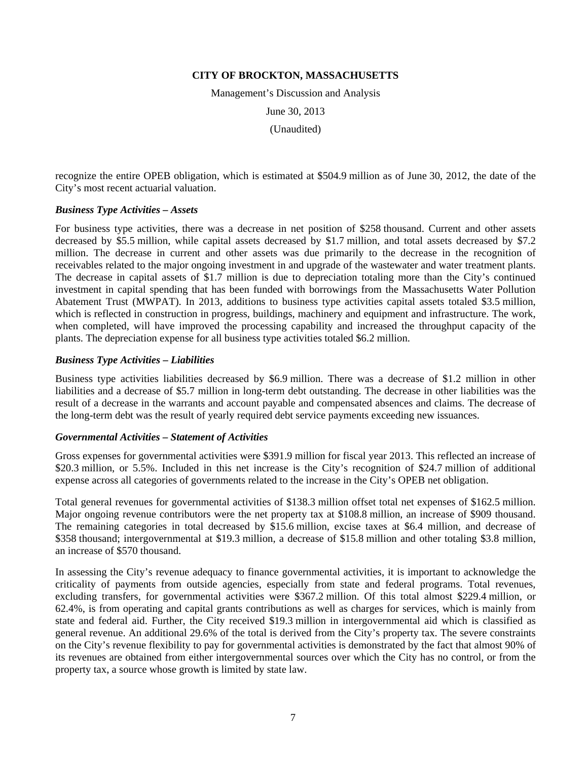Management's Discussion and Analysis

June 30, 2013

(Unaudited)

recognize the entire OPEB obligation, which is estimated at \$504.9 million as of June 30, 2012, the date of the City's most recent actuarial valuation.

#### *Business Type Activities – Assets*

For business type activities, there was a decrease in net position of \$258 thousand. Current and other assets decreased by \$5.5 million, while capital assets decreased by \$1.7 million, and total assets decreased by \$7.2 million. The decrease in current and other assets was due primarily to the decrease in the recognition of receivables related to the major ongoing investment in and upgrade of the wastewater and water treatment plants. The decrease in capital assets of \$1.7 million is due to depreciation totaling more than the City's continued investment in capital spending that has been funded with borrowings from the Massachusetts Water Pollution Abatement Trust (MWPAT). In 2013, additions to business type activities capital assets totaled \$3.5 million, which is reflected in construction in progress, buildings, machinery and equipment and infrastructure. The work, when completed, will have improved the processing capability and increased the throughput capacity of the plants. The depreciation expense for all business type activities totaled \$6.2 million.

## *Business Type Activities – Liabilities*

Business type activities liabilities decreased by \$6.9 million. There was a decrease of \$1.2 million in other liabilities and a decrease of \$5.7 million in long-term debt outstanding. The decrease in other liabilities was the result of a decrease in the warrants and account payable and compensated absences and claims. The decrease of the long-term debt was the result of yearly required debt service payments exceeding new issuances.

#### *Governmental Activities – Statement of Activities*

Gross expenses for governmental activities were \$391.9 million for fiscal year 2013. This reflected an increase of \$20.3 million, or 5.5%. Included in this net increase is the City's recognition of \$24.7 million of additional expense across all categories of governments related to the increase in the City's OPEB net obligation.

Total general revenues for governmental activities of \$138.3 million offset total net expenses of \$162.5 million. Major ongoing revenue contributors were the net property tax at \$108.8 million, an increase of \$909 thousand. The remaining categories in total decreased by \$15.6 million, excise taxes at \$6.4 million, and decrease of \$358 thousand; intergovernmental at \$19.3 million, a decrease of \$15.8 million and other totaling \$3.8 million, an increase of \$570 thousand.

In assessing the City's revenue adequacy to finance governmental activities, it is important to acknowledge the criticality of payments from outside agencies, especially from state and federal programs. Total revenues, excluding transfers, for governmental activities were \$367.2 million. Of this total almost \$229.4 million, or 62.4%, is from operating and capital grants contributions as well as charges for services, which is mainly from state and federal aid. Further, the City received \$19.3 million in intergovernmental aid which is classified as general revenue. An additional 29.6% of the total is derived from the City's property tax. The severe constraints on the City's revenue flexibility to pay for governmental activities is demonstrated by the fact that almost 90% of its revenues are obtained from either intergovernmental sources over which the City has no control, or from the property tax, a source whose growth is limited by state law.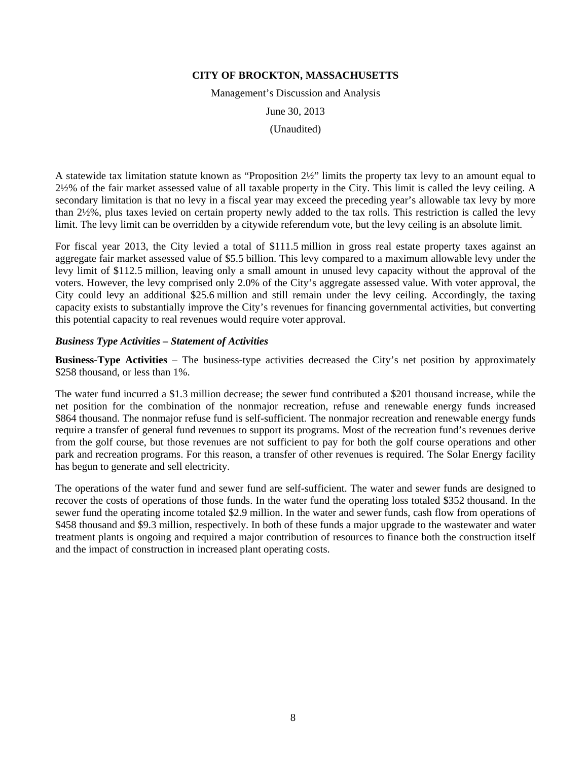Management's Discussion and Analysis

June 30, 2013

(Unaudited)

A statewide tax limitation statute known as "Proposition 2½" limits the property tax levy to an amount equal to 2½% of the fair market assessed value of all taxable property in the City. This limit is called the levy ceiling. A secondary limitation is that no levy in a fiscal year may exceed the preceding year's allowable tax levy by more than 2½%, plus taxes levied on certain property newly added to the tax rolls. This restriction is called the levy limit. The levy limit can be overridden by a citywide referendum vote, but the levy ceiling is an absolute limit.

For fiscal year 2013, the City levied a total of \$111.5 million in gross real estate property taxes against an aggregate fair market assessed value of \$5.5 billion. This levy compared to a maximum allowable levy under the levy limit of \$112.5 million, leaving only a small amount in unused levy capacity without the approval of the voters. However, the levy comprised only 2.0% of the City's aggregate assessed value. With voter approval, the City could levy an additional \$25.6 million and still remain under the levy ceiling. Accordingly, the taxing capacity exists to substantially improve the City's revenues for financing governmental activities, but converting this potential capacity to real revenues would require voter approval.

## *Business Type Activities – Statement of Activities*

**Business-Type Activities** – The business-type activities decreased the City's net position by approximately \$258 thousand, or less than 1%.

The water fund incurred a \$1.3 million decrease; the sewer fund contributed a \$201 thousand increase, while the net position for the combination of the nonmajor recreation, refuse and renewable energy funds increased \$864 thousand. The nonmajor refuse fund is self-sufficient. The nonmajor recreation and renewable energy funds require a transfer of general fund revenues to support its programs. Most of the recreation fund's revenues derive from the golf course, but those revenues are not sufficient to pay for both the golf course operations and other park and recreation programs. For this reason, a transfer of other revenues is required. The Solar Energy facility has begun to generate and sell electricity.

The operations of the water fund and sewer fund are self-sufficient. The water and sewer funds are designed to recover the costs of operations of those funds. In the water fund the operating loss totaled \$352 thousand. In the sewer fund the operating income totaled \$2.9 million. In the water and sewer funds, cash flow from operations of \$458 thousand and \$9.3 million, respectively. In both of these funds a major upgrade to the wastewater and water treatment plants is ongoing and required a major contribution of resources to finance both the construction itself and the impact of construction in increased plant operating costs.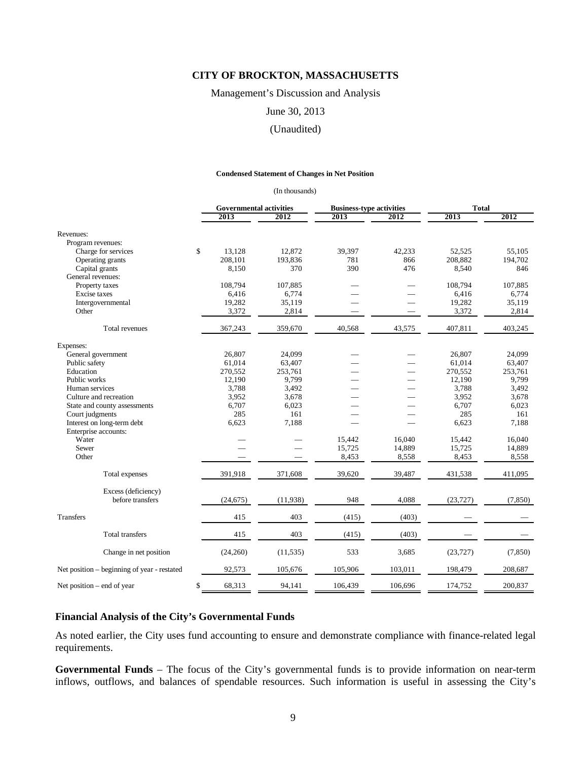Management's Discussion and Analysis

## June 30, 2013

## (Unaudited)

#### **Condensed Statement of Changes in Net Position**

(In thousands)

|                                             | <b>Governmental activities</b> |           | <b>Business-type activities</b> |                 | <b>Total</b>     |                  |
|---------------------------------------------|--------------------------------|-----------|---------------------------------|-----------------|------------------|------------------|
|                                             | 2013                           | 2012      | 2013                            | 2012            | 2013             | 2012             |
| Revenues:                                   |                                |           |                                 |                 |                  |                  |
| Program revenues:                           |                                |           |                                 |                 |                  |                  |
| $\mathbb{S}$<br>Charge for services         | 13.128                         | 12,872    | 39,397                          | 42,233          | 52,525           | 55.105           |
| Operating grants                            | 208,101                        | 193,836   | 781                             | 866             | 208,882          | 194,702          |
| Capital grants                              | 8.150                          | 370       | 390                             | 476             | 8,540            | 846              |
| General revenues:                           |                                |           |                                 |                 |                  |                  |
| Property taxes                              | 108,794                        | 107,885   |                                 |                 | 108,794          | 107,885          |
| Excise taxes                                | 6,416                          | 6,774     |                                 |                 | 6,416            | 6,774            |
| Intergovernmental                           | 19,282                         | 35,119    |                                 |                 | 19,282           | 35,119           |
| Other                                       | 3,372                          | 2,814     |                                 |                 | 3,372            | 2,814            |
| Total revenues                              | 367,243                        | 359,670   | 40,568                          | 43,575          | 407,811          | 403,245          |
| Expenses:                                   |                                |           |                                 |                 |                  |                  |
| General government                          | 26.807                         | 24.099    |                                 |                 | 26,807           | 24.099           |
| Public safety                               | 61,014                         | 63,407    |                                 |                 | 61,014           | 63,407           |
| Education                                   | 270,552                        | 253,761   |                                 |                 | 270,552          | 253,761          |
| Public works                                | 12,190                         | 9,799     |                                 |                 | 12,190           | 9,799            |
| Human services                              | 3,788                          | 3,492     |                                 |                 | 3,788            | 3,492            |
| Culture and recreation                      | 3,952                          | 3,678     |                                 |                 | 3,952            | 3,678            |
| State and county assessments                | 6,707                          | 6,023     |                                 |                 | 6,707            | 6,023            |
| Court judgments                             | 285                            | 161       |                                 |                 | 285              | 161              |
| Interest on long-term debt                  | 6,623                          | 7,188     |                                 |                 | 6,623            | 7,188            |
| Enterprise accounts:                        |                                |           |                                 |                 |                  |                  |
| Water<br>Sewer                              |                                |           | 15,442<br>15,725                | 16.040          | 15,442<br>15,725 | 16.040<br>14,889 |
| Other                                       |                                |           | 8,453                           | 14,889<br>8,558 | 8,453            | 8,558            |
|                                             |                                |           |                                 |                 |                  |                  |
| Total expenses                              | 391,918                        | 371,608   | 39,620                          | 39,487          | 431,538          | 411,095          |
| Excess (deficiency)                         |                                |           |                                 |                 |                  |                  |
| before transfers                            | (24, 675)                      | (11,938)  | 948                             | 4,088           | (23, 727)        | (7, 850)         |
| <b>Transfers</b>                            | 415                            | 403       | (415)                           | (403)           |                  |                  |
| <b>Total transfers</b>                      | 415                            | 403       | (415)                           | (403)           |                  |                  |
| Change in net position                      | (24,260)                       | (11, 535) | 533                             | 3,685           | (23, 727)        | (7, 850)         |
| Net position – beginning of year - restated | 92,573                         | 105,676   | 105,906                         | 103,011         | 198,479          | 208,687          |
| \$<br>Net position $-$ end of year          | 68,313                         | 94,141    | 106,439                         | 106,696         | 174,752          | 200,837          |

## **Financial Analysis of the City's Governmental Funds**

As noted earlier, the City uses fund accounting to ensure and demonstrate compliance with finance-related legal requirements.

**Governmental Funds** – The focus of the City's governmental funds is to provide information on near-term inflows, outflows, and balances of spendable resources. Such information is useful in assessing the City's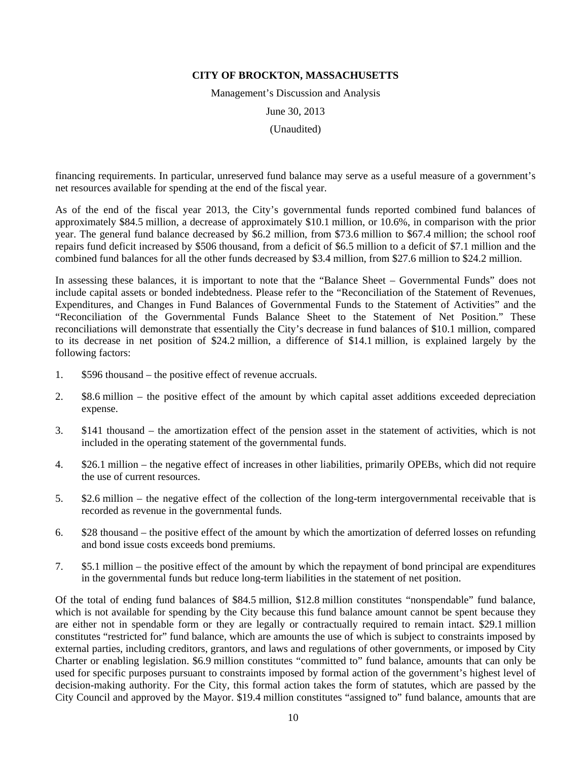Management's Discussion and Analysis

June 30, 2013

(Unaudited)

financing requirements. In particular, unreserved fund balance may serve as a useful measure of a government's net resources available for spending at the end of the fiscal year.

As of the end of the fiscal year 2013, the City's governmental funds reported combined fund balances of approximately \$84.5 million, a decrease of approximately \$10.1 million, or 10.6%, in comparison with the prior year. The general fund balance decreased by \$6.2 million, from \$73.6 million to \$67.4 million; the school roof repairs fund deficit increased by \$506 thousand, from a deficit of \$6.5 million to a deficit of \$7.1 million and the combined fund balances for all the other funds decreased by \$3.4 million, from \$27.6 million to \$24.2 million.

In assessing these balances, it is important to note that the "Balance Sheet – Governmental Funds" does not include capital assets or bonded indebtedness. Please refer to the "Reconciliation of the Statement of Revenues, Expenditures, and Changes in Fund Balances of Governmental Funds to the Statement of Activities" and the "Reconciliation of the Governmental Funds Balance Sheet to the Statement of Net Position." These reconciliations will demonstrate that essentially the City's decrease in fund balances of \$10.1 million, compared to its decrease in net position of \$24.2 million, a difference of \$14.1 million, is explained largely by the following factors:

- 1. \$596 thousand the positive effect of revenue accruals.
- 2. \$8.6 million the positive effect of the amount by which capital asset additions exceeded depreciation expense.
- 3. \$141 thousand the amortization effect of the pension asset in the statement of activities, which is not included in the operating statement of the governmental funds.
- 4. \$26.1 million the negative effect of increases in other liabilities, primarily OPEBs, which did not require the use of current resources.
- 5. \$2.6 million the negative effect of the collection of the long-term intergovernmental receivable that is recorded as revenue in the governmental funds.
- 6. \$28 thousand the positive effect of the amount by which the amortization of deferred losses on refunding and bond issue costs exceeds bond premiums.
- 7. \$5.1 million the positive effect of the amount by which the repayment of bond principal are expenditures in the governmental funds but reduce long-term liabilities in the statement of net position.

Of the total of ending fund balances of \$84.5 million, \$12.8 million constitutes "nonspendable" fund balance, which is not available for spending by the City because this fund balance amount cannot be spent because they are either not in spendable form or they are legally or contractually required to remain intact. \$29.1 million constitutes "restricted for" fund balance, which are amounts the use of which is subject to constraints imposed by external parties, including creditors, grantors, and laws and regulations of other governments, or imposed by City Charter or enabling legislation. \$6.9 million constitutes "committed to" fund balance, amounts that can only be used for specific purposes pursuant to constraints imposed by formal action of the government's highest level of decision-making authority. For the City, this formal action takes the form of statutes, which are passed by the City Council and approved by the Mayor. \$19.4 million constitutes "assigned to" fund balance, amounts that are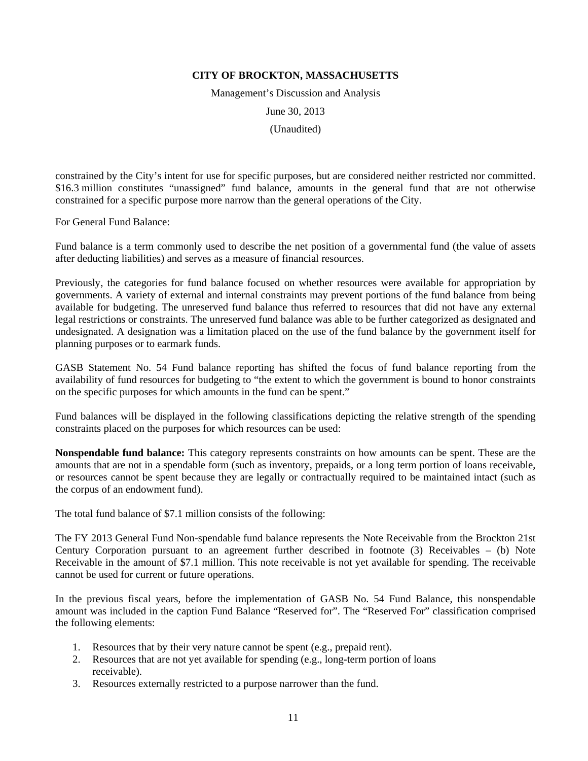Management's Discussion and Analysis

June 30, 2013

(Unaudited)

constrained by the City's intent for use for specific purposes, but are considered neither restricted nor committed. \$16.3 million constitutes "unassigned" fund balance, amounts in the general fund that are not otherwise constrained for a specific purpose more narrow than the general operations of the City.

For General Fund Balance:

Fund balance is a term commonly used to describe the net position of a governmental fund (the value of assets after deducting liabilities) and serves as a measure of financial resources.

Previously, the categories for fund balance focused on whether resources were available for appropriation by governments. A variety of external and internal constraints may prevent portions of the fund balance from being available for budgeting. The unreserved fund balance thus referred to resources that did not have any external legal restrictions or constraints. The unreserved fund balance was able to be further categorized as designated and undesignated. A designation was a limitation placed on the use of the fund balance by the government itself for planning purposes or to earmark funds.

GASB Statement No. 54 Fund balance reporting has shifted the focus of fund balance reporting from the availability of fund resources for budgeting to "the extent to which the government is bound to honor constraints on the specific purposes for which amounts in the fund can be spent."

Fund balances will be displayed in the following classifications depicting the relative strength of the spending constraints placed on the purposes for which resources can be used:

**Nonspendable fund balance:** This category represents constraints on how amounts can be spent. These are the amounts that are not in a spendable form (such as inventory, prepaids, or a long term portion of loans receivable, or resources cannot be spent because they are legally or contractually required to be maintained intact (such as the corpus of an endowment fund).

The total fund balance of \$7.1 million consists of the following:

The FY 2013 General Fund Non-spendable fund balance represents the Note Receivable from the Brockton 21st Century Corporation pursuant to an agreement further described in footnote (3) Receivables – (b) Note Receivable in the amount of \$7.1 million. This note receivable is not yet available for spending. The receivable cannot be used for current or future operations.

In the previous fiscal years, before the implementation of GASB No. 54 Fund Balance, this nonspendable amount was included in the caption Fund Balance "Reserved for". The "Reserved For" classification comprised the following elements:

- 1. Resources that by their very nature cannot be spent (e.g., prepaid rent).
- 2. Resources that are not yet available for spending (e.g., long-term portion of loans receivable).
- 3. Resources externally restricted to a purpose narrower than the fund.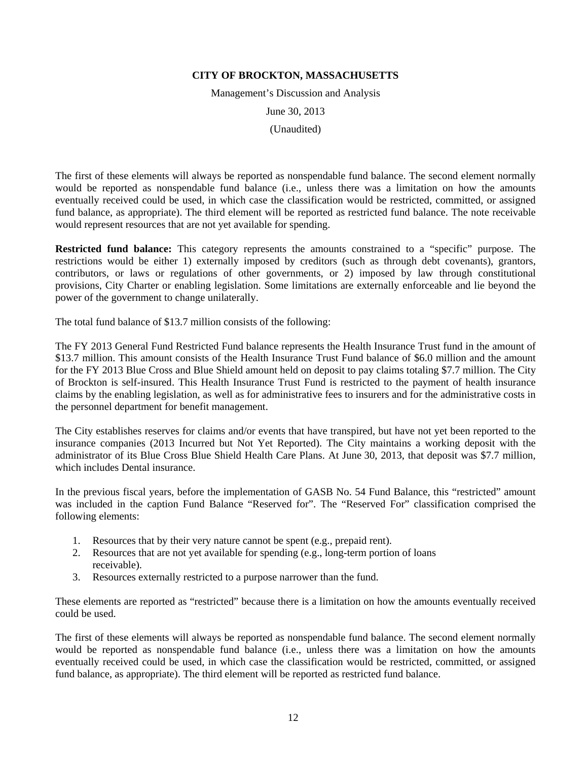Management's Discussion and Analysis

June 30, 2013

(Unaudited)

The first of these elements will always be reported as nonspendable fund balance. The second element normally would be reported as nonspendable fund balance (i.e., unless there was a limitation on how the amounts eventually received could be used, in which case the classification would be restricted, committed, or assigned fund balance, as appropriate). The third element will be reported as restricted fund balance. The note receivable would represent resources that are not yet available for spending.

**Restricted fund balance:** This category represents the amounts constrained to a "specific" purpose. The restrictions would be either 1) externally imposed by creditors (such as through debt covenants), grantors, contributors, or laws or regulations of other governments, or 2) imposed by law through constitutional provisions, City Charter or enabling legislation. Some limitations are externally enforceable and lie beyond the power of the government to change unilaterally.

The total fund balance of \$13.7 million consists of the following:

The FY 2013 General Fund Restricted Fund balance represents the Health Insurance Trust fund in the amount of \$13.7 million. This amount consists of the Health Insurance Trust Fund balance of \$6.0 million and the amount for the FY 2013 Blue Cross and Blue Shield amount held on deposit to pay claims totaling \$7.7 million. The City of Brockton is self-insured. This Health Insurance Trust Fund is restricted to the payment of health insurance claims by the enabling legislation, as well as for administrative fees to insurers and for the administrative costs in the personnel department for benefit management.

The City establishes reserves for claims and/or events that have transpired, but have not yet been reported to the insurance companies (2013 Incurred but Not Yet Reported). The City maintains a working deposit with the administrator of its Blue Cross Blue Shield Health Care Plans. At June 30, 2013, that deposit was \$7.7 million, which includes Dental insurance.

In the previous fiscal years, before the implementation of GASB No. 54 Fund Balance, this "restricted" amount was included in the caption Fund Balance "Reserved for". The "Reserved For" classification comprised the following elements:

- 1. Resources that by their very nature cannot be spent (e.g., prepaid rent).
- 2. Resources that are not yet available for spending (e.g., long-term portion of loans receivable).
- 3. Resources externally restricted to a purpose narrower than the fund.

These elements are reported as "restricted" because there is a limitation on how the amounts eventually received could be used.

The first of these elements will always be reported as nonspendable fund balance. The second element normally would be reported as nonspendable fund balance (i.e., unless there was a limitation on how the amounts eventually received could be used, in which case the classification would be restricted, committed, or assigned fund balance, as appropriate). The third element will be reported as restricted fund balance.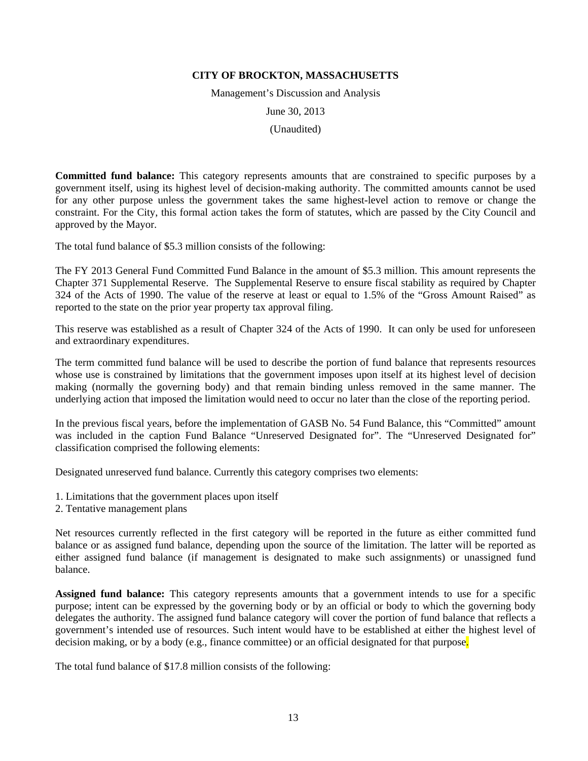Management's Discussion and Analysis

June 30, 2013

(Unaudited)

**Committed fund balance:** This category represents amounts that are constrained to specific purposes by a government itself, using its highest level of decision-making authority. The committed amounts cannot be used for any other purpose unless the government takes the same highest-level action to remove or change the constraint. For the City, this formal action takes the form of statutes, which are passed by the City Council and approved by the Mayor.

The total fund balance of \$5.3 million consists of the following:

The FY 2013 General Fund Committed Fund Balance in the amount of \$5.3 million. This amount represents the Chapter 371 Supplemental Reserve. The Supplemental Reserve to ensure fiscal stability as required by Chapter 324 of the Acts of 1990. The value of the reserve at least or equal to 1.5% of the "Gross Amount Raised" as reported to the state on the prior year property tax approval filing.

This reserve was established as a result of Chapter 324 of the Acts of 1990. It can only be used for unforeseen and extraordinary expenditures.

The term committed fund balance will be used to describe the portion of fund balance that represents resources whose use is constrained by limitations that the government imposes upon itself at its highest level of decision making (normally the governing body) and that remain binding unless removed in the same manner. The underlying action that imposed the limitation would need to occur no later than the close of the reporting period.

In the previous fiscal years, before the implementation of GASB No. 54 Fund Balance, this "Committed" amount was included in the caption Fund Balance "Unreserved Designated for". The "Unreserved Designated for" classification comprised the following elements:

Designated unreserved fund balance. Currently this category comprises two elements:

- 1. Limitations that the government places upon itself
- 2. Tentative management plans

Net resources currently reflected in the first category will be reported in the future as either committed fund balance or as assigned fund balance, depending upon the source of the limitation. The latter will be reported as either assigned fund balance (if management is designated to make such assignments) or unassigned fund balance.

**Assigned fund balance:** This category represents amounts that a government intends to use for a specific purpose; intent can be expressed by the governing body or by an official or body to which the governing body delegates the authority. The assigned fund balance category will cover the portion of fund balance that reflects a government's intended use of resources. Such intent would have to be established at either the highest level of decision making, or by a body (e.g., finance committee) or an official designated for that purpose.

The total fund balance of \$17.8 million consists of the following: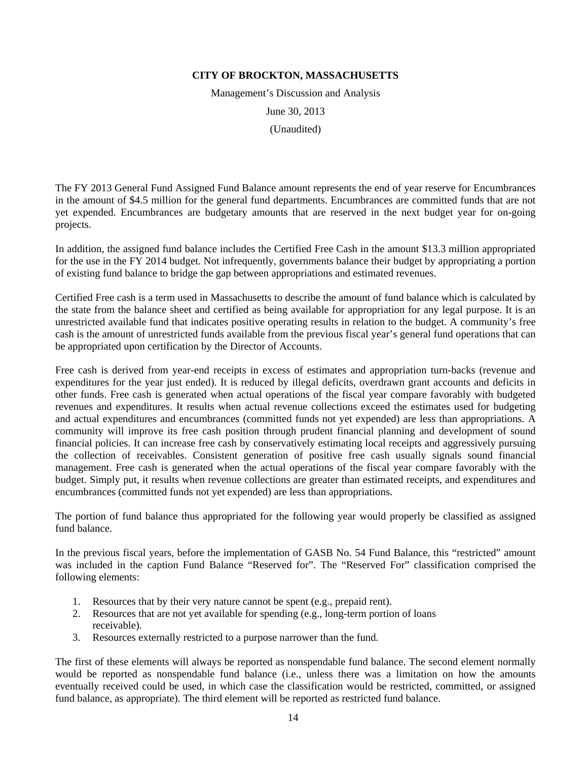Management's Discussion and Analysis

June 30, 2013

(Unaudited)

The FY 2013 General Fund Assigned Fund Balance amount represents the end of year reserve for Encumbrances in the amount of \$4.5 million for the general fund departments. Encumbrances are committed funds that are not yet expended. Encumbrances are budgetary amounts that are reserved in the next budget year for on-going projects.

In addition, the assigned fund balance includes the Certified Free Cash in the amount \$13.3 million appropriated for the use in the FY 2014 budget. Not infrequently, governments balance their budget by appropriating a portion of existing fund balance to bridge the gap between appropriations and estimated revenues.

Certified Free cash is a term used in Massachusetts to describe the amount of fund balance which is calculated by the state from the balance sheet and certified as being available for appropriation for any legal purpose. It is an unrestricted available fund that indicates positive operating results in relation to the budget. A community's free cash is the amount of unrestricted funds available from the previous fiscal year's general fund operations that can be appropriated upon certification by the Director of Accounts.

Free cash is derived from year-end receipts in excess of estimates and appropriation turn-backs (revenue and expenditures for the year just ended). It is reduced by illegal deficits, overdrawn grant accounts and deficits in other funds. Free cash is generated when actual operations of the fiscal year compare favorably with budgeted revenues and expenditures. It results when actual revenue collections exceed the estimates used for budgeting and actual expenditures and encumbrances (committed funds not yet expended) are less than appropriations. A community will improve its free cash position through prudent financial planning and development of sound financial policies. It can increase free cash by conservatively estimating local receipts and aggressively pursuing the collection of receivables. Consistent generation of positive free cash usually signals sound financial management. Free cash is generated when the actual operations of the fiscal year compare favorably with the budget. Simply put, it results when revenue collections are greater than estimated receipts, and expenditures and encumbrances (committed funds not yet expended) are less than appropriations.

The portion of fund balance thus appropriated for the following year would properly be classified as assigned fund balance.

In the previous fiscal years, before the implementation of GASB No. 54 Fund Balance, this "restricted" amount was included in the caption Fund Balance "Reserved for". The "Reserved For" classification comprised the following elements:

- 1. Resources that by their very nature cannot be spent (e.g., prepaid rent).
- 2. Resources that are not yet available for spending (e.g., long-term portion of loans receivable).
- 3. Resources externally restricted to a purpose narrower than the fund.

The first of these elements will always be reported as nonspendable fund balance. The second element normally would be reported as nonspendable fund balance (i.e., unless there was a limitation on how the amounts eventually received could be used, in which case the classification would be restricted, committed, or assigned fund balance, as appropriate). The third element will be reported as restricted fund balance.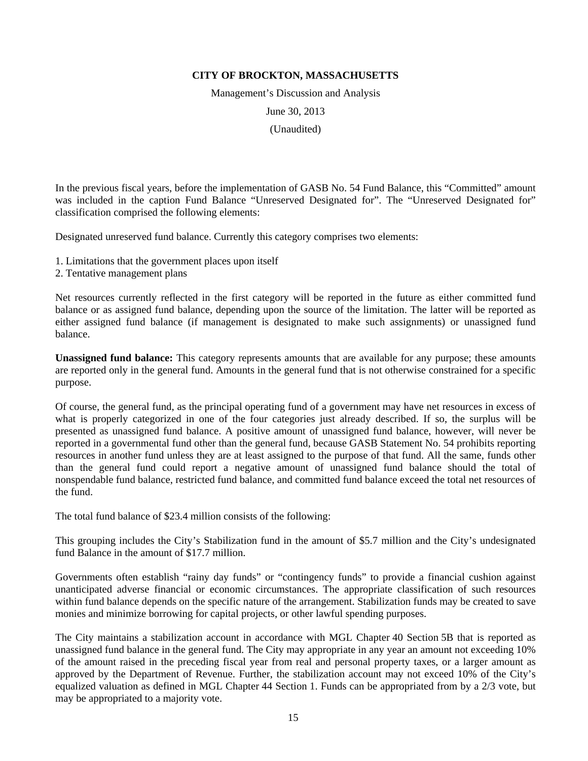Management's Discussion and Analysis

June 30, 2013

(Unaudited)

In the previous fiscal years, before the implementation of GASB No. 54 Fund Balance, this "Committed" amount was included in the caption Fund Balance "Unreserved Designated for". The "Unreserved Designated for" classification comprised the following elements:

Designated unreserved fund balance. Currently this category comprises two elements:

- 1. Limitations that the government places upon itself
- 2. Tentative management plans

Net resources currently reflected in the first category will be reported in the future as either committed fund balance or as assigned fund balance, depending upon the source of the limitation. The latter will be reported as either assigned fund balance (if management is designated to make such assignments) or unassigned fund balance.

**Unassigned fund balance:** This category represents amounts that are available for any purpose; these amounts are reported only in the general fund. Amounts in the general fund that is not otherwise constrained for a specific purpose.

Of course, the general fund, as the principal operating fund of a government may have net resources in excess of what is properly categorized in one of the four categories just already described. If so, the surplus will be presented as unassigned fund balance. A positive amount of unassigned fund balance, however, will never be reported in a governmental fund other than the general fund, because GASB Statement No. 54 prohibits reporting resources in another fund unless they are at least assigned to the purpose of that fund. All the same, funds other than the general fund could report a negative amount of unassigned fund balance should the total of nonspendable fund balance, restricted fund balance, and committed fund balance exceed the total net resources of the fund.

The total fund balance of \$23.4 million consists of the following:

This grouping includes the City's Stabilization fund in the amount of \$5.7 million and the City's undesignated fund Balance in the amount of \$17.7 million.

Governments often establish "rainy day funds" or "contingency funds" to provide a financial cushion against unanticipated adverse financial or economic circumstances. The appropriate classification of such resources within fund balance depends on the specific nature of the arrangement. Stabilization funds may be created to save monies and minimize borrowing for capital projects, or other lawful spending purposes.

The City maintains a stabilization account in accordance with MGL Chapter 40 Section 5B that is reported as unassigned fund balance in the general fund. The City may appropriate in any year an amount not exceeding 10% of the amount raised in the preceding fiscal year from real and personal property taxes, or a larger amount as approved by the Department of Revenue. Further, the stabilization account may not exceed 10% of the City's equalized valuation as defined in MGL Chapter 44 Section 1. Funds can be appropriated from by a 2/3 vote, but may be appropriated to a majority vote.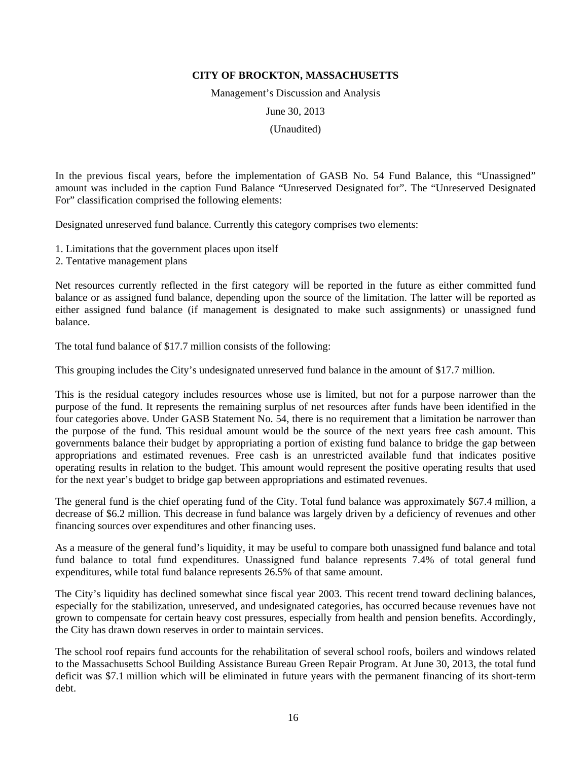Management's Discussion and Analysis

June 30, 2013

(Unaudited)

In the previous fiscal years, before the implementation of GASB No. 54 Fund Balance, this "Unassigned" amount was included in the caption Fund Balance "Unreserved Designated for". The "Unreserved Designated For" classification comprised the following elements:

Designated unreserved fund balance. Currently this category comprises two elements:

- 1. Limitations that the government places upon itself
- 2. Tentative management plans

Net resources currently reflected in the first category will be reported in the future as either committed fund balance or as assigned fund balance, depending upon the source of the limitation. The latter will be reported as either assigned fund balance (if management is designated to make such assignments) or unassigned fund balance.

The total fund balance of \$17.7 million consists of the following:

This grouping includes the City's undesignated unreserved fund balance in the amount of \$17.7 million.

This is the residual category includes resources whose use is limited, but not for a purpose narrower than the purpose of the fund. It represents the remaining surplus of net resources after funds have been identified in the four categories above. Under GASB Statement No. 54, there is no requirement that a limitation be narrower than the purpose of the fund. This residual amount would be the source of the next years free cash amount. This governments balance their budget by appropriating a portion of existing fund balance to bridge the gap between appropriations and estimated revenues. Free cash is an unrestricted available fund that indicates positive operating results in relation to the budget. This amount would represent the positive operating results that used for the next year's budget to bridge gap between appropriations and estimated revenues.

The general fund is the chief operating fund of the City. Total fund balance was approximately \$67.4 million, a decrease of \$6.2 million. This decrease in fund balance was largely driven by a deficiency of revenues and other financing sources over expenditures and other financing uses.

As a measure of the general fund's liquidity, it may be useful to compare both unassigned fund balance and total fund balance to total fund expenditures. Unassigned fund balance represents 7.4% of total general fund expenditures, while total fund balance represents 26.5% of that same amount.

The City's liquidity has declined somewhat since fiscal year 2003. This recent trend toward declining balances, especially for the stabilization, unreserved, and undesignated categories, has occurred because revenues have not grown to compensate for certain heavy cost pressures, especially from health and pension benefits. Accordingly, the City has drawn down reserves in order to maintain services.

The school roof repairs fund accounts for the rehabilitation of several school roofs, boilers and windows related to the Massachusetts School Building Assistance Bureau Green Repair Program. At June 30, 2013, the total fund deficit was \$7.1 million which will be eliminated in future years with the permanent financing of its short-term debt.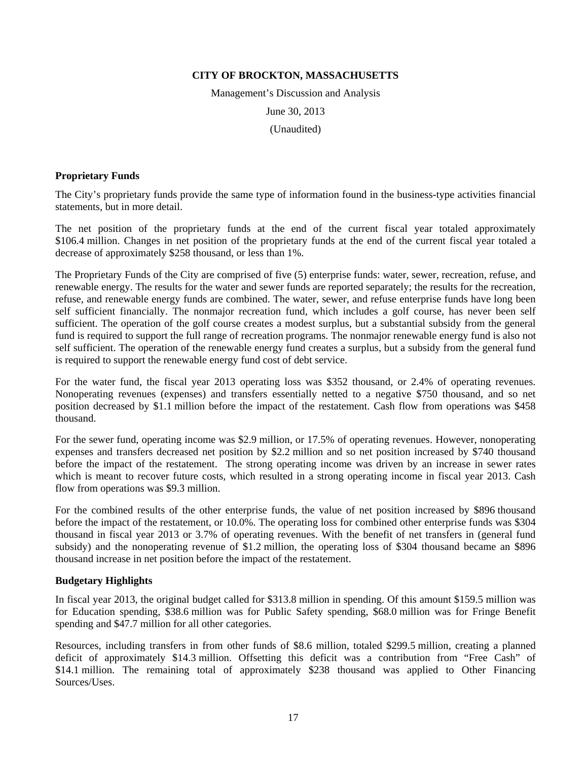Management's Discussion and Analysis

June 30, 2013

(Unaudited)

#### **Proprietary Funds**

The City's proprietary funds provide the same type of information found in the business-type activities financial statements, but in more detail.

The net position of the proprietary funds at the end of the current fiscal year totaled approximately \$106.4 million. Changes in net position of the proprietary funds at the end of the current fiscal year totaled a decrease of approximately \$258 thousand, or less than 1%.

The Proprietary Funds of the City are comprised of five (5) enterprise funds: water, sewer, recreation, refuse, and renewable energy. The results for the water and sewer funds are reported separately; the results for the recreation, refuse, and renewable energy funds are combined. The water, sewer, and refuse enterprise funds have long been self sufficient financially. The nonmajor recreation fund, which includes a golf course, has never been self sufficient. The operation of the golf course creates a modest surplus, but a substantial subsidy from the general fund is required to support the full range of recreation programs. The nonmajor renewable energy fund is also not self sufficient. The operation of the renewable energy fund creates a surplus, but a subsidy from the general fund is required to support the renewable energy fund cost of debt service.

For the water fund, the fiscal year 2013 operating loss was \$352 thousand, or 2.4% of operating revenues. Nonoperating revenues (expenses) and transfers essentially netted to a negative \$750 thousand, and so net position decreased by \$1.1 million before the impact of the restatement. Cash flow from operations was \$458 thousand.

For the sewer fund, operating income was \$2.9 million, or 17.5% of operating revenues. However, nonoperating expenses and transfers decreased net position by \$2.2 million and so net position increased by \$740 thousand before the impact of the restatement. The strong operating income was driven by an increase in sewer rates which is meant to recover future costs, which resulted in a strong operating income in fiscal year 2013. Cash flow from operations was \$9.3 million.

For the combined results of the other enterprise funds, the value of net position increased by \$896 thousand before the impact of the restatement, or 10.0%. The operating loss for combined other enterprise funds was \$304 thousand in fiscal year 2013 or 3.7% of operating revenues. With the benefit of net transfers in (general fund subsidy) and the nonoperating revenue of \$1.2 million, the operating loss of \$304 thousand became an \$896 thousand increase in net position before the impact of the restatement.

#### **Budgetary Highlights**

In fiscal year 2013, the original budget called for \$313.8 million in spending. Of this amount \$159.5 million was for Education spending, \$38.6 million was for Public Safety spending, \$68.0 million was for Fringe Benefit spending and \$47.7 million for all other categories.

Resources, including transfers in from other funds of \$8.6 million, totaled \$299.5 million, creating a planned deficit of approximately \$14.3 million. Offsetting this deficit was a contribution from "Free Cash" of \$14.1 million. The remaining total of approximately \$238 thousand was applied to Other Financing Sources/Uses.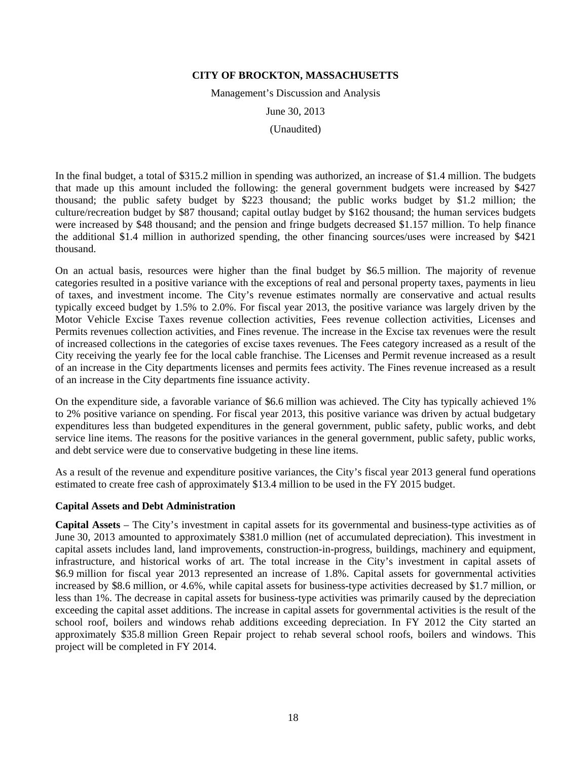Management's Discussion and Analysis

June 30, 2013

(Unaudited)

In the final budget, a total of \$315.2 million in spending was authorized, an increase of \$1.4 million. The budgets that made up this amount included the following: the general government budgets were increased by \$427 thousand; the public safety budget by \$223 thousand; the public works budget by \$1.2 million; the culture/recreation budget by \$87 thousand; capital outlay budget by \$162 thousand; the human services budgets were increased by \$48 thousand; and the pension and fringe budgets decreased \$1.157 million. To help finance the additional \$1.4 million in authorized spending, the other financing sources/uses were increased by \$421 thousand.

On an actual basis, resources were higher than the final budget by \$6.5 million. The majority of revenue categories resulted in a positive variance with the exceptions of real and personal property taxes, payments in lieu of taxes, and investment income. The City's revenue estimates normally are conservative and actual results typically exceed budget by 1.5% to 2.0%. For fiscal year 2013, the positive variance was largely driven by the Motor Vehicle Excise Taxes revenue collection activities, Fees revenue collection activities, Licenses and Permits revenues collection activities, and Fines revenue. The increase in the Excise tax revenues were the result of increased collections in the categories of excise taxes revenues. The Fees category increased as a result of the City receiving the yearly fee for the local cable franchise. The Licenses and Permit revenue increased as a result of an increase in the City departments licenses and permits fees activity. The Fines revenue increased as a result of an increase in the City departments fine issuance activity.

On the expenditure side, a favorable variance of \$6.6 million was achieved. The City has typically achieved 1% to 2% positive variance on spending. For fiscal year 2013, this positive variance was driven by actual budgetary expenditures less than budgeted expenditures in the general government, public safety, public works, and debt service line items. The reasons for the positive variances in the general government, public safety, public works, and debt service were due to conservative budgeting in these line items.

As a result of the revenue and expenditure positive variances, the City's fiscal year 2013 general fund operations estimated to create free cash of approximately \$13.4 million to be used in the FY 2015 budget.

#### **Capital Assets and Debt Administration**

**Capital Assets** – The City's investment in capital assets for its governmental and business-type activities as of June 30, 2013 amounted to approximately \$381.0 million (net of accumulated depreciation). This investment in capital assets includes land, land improvements, construction-in-progress, buildings, machinery and equipment, infrastructure, and historical works of art. The total increase in the City's investment in capital assets of \$6.9 million for fiscal year 2013 represented an increase of 1.8%. Capital assets for governmental activities increased by \$8.6 million, or 4.6%, while capital assets for business-type activities decreased by \$1.7 million, or less than 1%. The decrease in capital assets for business-type activities was primarily caused by the depreciation exceeding the capital asset additions. The increase in capital assets for governmental activities is the result of the school roof, boilers and windows rehab additions exceeding depreciation. In FY 2012 the City started an approximately \$35.8 million Green Repair project to rehab several school roofs, boilers and windows. This project will be completed in FY 2014.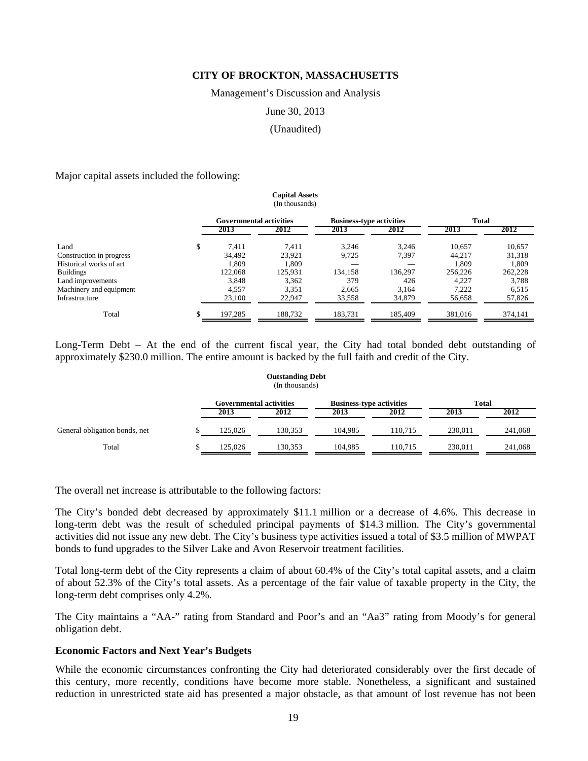Management's Discussion and Analysis

#### June 30, 2013

#### (Unaudited)

**Capital Assets**

Major capital assets included the following:

|                          |   |                                | (In thousands) |                                 |         |              |         |
|--------------------------|---|--------------------------------|----------------|---------------------------------|---------|--------------|---------|
|                          |   | <b>Governmental activities</b> |                | <b>Business-type activities</b> |         | <b>Total</b> |         |
|                          |   | 2013                           | 2012           | 2013                            | 2012    | 2013         | 2012    |
| Land                     | D | 7.411                          | 7.411          | 3.246                           | 3.246   | 10,657       | 10,657  |
| Construction in progress |   | 34.492                         | 23,921         | 9,725                           | 7,397   | 44,217       | 31,318  |
| Historical works of art  |   | 1.809                          | 1,809          |                                 |         | 1.809        | 1,809   |
| <b>Buildings</b>         |   | 122,068                        | 125,931        | 134,158                         | 136,297 | 256,226      | 262,228 |
| Land improvements        |   | 3,848                          | 3,362          | 379                             | 426     | 4,227        | 3,788   |
| Machinery and equipment  |   | 4,557                          | 3,351          | 2,665                           | 3.164   | 7,222        | 6,515   |
| Infrastructure           |   | 23,100                         | 22.947         | 33,558                          | 34,879  | 56,658       | 57,826  |
| Total                    |   | 197,285                        | 188.732        | 183.731                         | 185.409 | 381,016      | 374,141 |
|                          |   |                                |                |                                 |         |              |         |

Long-Term Debt – At the end of the current fiscal year, the City had total bonded debt outstanding of approximately \$230.0 million. The entire amount is backed by the full faith and credit of the City.

**Outstanding Debt**

| <b>Outstanding Dept</b><br>(In thousands) |  |                                |         |                                 |         |              |         |  |  |
|-------------------------------------------|--|--------------------------------|---------|---------------------------------|---------|--------------|---------|--|--|
|                                           |  | <b>Governmental activities</b> |         | <b>Business-type activities</b> |         | <b>Total</b> |         |  |  |
|                                           |  | $20\overline{13}$              | 2012    | 2013                            | 2012    | 2013         | 2012    |  |  |
| General obligation bonds, net             |  | 125.026                        | 130.353 | 104.985                         | 110.715 | 230.011      | 241,068 |  |  |
| Total                                     |  | 125.026                        | 130.353 | 104.985                         | 110.715 | 230.011      | 241,068 |  |  |

The overall net increase is attributable to the following factors:

The City's bonded debt decreased by approximately \$11.1 million or a decrease of 4.6%. This decrease in long-term debt was the result of scheduled principal payments of \$14.3 million. The City's governmental activities did not issue any new debt. The City's business type activities issued a total of \$3.5 million of MWPAT bonds to fund upgrades to the Silver Lake and Avon Reservoir treatment facilities.

Total long-term debt of the City represents a claim of about 60.4% of the City's total capital assets, and a claim of about 52.3% of the City's total assets. As a percentage of the fair value of taxable property in the City, the long-term debt comprises only 4.2%.

The City maintains a "AA-" rating from Standard and Poor's and an "Aa3" rating from Moody's for general obligation debt.

#### **Economic Factors and Next Year's Budgets**

While the economic circumstances confronting the City had deteriorated considerably over the first decade of this century, more recently, conditions have become more stable. Nonetheless, a significant and sustained reduction in unrestricted state aid has presented a major obstacle, as that amount of lost revenue has not been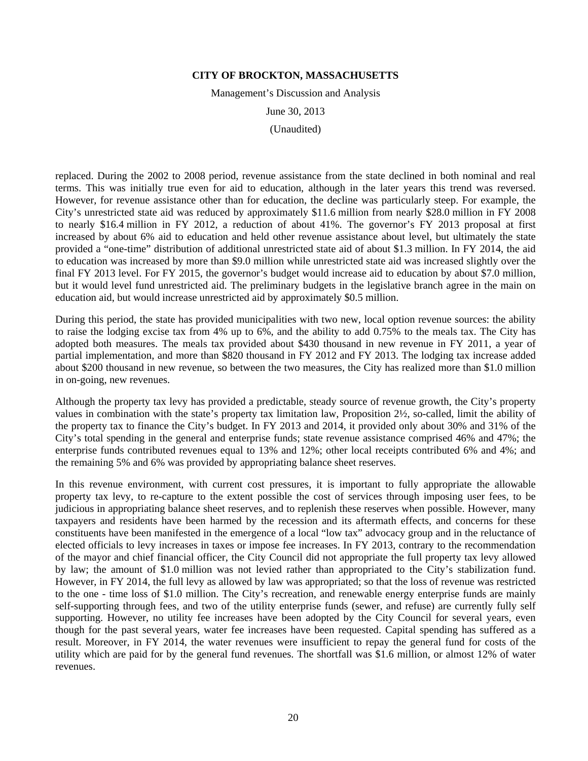Management's Discussion and Analysis

June 30, 2013

(Unaudited)

replaced. During the 2002 to 2008 period, revenue assistance from the state declined in both nominal and real terms. This was initially true even for aid to education, although in the later years this trend was reversed. However, for revenue assistance other than for education, the decline was particularly steep. For example, the City's unrestricted state aid was reduced by approximately \$11.6 million from nearly \$28.0 million in FY 2008 to nearly \$16.4 million in FY 2012, a reduction of about 41%. The governor's FY 2013 proposal at first increased by about 6% aid to education and held other revenue assistance about level, but ultimately the state provided a "one-time" distribution of additional unrestricted state aid of about \$1.3 million. In FY 2014, the aid to education was increased by more than \$9.0 million while unrestricted state aid was increased slightly over the final FY 2013 level. For FY 2015, the governor's budget would increase aid to education by about \$7.0 million, but it would level fund unrestricted aid. The preliminary budgets in the legislative branch agree in the main on education aid, but would increase unrestricted aid by approximately \$0.5 million.

During this period, the state has provided municipalities with two new, local option revenue sources: the ability to raise the lodging excise tax from 4% up to 6%, and the ability to add 0.75% to the meals tax. The City has adopted both measures. The meals tax provided about \$430 thousand in new revenue in FY 2011, a year of partial implementation, and more than \$820 thousand in FY 2012 and FY 2013. The lodging tax increase added about \$200 thousand in new revenue, so between the two measures, the City has realized more than \$1.0 million in on-going, new revenues.

Although the property tax levy has provided a predictable, steady source of revenue growth, the City's property values in combination with the state's property tax limitation law, Proposition 2½, so-called, limit the ability of the property tax to finance the City's budget. In FY 2013 and 2014, it provided only about 30% and 31% of the City's total spending in the general and enterprise funds; state revenue assistance comprised 46% and 47%; the enterprise funds contributed revenues equal to 13% and 12%; other local receipts contributed 6% and 4%; and the remaining 5% and 6% was provided by appropriating balance sheet reserves.

In this revenue environment, with current cost pressures, it is important to fully appropriate the allowable property tax levy, to re-capture to the extent possible the cost of services through imposing user fees, to be judicious in appropriating balance sheet reserves, and to replenish these reserves when possible. However, many taxpayers and residents have been harmed by the recession and its aftermath effects, and concerns for these constituents have been manifested in the emergence of a local "low tax" advocacy group and in the reluctance of elected officials to levy increases in taxes or impose fee increases. In FY 2013, contrary to the recommendation of the mayor and chief financial officer, the City Council did not appropriate the full property tax levy allowed by law; the amount of \$1.0 million was not levied rather than appropriated to the City's stabilization fund. However, in FY 2014, the full levy as allowed by law was appropriated; so that the loss of revenue was restricted to the one - time loss of \$1.0 million. The City's recreation, and renewable energy enterprise funds are mainly self-supporting through fees, and two of the utility enterprise funds (sewer, and refuse) are currently fully self supporting. However, no utility fee increases have been adopted by the City Council for several years, even though for the past several years, water fee increases have been requested. Capital spending has suffered as a result. Moreover, in FY 2014, the water revenues were insufficient to repay the general fund for costs of the utility which are paid for by the general fund revenues. The shortfall was \$1.6 million, or almost 12% of water revenues.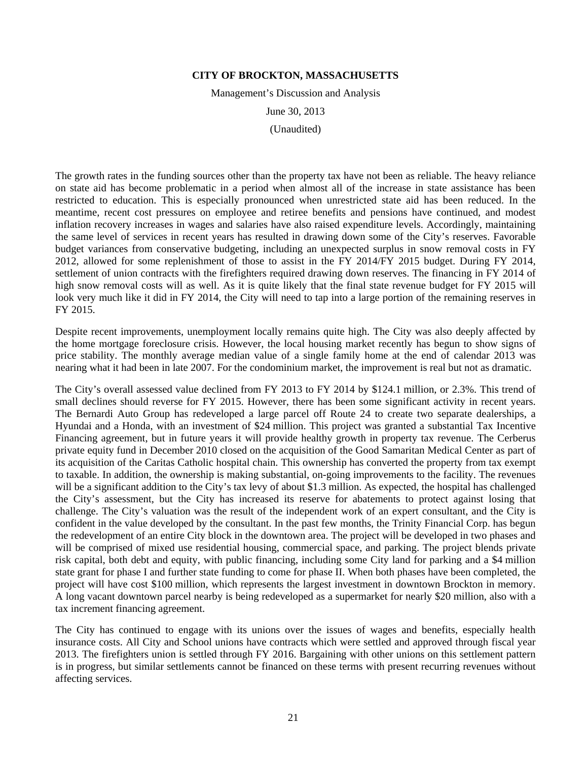Management's Discussion and Analysis

June 30, 2013

(Unaudited)

The growth rates in the funding sources other than the property tax have not been as reliable. The heavy reliance on state aid has become problematic in a period when almost all of the increase in state assistance has been restricted to education. This is especially pronounced when unrestricted state aid has been reduced. In the meantime, recent cost pressures on employee and retiree benefits and pensions have continued, and modest inflation recovery increases in wages and salaries have also raised expenditure levels. Accordingly, maintaining the same level of services in recent years has resulted in drawing down some of the City's reserves. Favorable budget variances from conservative budgeting, including an unexpected surplus in snow removal costs in FY 2012, allowed for some replenishment of those to assist in the FY 2014/FY 2015 budget. During FY 2014, settlement of union contracts with the firefighters required drawing down reserves. The financing in FY 2014 of high snow removal costs will as well. As it is quite likely that the final state revenue budget for FY 2015 will look very much like it did in FY 2014, the City will need to tap into a large portion of the remaining reserves in FY 2015.

Despite recent improvements, unemployment locally remains quite high. The City was also deeply affected by the home mortgage foreclosure crisis. However, the local housing market recently has begun to show signs of price stability. The monthly average median value of a single family home at the end of calendar 2013 was nearing what it had been in late 2007. For the condominium market, the improvement is real but not as dramatic.

The City's overall assessed value declined from FY 2013 to FY 2014 by \$124.1 million, or 2.3%. This trend of small declines should reverse for FY 2015. However, there has been some significant activity in recent years. The Bernardi Auto Group has redeveloped a large parcel off Route 24 to create two separate dealerships, a Hyundai and a Honda, with an investment of \$24 million. This project was granted a substantial Tax Incentive Financing agreement, but in future years it will provide healthy growth in property tax revenue. The Cerberus private equity fund in December 2010 closed on the acquisition of the Good Samaritan Medical Center as part of its acquisition of the Caritas Catholic hospital chain. This ownership has converted the property from tax exempt to taxable. In addition, the ownership is making substantial, on-going improvements to the facility. The revenues will be a significant addition to the City's tax levy of about \$1.3 million. As expected, the hospital has challenged the City's assessment, but the City has increased its reserve for abatements to protect against losing that challenge. The City's valuation was the result of the independent work of an expert consultant, and the City is confident in the value developed by the consultant. In the past few months, the Trinity Financial Corp. has begun the redevelopment of an entire City block in the downtown area. The project will be developed in two phases and will be comprised of mixed use residential housing, commercial space, and parking. The project blends private risk capital, both debt and equity, with public financing, including some City land for parking and a \$4 million state grant for phase I and further state funding to come for phase II. When both phases have been completed, the project will have cost \$100 million, which represents the largest investment in downtown Brockton in memory. A long vacant downtown parcel nearby is being redeveloped as a supermarket for nearly \$20 million, also with a tax increment financing agreement.

The City has continued to engage with its unions over the issues of wages and benefits, especially health insurance costs. All City and School unions have contracts which were settled and approved through fiscal year 2013. The firefighters union is settled through FY 2016. Bargaining with other unions on this settlement pattern is in progress, but similar settlements cannot be financed on these terms with present recurring revenues without affecting services.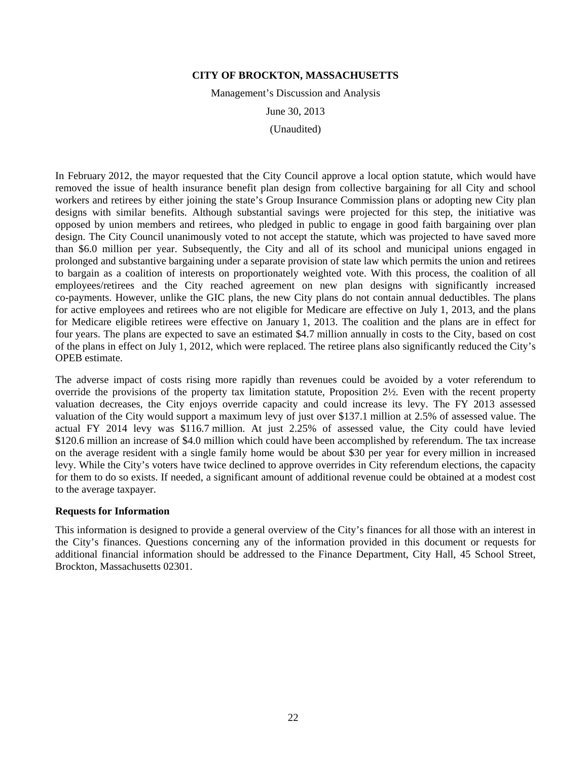Management's Discussion and Analysis

June 30, 2013

(Unaudited)

In February 2012, the mayor requested that the City Council approve a local option statute, which would have removed the issue of health insurance benefit plan design from collective bargaining for all City and school workers and retirees by either joining the state's Group Insurance Commission plans or adopting new City plan designs with similar benefits. Although substantial savings were projected for this step, the initiative was opposed by union members and retirees, who pledged in public to engage in good faith bargaining over plan design. The City Council unanimously voted to not accept the statute, which was projected to have saved more than \$6.0 million per year. Subsequently, the City and all of its school and municipal unions engaged in prolonged and substantive bargaining under a separate provision of state law which permits the union and retirees to bargain as a coalition of interests on proportionately weighted vote. With this process, the coalition of all employees/retirees and the City reached agreement on new plan designs with significantly increased co-payments. However, unlike the GIC plans, the new City plans do not contain annual deductibles. The plans for active employees and retirees who are not eligible for Medicare are effective on July 1, 2013, and the plans for Medicare eligible retirees were effective on January 1, 2013. The coalition and the plans are in effect for four years. The plans are expected to save an estimated \$4.7 million annually in costs to the City, based on cost of the plans in effect on July 1, 2012, which were replaced. The retiree plans also significantly reduced the City's OPEB estimate.

The adverse impact of costs rising more rapidly than revenues could be avoided by a voter referendum to override the provisions of the property tax limitation statute, Proposition 2½. Even with the recent property valuation decreases, the City enjoys override capacity and could increase its levy. The FY 2013 assessed valuation of the City would support a maximum levy of just over \$137.1 million at 2.5% of assessed value. The actual FY 2014 levy was \$116.7 million. At just 2.25% of assessed value, the City could have levied \$120.6 million an increase of \$4.0 million which could have been accomplished by referendum. The tax increase on the average resident with a single family home would be about \$30 per year for every million in increased levy. While the City's voters have twice declined to approve overrides in City referendum elections, the capacity for them to do so exists. If needed, a significant amount of additional revenue could be obtained at a modest cost to the average taxpayer.

#### **Requests for Information**

This information is designed to provide a general overview of the City's finances for all those with an interest in the City's finances. Questions concerning any of the information provided in this document or requests for additional financial information should be addressed to the Finance Department, City Hall, 45 School Street, Brockton, Massachusetts 02301.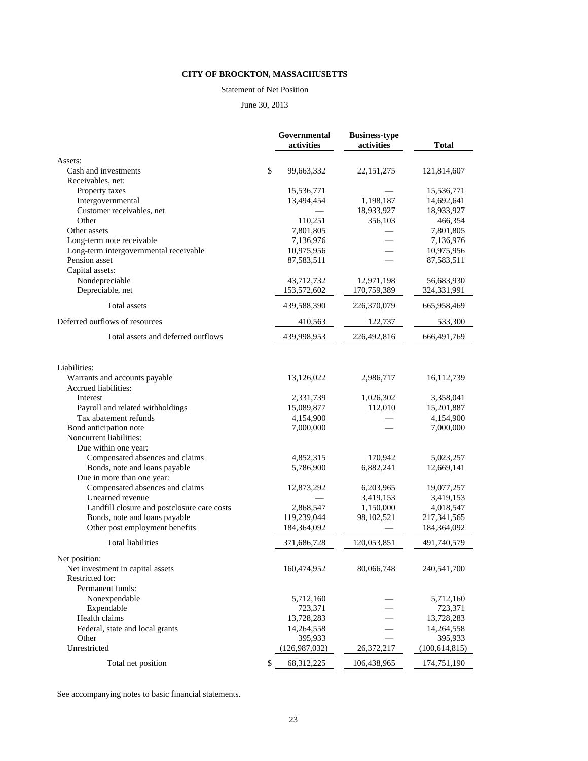#### Statement of Net Position

#### June 30, 2013

|                                                                                                                                                                                                                                                                                                                                                                                                                                                      | Governmental<br>activities                                                                                                          | <b>Business-type</b><br>activities                                                                             | <b>Total</b>                                                                                                                                        |
|------------------------------------------------------------------------------------------------------------------------------------------------------------------------------------------------------------------------------------------------------------------------------------------------------------------------------------------------------------------------------------------------------------------------------------------------------|-------------------------------------------------------------------------------------------------------------------------------------|----------------------------------------------------------------------------------------------------------------|-----------------------------------------------------------------------------------------------------------------------------------------------------|
| Assets:                                                                                                                                                                                                                                                                                                                                                                                                                                              |                                                                                                                                     |                                                                                                                |                                                                                                                                                     |
| Cash and investments                                                                                                                                                                                                                                                                                                                                                                                                                                 | \$<br>99,663,332                                                                                                                    | 22, 151, 275                                                                                                   | 121,814,607                                                                                                                                         |
| Receivables, net:                                                                                                                                                                                                                                                                                                                                                                                                                                    |                                                                                                                                     |                                                                                                                |                                                                                                                                                     |
| Property taxes                                                                                                                                                                                                                                                                                                                                                                                                                                       | 15,536,771                                                                                                                          |                                                                                                                | 15,536,771                                                                                                                                          |
| Intergovernmental                                                                                                                                                                                                                                                                                                                                                                                                                                    | 13,494,454                                                                                                                          | 1,198,187                                                                                                      | 14,692,641                                                                                                                                          |
| Customer receivables, net                                                                                                                                                                                                                                                                                                                                                                                                                            |                                                                                                                                     | 18,933,927                                                                                                     | 18,933,927                                                                                                                                          |
| Other                                                                                                                                                                                                                                                                                                                                                                                                                                                | 110,251                                                                                                                             | 356,103                                                                                                        | 466,354                                                                                                                                             |
| Other assets                                                                                                                                                                                                                                                                                                                                                                                                                                         | 7,801,805                                                                                                                           |                                                                                                                | 7,801,805                                                                                                                                           |
| Long-term note receivable                                                                                                                                                                                                                                                                                                                                                                                                                            | 7,136,976                                                                                                                           |                                                                                                                | 7,136,976                                                                                                                                           |
| Long-term intergovernmental receivable                                                                                                                                                                                                                                                                                                                                                                                                               | 10,975,956                                                                                                                          |                                                                                                                | 10,975,956                                                                                                                                          |
| Pension asset                                                                                                                                                                                                                                                                                                                                                                                                                                        | 87,583,511                                                                                                                          |                                                                                                                | 87,583,511                                                                                                                                          |
| Capital assets:                                                                                                                                                                                                                                                                                                                                                                                                                                      |                                                                                                                                     |                                                                                                                |                                                                                                                                                     |
| Nondepreciable                                                                                                                                                                                                                                                                                                                                                                                                                                       | 43,712,732                                                                                                                          | 12,971,198                                                                                                     | 56,683,930                                                                                                                                          |
| Depreciable, net                                                                                                                                                                                                                                                                                                                                                                                                                                     | 153,572,602                                                                                                                         | 170,759,389                                                                                                    | 324,331,991                                                                                                                                         |
| <b>Total assets</b>                                                                                                                                                                                                                                                                                                                                                                                                                                  | 439,588,390                                                                                                                         | 226,370,079                                                                                                    | 665,958,469                                                                                                                                         |
| Deferred outflows of resources                                                                                                                                                                                                                                                                                                                                                                                                                       | 410,563                                                                                                                             | 122,737                                                                                                        | 533,300                                                                                                                                             |
| Total assets and deferred outflows                                                                                                                                                                                                                                                                                                                                                                                                                   | 439,998,953                                                                                                                         | 226,492,816                                                                                                    | 666,491,769                                                                                                                                         |
| Warrants and accounts payable<br>Accrued liabilities:<br>Interest<br>Payroll and related withholdings<br>Tax abatement refunds<br>Bond anticipation note<br>Noncurrent liabilities:<br>Due within one year:<br>Compensated absences and claims<br>Bonds, note and loans payable<br>Due in more than one year:<br>Compensated absences and claims<br>Unearned revenue<br>Landfill closure and postclosure care costs<br>Bonds, note and loans payable | 13,126,022<br>2,331,739<br>15,089,877<br>4,154,900<br>7,000,000<br>4,852,315<br>5,786,900<br>12,873,292<br>2,868,547<br>119,239,044 | 2,986,717<br>1,026,302<br>112,010<br>170,942<br>6,882,241<br>6,203,965<br>3,419,153<br>1,150,000<br>98,102,521 | 16,112,739<br>3,358,041<br>15,201,887<br>4,154,900<br>7,000,000<br>5,023,257<br>12,669,141<br>19,077,257<br>3,419,153<br>4,018,547<br>217, 341, 565 |
| Other post employment benefits                                                                                                                                                                                                                                                                                                                                                                                                                       | 184,364,092                                                                                                                         |                                                                                                                | 184,364,092                                                                                                                                         |
| <b>Total liabilities</b>                                                                                                                                                                                                                                                                                                                                                                                                                             | 371,686,728                                                                                                                         | 120,053,851                                                                                                    | 491,740,579                                                                                                                                         |
| Net position:                                                                                                                                                                                                                                                                                                                                                                                                                                        |                                                                                                                                     |                                                                                                                |                                                                                                                                                     |
| Net investment in capital assets<br>Restricted for:<br>Permanent funds:                                                                                                                                                                                                                                                                                                                                                                              | 160,474,952                                                                                                                         | 80,066,748                                                                                                     | 240,541,700                                                                                                                                         |
| Nonexpendable                                                                                                                                                                                                                                                                                                                                                                                                                                        | 5,712,160                                                                                                                           |                                                                                                                | 5,712,160                                                                                                                                           |
| Expendable                                                                                                                                                                                                                                                                                                                                                                                                                                           | 723,371                                                                                                                             |                                                                                                                | 723,371                                                                                                                                             |
| Health claims                                                                                                                                                                                                                                                                                                                                                                                                                                        |                                                                                                                                     |                                                                                                                |                                                                                                                                                     |
|                                                                                                                                                                                                                                                                                                                                                                                                                                                      | 13,728,283                                                                                                                          |                                                                                                                | 13,728,283                                                                                                                                          |
| Federal, state and local grants                                                                                                                                                                                                                                                                                                                                                                                                                      | 14,264,558                                                                                                                          |                                                                                                                | 14,264,558                                                                                                                                          |
| Other                                                                                                                                                                                                                                                                                                                                                                                                                                                | 395,933                                                                                                                             |                                                                                                                | 395,933                                                                                                                                             |
| Unrestricted                                                                                                                                                                                                                                                                                                                                                                                                                                         | (126, 987, 032)                                                                                                                     | 26,372,217                                                                                                     | (100, 614, 815)                                                                                                                                     |
| Total net position                                                                                                                                                                                                                                                                                                                                                                                                                                   | \$<br>68,312,225                                                                                                                    | 106,438,965                                                                                                    | 174,751,190                                                                                                                                         |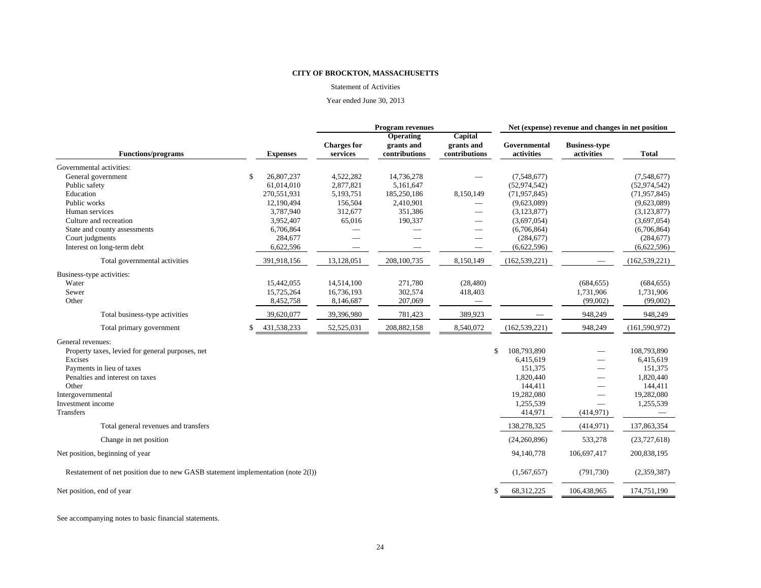#### Statement of Activities

#### Year ended June 30, 2013

| Capital<br>Operating<br>grants and<br>grants and<br>Governmental<br><b>Business-type</b><br><b>Charges for</b><br>contributions<br>contributions<br>activities<br><b>Total</b><br><b>Functions/programs</b><br>services<br>activities<br><b>Expenses</b><br>Governmental activities:<br>$\mathbb{S}$<br>26,807,237<br>4,522,282<br>General government<br>14,736,278<br>(7,548,677)<br>(7,548,677)<br>2,877,821<br>61,014,010<br>(52, 974, 542)<br>(52, 974, 542)<br>Public safety<br>5,161,647<br>270,551,931<br>5,193,751<br>185,250,186<br>8,150,149<br>(71, 957, 845)<br>Education<br>(71, 957, 845)<br>Public works<br>12,190,494<br>156,504<br>2,410,901<br>(9,623,089)<br>(9,623,089)<br>3,787,940<br>312,677<br>351,386<br>(3, 123, 877)<br>Human services<br>(3, 123, 877)<br>$\overline{\phantom{0}}$<br>3,952,407<br>65,016<br>(3,697,054)<br>Culture and recreation<br>190,337<br>(3,697,054)<br>State and county assessments<br>6,706,864<br>(6,706,864)<br>(6,706,864)<br>$\overline{\phantom{0}}$<br>$\overline{\phantom{0}}$<br>Court judgments<br>284,677<br>(284, 677)<br>(284, 677)<br>6,622,596<br>(6,622,596)<br>(6,622,596)<br>Interest on long-term debt<br>$\qquad \qquad$<br>391,918,156<br>13,128,051<br>208,100,735<br>(162, 539, 221)<br>Total governmental activities<br>8,150,149<br>(162, 539, 221)<br>Business-type activities:<br>15,442,055<br>14,514,100<br>271,780<br>(28, 480)<br>(684, 655)<br>(684, 655)<br>Water<br>Sewer<br>15,725,264<br>16,736,193<br>302,574<br>418,403<br>1,731,906<br>1,731,906<br>8,452,758<br>Other<br>8,146,687<br>207,069<br>(99,002)<br>(99,002)<br>389,923<br>948,249<br>Total business-type activities<br>39,620,077<br>39,396,980<br>781,423<br>948,249<br>948,249<br>208, 882, 158<br>8,540,072<br>(162, 539, 221)<br>(161, 590, 972)<br>Total primary government<br>\$<br>431,538,233<br>52,525,031<br>General revenues:<br>Property taxes, levied for general purposes, net<br>108,793,890<br>\$<br>108,793,890<br>Excises<br>6,415,619<br>6,415,619<br>Payments in lieu of taxes<br>151,375<br>151,375<br>Penalties and interest on taxes<br>1,820,440<br>1,820,440<br>$\overline{\phantom{0}}$<br>144,411<br>Other<br>144,411<br>$\overline{\phantom{0}}$<br>19,282,080<br>19,282,080<br>Intergovernmental<br>$\overline{\phantom{0}}$<br>1,255,539<br>Investment income<br>1,255,539<br>$\equiv$<br>Transfers<br>414,971<br>(414,971)<br>Total general revenues and transfers<br>138,278,325<br>137,863,354<br>(414, 971)<br>Change in net position<br>(24, 260, 896)<br>533,278<br>(23,727,618)<br>Net position, beginning of year<br>94,140,778<br>106,697,417<br>200,838,195<br>Restatement of net position due to new GASB statement implementation (note 2(1))<br>(2,359,387)<br>(1,567,657)<br>(791, 730)<br>68,312,225<br>106,438,965<br>174,751,190<br>Net position, end of year<br>\$. |  | <b>Program revenues</b> |  |  | Net (expense) revenue and changes in net position |  |  |  |
|----------------------------------------------------------------------------------------------------------------------------------------------------------------------------------------------------------------------------------------------------------------------------------------------------------------------------------------------------------------------------------------------------------------------------------------------------------------------------------------------------------------------------------------------------------------------------------------------------------------------------------------------------------------------------------------------------------------------------------------------------------------------------------------------------------------------------------------------------------------------------------------------------------------------------------------------------------------------------------------------------------------------------------------------------------------------------------------------------------------------------------------------------------------------------------------------------------------------------------------------------------------------------------------------------------------------------------------------------------------------------------------------------------------------------------------------------------------------------------------------------------------------------------------------------------------------------------------------------------------------------------------------------------------------------------------------------------------------------------------------------------------------------------------------------------------------------------------------------------------------------------------------------------------------------------------------------------------------------------------------------------------------------------------------------------------------------------------------------------------------------------------------------------------------------------------------------------------------------------------------------------------------------------------------------------------------------------------------------------------------------------------------------------------------------------------------------------------------------------------------------------------------------------------------------------------------------------------------------------------------------------------------------------------------------------------------------------------------------------------------------------------------------------------------------------------------------------------------------------------------------|--|-------------------------|--|--|---------------------------------------------------|--|--|--|
|                                                                                                                                                                                                                                                                                                                                                                                                                                                                                                                                                                                                                                                                                                                                                                                                                                                                                                                                                                                                                                                                                                                                                                                                                                                                                                                                                                                                                                                                                                                                                                                                                                                                                                                                                                                                                                                                                                                                                                                                                                                                                                                                                                                                                                                                                                                                                                                                                                                                                                                                                                                                                                                                                                                                                                                                                                                                            |  |                         |  |  |                                                   |  |  |  |
|                                                                                                                                                                                                                                                                                                                                                                                                                                                                                                                                                                                                                                                                                                                                                                                                                                                                                                                                                                                                                                                                                                                                                                                                                                                                                                                                                                                                                                                                                                                                                                                                                                                                                                                                                                                                                                                                                                                                                                                                                                                                                                                                                                                                                                                                                                                                                                                                                                                                                                                                                                                                                                                                                                                                                                                                                                                                            |  |                         |  |  |                                                   |  |  |  |
|                                                                                                                                                                                                                                                                                                                                                                                                                                                                                                                                                                                                                                                                                                                                                                                                                                                                                                                                                                                                                                                                                                                                                                                                                                                                                                                                                                                                                                                                                                                                                                                                                                                                                                                                                                                                                                                                                                                                                                                                                                                                                                                                                                                                                                                                                                                                                                                                                                                                                                                                                                                                                                                                                                                                                                                                                                                                            |  |                         |  |  |                                                   |  |  |  |
|                                                                                                                                                                                                                                                                                                                                                                                                                                                                                                                                                                                                                                                                                                                                                                                                                                                                                                                                                                                                                                                                                                                                                                                                                                                                                                                                                                                                                                                                                                                                                                                                                                                                                                                                                                                                                                                                                                                                                                                                                                                                                                                                                                                                                                                                                                                                                                                                                                                                                                                                                                                                                                                                                                                                                                                                                                                                            |  |                         |  |  |                                                   |  |  |  |
|                                                                                                                                                                                                                                                                                                                                                                                                                                                                                                                                                                                                                                                                                                                                                                                                                                                                                                                                                                                                                                                                                                                                                                                                                                                                                                                                                                                                                                                                                                                                                                                                                                                                                                                                                                                                                                                                                                                                                                                                                                                                                                                                                                                                                                                                                                                                                                                                                                                                                                                                                                                                                                                                                                                                                                                                                                                                            |  |                         |  |  |                                                   |  |  |  |
|                                                                                                                                                                                                                                                                                                                                                                                                                                                                                                                                                                                                                                                                                                                                                                                                                                                                                                                                                                                                                                                                                                                                                                                                                                                                                                                                                                                                                                                                                                                                                                                                                                                                                                                                                                                                                                                                                                                                                                                                                                                                                                                                                                                                                                                                                                                                                                                                                                                                                                                                                                                                                                                                                                                                                                                                                                                                            |  |                         |  |  |                                                   |  |  |  |
|                                                                                                                                                                                                                                                                                                                                                                                                                                                                                                                                                                                                                                                                                                                                                                                                                                                                                                                                                                                                                                                                                                                                                                                                                                                                                                                                                                                                                                                                                                                                                                                                                                                                                                                                                                                                                                                                                                                                                                                                                                                                                                                                                                                                                                                                                                                                                                                                                                                                                                                                                                                                                                                                                                                                                                                                                                                                            |  |                         |  |  |                                                   |  |  |  |
|                                                                                                                                                                                                                                                                                                                                                                                                                                                                                                                                                                                                                                                                                                                                                                                                                                                                                                                                                                                                                                                                                                                                                                                                                                                                                                                                                                                                                                                                                                                                                                                                                                                                                                                                                                                                                                                                                                                                                                                                                                                                                                                                                                                                                                                                                                                                                                                                                                                                                                                                                                                                                                                                                                                                                                                                                                                                            |  |                         |  |  |                                                   |  |  |  |
|                                                                                                                                                                                                                                                                                                                                                                                                                                                                                                                                                                                                                                                                                                                                                                                                                                                                                                                                                                                                                                                                                                                                                                                                                                                                                                                                                                                                                                                                                                                                                                                                                                                                                                                                                                                                                                                                                                                                                                                                                                                                                                                                                                                                                                                                                                                                                                                                                                                                                                                                                                                                                                                                                                                                                                                                                                                                            |  |                         |  |  |                                                   |  |  |  |
|                                                                                                                                                                                                                                                                                                                                                                                                                                                                                                                                                                                                                                                                                                                                                                                                                                                                                                                                                                                                                                                                                                                                                                                                                                                                                                                                                                                                                                                                                                                                                                                                                                                                                                                                                                                                                                                                                                                                                                                                                                                                                                                                                                                                                                                                                                                                                                                                                                                                                                                                                                                                                                                                                                                                                                                                                                                                            |  |                         |  |  |                                                   |  |  |  |
|                                                                                                                                                                                                                                                                                                                                                                                                                                                                                                                                                                                                                                                                                                                                                                                                                                                                                                                                                                                                                                                                                                                                                                                                                                                                                                                                                                                                                                                                                                                                                                                                                                                                                                                                                                                                                                                                                                                                                                                                                                                                                                                                                                                                                                                                                                                                                                                                                                                                                                                                                                                                                                                                                                                                                                                                                                                                            |  |                         |  |  |                                                   |  |  |  |
|                                                                                                                                                                                                                                                                                                                                                                                                                                                                                                                                                                                                                                                                                                                                                                                                                                                                                                                                                                                                                                                                                                                                                                                                                                                                                                                                                                                                                                                                                                                                                                                                                                                                                                                                                                                                                                                                                                                                                                                                                                                                                                                                                                                                                                                                                                                                                                                                                                                                                                                                                                                                                                                                                                                                                                                                                                                                            |  |                         |  |  |                                                   |  |  |  |
|                                                                                                                                                                                                                                                                                                                                                                                                                                                                                                                                                                                                                                                                                                                                                                                                                                                                                                                                                                                                                                                                                                                                                                                                                                                                                                                                                                                                                                                                                                                                                                                                                                                                                                                                                                                                                                                                                                                                                                                                                                                                                                                                                                                                                                                                                                                                                                                                                                                                                                                                                                                                                                                                                                                                                                                                                                                                            |  |                         |  |  |                                                   |  |  |  |
|                                                                                                                                                                                                                                                                                                                                                                                                                                                                                                                                                                                                                                                                                                                                                                                                                                                                                                                                                                                                                                                                                                                                                                                                                                                                                                                                                                                                                                                                                                                                                                                                                                                                                                                                                                                                                                                                                                                                                                                                                                                                                                                                                                                                                                                                                                                                                                                                                                                                                                                                                                                                                                                                                                                                                                                                                                                                            |  |                         |  |  |                                                   |  |  |  |
|                                                                                                                                                                                                                                                                                                                                                                                                                                                                                                                                                                                                                                                                                                                                                                                                                                                                                                                                                                                                                                                                                                                                                                                                                                                                                                                                                                                                                                                                                                                                                                                                                                                                                                                                                                                                                                                                                                                                                                                                                                                                                                                                                                                                                                                                                                                                                                                                                                                                                                                                                                                                                                                                                                                                                                                                                                                                            |  |                         |  |  |                                                   |  |  |  |
|                                                                                                                                                                                                                                                                                                                                                                                                                                                                                                                                                                                                                                                                                                                                                                                                                                                                                                                                                                                                                                                                                                                                                                                                                                                                                                                                                                                                                                                                                                                                                                                                                                                                                                                                                                                                                                                                                                                                                                                                                                                                                                                                                                                                                                                                                                                                                                                                                                                                                                                                                                                                                                                                                                                                                                                                                                                                            |  |                         |  |  |                                                   |  |  |  |
|                                                                                                                                                                                                                                                                                                                                                                                                                                                                                                                                                                                                                                                                                                                                                                                                                                                                                                                                                                                                                                                                                                                                                                                                                                                                                                                                                                                                                                                                                                                                                                                                                                                                                                                                                                                                                                                                                                                                                                                                                                                                                                                                                                                                                                                                                                                                                                                                                                                                                                                                                                                                                                                                                                                                                                                                                                                                            |  |                         |  |  |                                                   |  |  |  |
|                                                                                                                                                                                                                                                                                                                                                                                                                                                                                                                                                                                                                                                                                                                                                                                                                                                                                                                                                                                                                                                                                                                                                                                                                                                                                                                                                                                                                                                                                                                                                                                                                                                                                                                                                                                                                                                                                                                                                                                                                                                                                                                                                                                                                                                                                                                                                                                                                                                                                                                                                                                                                                                                                                                                                                                                                                                                            |  |                         |  |  |                                                   |  |  |  |
|                                                                                                                                                                                                                                                                                                                                                                                                                                                                                                                                                                                                                                                                                                                                                                                                                                                                                                                                                                                                                                                                                                                                                                                                                                                                                                                                                                                                                                                                                                                                                                                                                                                                                                                                                                                                                                                                                                                                                                                                                                                                                                                                                                                                                                                                                                                                                                                                                                                                                                                                                                                                                                                                                                                                                                                                                                                                            |  |                         |  |  |                                                   |  |  |  |
|                                                                                                                                                                                                                                                                                                                                                                                                                                                                                                                                                                                                                                                                                                                                                                                                                                                                                                                                                                                                                                                                                                                                                                                                                                                                                                                                                                                                                                                                                                                                                                                                                                                                                                                                                                                                                                                                                                                                                                                                                                                                                                                                                                                                                                                                                                                                                                                                                                                                                                                                                                                                                                                                                                                                                                                                                                                                            |  |                         |  |  |                                                   |  |  |  |
|                                                                                                                                                                                                                                                                                                                                                                                                                                                                                                                                                                                                                                                                                                                                                                                                                                                                                                                                                                                                                                                                                                                                                                                                                                                                                                                                                                                                                                                                                                                                                                                                                                                                                                                                                                                                                                                                                                                                                                                                                                                                                                                                                                                                                                                                                                                                                                                                                                                                                                                                                                                                                                                                                                                                                                                                                                                                            |  |                         |  |  |                                                   |  |  |  |
|                                                                                                                                                                                                                                                                                                                                                                                                                                                                                                                                                                                                                                                                                                                                                                                                                                                                                                                                                                                                                                                                                                                                                                                                                                                                                                                                                                                                                                                                                                                                                                                                                                                                                                                                                                                                                                                                                                                                                                                                                                                                                                                                                                                                                                                                                                                                                                                                                                                                                                                                                                                                                                                                                                                                                                                                                                                                            |  |                         |  |  |                                                   |  |  |  |
|                                                                                                                                                                                                                                                                                                                                                                                                                                                                                                                                                                                                                                                                                                                                                                                                                                                                                                                                                                                                                                                                                                                                                                                                                                                                                                                                                                                                                                                                                                                                                                                                                                                                                                                                                                                                                                                                                                                                                                                                                                                                                                                                                                                                                                                                                                                                                                                                                                                                                                                                                                                                                                                                                                                                                                                                                                                                            |  |                         |  |  |                                                   |  |  |  |
|                                                                                                                                                                                                                                                                                                                                                                                                                                                                                                                                                                                                                                                                                                                                                                                                                                                                                                                                                                                                                                                                                                                                                                                                                                                                                                                                                                                                                                                                                                                                                                                                                                                                                                                                                                                                                                                                                                                                                                                                                                                                                                                                                                                                                                                                                                                                                                                                                                                                                                                                                                                                                                                                                                                                                                                                                                                                            |  |                         |  |  |                                                   |  |  |  |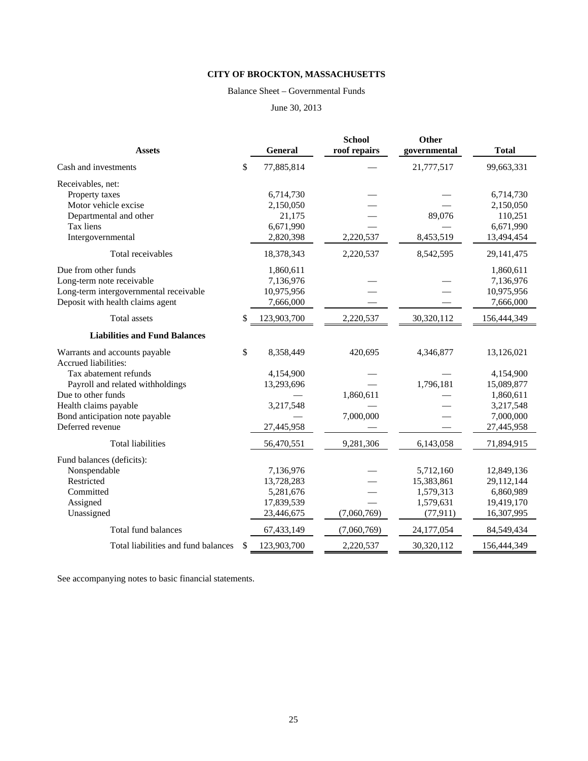## Balance Sheet – Governmental Funds

June 30, 2013

| <b>Assets</b>                                                                                                                   | General                                                          | <b>School</b><br>roof repairs | Other<br>governmental                                          | <b>Total</b>                                                      |
|---------------------------------------------------------------------------------------------------------------------------------|------------------------------------------------------------------|-------------------------------|----------------------------------------------------------------|-------------------------------------------------------------------|
| Cash and investments                                                                                                            | \$<br>77,885,814                                                 |                               | 21,777,517                                                     | 99,663,331                                                        |
| Receivables, net:<br>Property taxes<br>Motor vehicle excise<br>Departmental and other<br>Tax liens<br>Intergovernmental         | 6,714,730<br>2,150,050<br>21,175<br>6,671,990<br>2,820,398       | 2,220,537                     | 89,076<br>8,453,519                                            | 6,714,730<br>2,150,050<br>110,251<br>6,671,990<br>13,494,454      |
| Total receivables                                                                                                               | 18,378,343                                                       | 2,220,537                     | 8,542,595                                                      | 29, 141, 475                                                      |
| Due from other funds<br>Long-term note receivable<br>Long-term intergovernmental receivable<br>Deposit with health claims agent | 1,860,611<br>7,136,976<br>10,975,956<br>7,666,000                |                               |                                                                | 1,860,611<br>7,136,976<br>10,975,956<br>7,666,000                 |
| Total assets                                                                                                                    | \$<br>123,903,700                                                | 2,220,537                     | 30,320,112                                                     | 156,444,349                                                       |
| <b>Liabilities and Fund Balances</b>                                                                                            |                                                                  |                               |                                                                |                                                                   |
| Warrants and accounts payable<br>Accrued liabilities:                                                                           | \$<br>8,358,449                                                  | 420,695                       | 4,346,877                                                      | 13,126,021                                                        |
| Tax abatement refunds<br>Payroll and related withholdings<br>Due to other funds<br>Health claims payable                        | 4,154,900<br>13,293,696<br>3,217,548                             | 1,860,611                     | 1,796,181                                                      | 4,154,900<br>15,089,877<br>1,860,611<br>3,217,548                 |
| Bond anticipation note payable<br>Deferred revenue                                                                              | 27,445,958                                                       | 7,000,000                     |                                                                | 7,000,000<br>27,445,958                                           |
| <b>Total liabilities</b>                                                                                                        | 56,470,551                                                       | 9,281,306                     | 6,143,058                                                      | 71,894,915                                                        |
| Fund balances (deficits):<br>Nonspendable<br>Restricted<br>Committed<br>Assigned<br>Unassigned                                  | 7,136,976<br>13,728,283<br>5,281,676<br>17,839,539<br>23,446,675 | (7,060,769)                   | 5,712,160<br>15,383,861<br>1,579,313<br>1,579,631<br>(77, 911) | 12,849,136<br>29,112,144<br>6,860,989<br>19,419,170<br>16,307,995 |
| Total fund balances                                                                                                             | 67,433,149                                                       | (7,060,769)                   | 24,177,054                                                     | 84,549,434                                                        |
| Total liabilities and fund balances                                                                                             | \$<br>123,903,700                                                | 2,220,537                     | 30,320,112                                                     | 156,444,349                                                       |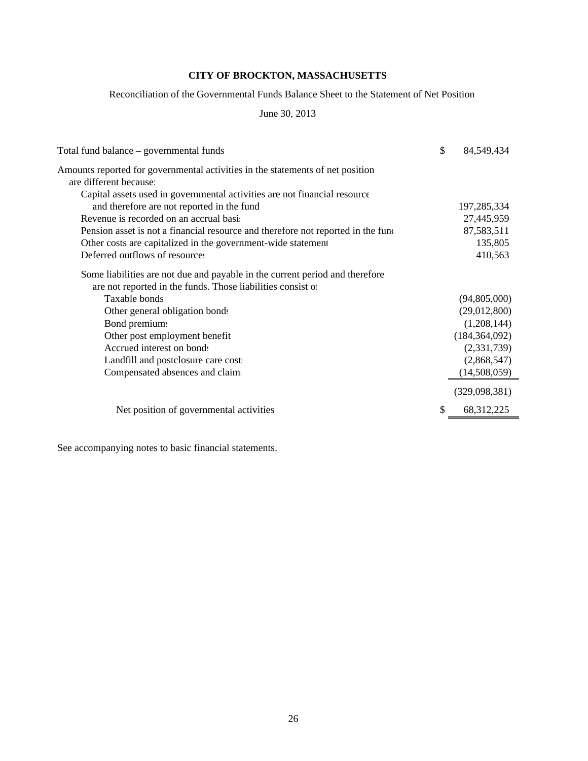## Reconciliation of the Governmental Funds Balance Sheet to the Statement of Net Position

June 30, 2013

| Total fund balance – governmental funds                                          | \$<br>84,549,434 |
|----------------------------------------------------------------------------------|------------------|
| Amounts reported for governmental activities in the statements of net position   |                  |
| are different because:                                                           |                  |
| Capital assets used in governmental activities are not financial resource        |                  |
| and therefore are not reported in the fund                                       | 197,285,334      |
| Revenue is recorded on an accrual basi.                                          | 27,445,959       |
| Pension asset is not a financial resource and therefore not reported in the func | 87,583,511       |
| Other costs are capitalized in the government-wide statement                     | 135,805          |
| Deferred outflows of resources                                                   | 410,563          |
| Some liabilities are not due and payable in the current period and therefore     |                  |
| are not reported in the funds. Those liabilities consist of                      |                  |
| Taxable bonds                                                                    | (94,805,000)     |
| Other general obligation bonds                                                   | (29,012,800)     |
| Bond premiums                                                                    | (1,208,144)      |
| Other post employment benefit                                                    | (184, 364, 092)  |
| Accrued interest on bonds                                                        | (2,331,739)      |
| Landfill and postclosure care cost:                                              | (2,868,547)      |
| Compensated absences and claim:                                                  | (14,508,059)     |
|                                                                                  | (329,098,381)    |
| Net position of governmental activities                                          | \$<br>68,312,225 |
|                                                                                  |                  |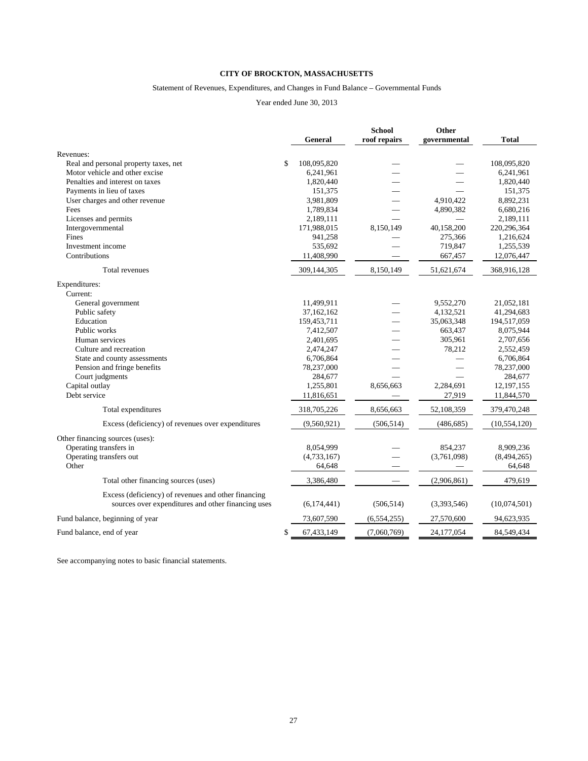## Statement of Revenues, Expenditures, and Changes in Fund Balance – Governmental Funds

#### Year ended June 30, 2013

|                                                     |                   | <b>School</b>            | Other                    |                |
|-----------------------------------------------------|-------------------|--------------------------|--------------------------|----------------|
|                                                     | General           | roof repairs             | governmental             | <b>Total</b>   |
| Revenues:                                           |                   |                          |                          |                |
| Real and personal property taxes, net               | \$<br>108,095,820 |                          |                          | 108,095,820    |
| Motor vehicle and other excise                      | 6,241,961         |                          |                          | 6,241,961      |
| Penalties and interest on taxes                     | 1,820,440         |                          |                          | 1,820,440      |
| Payments in lieu of taxes                           | 151,375           |                          |                          | 151,375        |
| User charges and other revenue                      | 3,981,809         |                          | 4,910,422                | 8,892,231      |
| Fees                                                | 1,789,834         |                          | 4,890,382                | 6,680,216      |
| Licenses and permits                                | 2,189,111         |                          |                          | 2,189,111      |
| Intergovernmental                                   | 171,988,015       | 8,150,149                | 40,158,200               | 220,296,364    |
| Fines                                               | 941,258           |                          | 275,366                  | 1,216,624      |
| Investment income                                   | 535,692           |                          | 719,847                  | 1,255,539      |
| Contributions                                       | 11,408,990        |                          | 667,457                  | 12,076,447     |
| Total revenues                                      | 309,144,305       | 8,150,149                | 51,621,674               | 368,916,128    |
| Expenditures:                                       |                   |                          |                          |                |
| Current:                                            |                   |                          |                          |                |
| General government                                  | 11,499,911        |                          | 9,552,270                | 21,052,181     |
| Public safety                                       | 37,162,162        |                          | 4,132,521                | 41,294,683     |
| Education                                           | 159,453,711       |                          | 35,063,348               | 194,517,059    |
| Public works                                        | 7,412,507         |                          | 663,437                  | 8,075,944      |
| Human services                                      | 2,401,695         |                          | 305,961                  | 2,707,656      |
| Culture and recreation                              | 2,474,247         |                          | 78,212                   | 2,552,459      |
| State and county assessments                        | 6,706,864         |                          |                          | 6,706,864      |
| Pension and fringe benefits                         | 78,237,000        |                          |                          | 78,237,000     |
| Court judgments                                     | 284,677           | $\overline{\phantom{0}}$ | $\overline{\phantom{a}}$ | 284,677        |
| Capital outlay                                      | 1,255,801         | 8,656,663                | 2,284,691                | 12, 197, 155   |
| Debt service                                        | 11,816,651        |                          | 27,919                   | 11,844,570     |
| Total expenditures                                  | 318,705,226       | 8,656,663                | 52,108,359               | 379,470,248    |
| Excess (deficiency) of revenues over expenditures   | (9,560,921)       | (506, 514)               | (486, 685)               | (10, 554, 120) |
| Other financing sources (uses):                     |                   |                          |                          |                |
| Operating transfers in                              | 8,054,999         |                          | 854,237                  | 8,909,236      |
| Operating transfers out                             | (4,733,167)       |                          | (3,761,098)              | (8,494,265)    |
| Other                                               | 64,648            |                          |                          | 64,648         |
| Total other financing sources (uses)                | 3,386,480         |                          | (2,906,861)              | 479,619        |
| Excess (deficiency) of revenues and other financing |                   |                          |                          |                |
| sources over expenditures and other financing uses  | (6,174,441)       | (506, 514)               | (3,393,546)              | (10,074,501)   |
| Fund balance, beginning of year                     | 73,607,590        | (6, 554, 255)            | 27,570,600               | 94,623,935     |
| Fund balance, end of year                           | \$<br>67,433,149  | (7,060,769)              | 24, 177, 054             | 84,549,434     |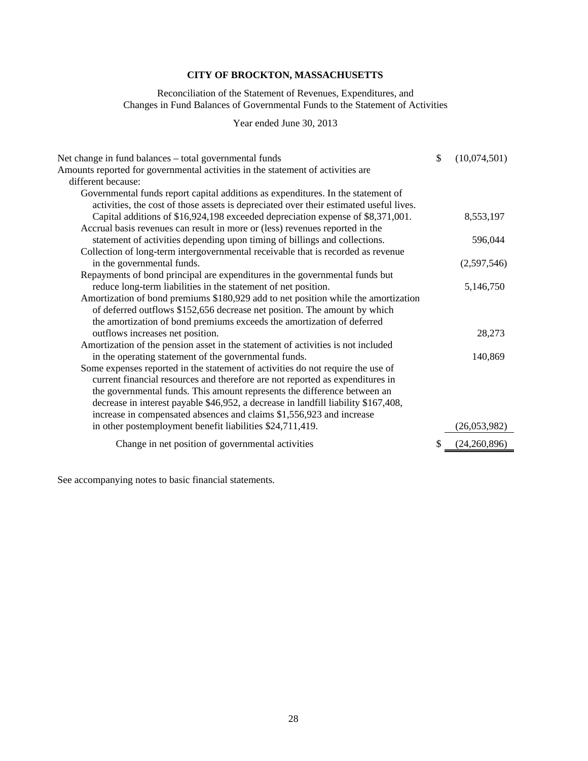Reconciliation of the Statement of Revenues, Expenditures, and Changes in Fund Balances of Governmental Funds to the Statement of Activities

Year ended June 30, 2013

| Net change in fund balances - total governmental funds                                 | \$<br>(10,074,501) |
|----------------------------------------------------------------------------------------|--------------------|
| Amounts reported for governmental activities in the statement of activities are        |                    |
| different because:                                                                     |                    |
| Governmental funds report capital additions as expenditures. In the statement of       |                    |
| activities, the cost of those assets is depreciated over their estimated useful lives. |                    |
| Capital additions of \$16,924,198 exceeded depreciation expense of \$8,371,001.        | 8,553,197          |
| Accrual basis revenues can result in more or (less) revenues reported in the           |                    |
| statement of activities depending upon timing of billings and collections.             | 596,044            |
| Collection of long-term intergovernmental receivable that is recorded as revenue       |                    |
| in the governmental funds.                                                             | (2,597,546)        |
| Repayments of bond principal are expenditures in the governmental funds but            |                    |
| reduce long-term liabilities in the statement of net position.                         | 5,146,750          |
| Amortization of bond premiums \$180,929 add to net position while the amortization     |                    |
| of deferred outflows \$152,656 decrease net position. The amount by which              |                    |
| the amortization of bond premiums exceeds the amortization of deferred                 |                    |
| outflows increases net position.                                                       | 28,273             |
| Amortization of the pension asset in the statement of activities is not included       |                    |
| in the operating statement of the governmental funds.                                  | 140,869            |
| Some expenses reported in the statement of activities do not require the use of        |                    |
| current financial resources and therefore are not reported as expenditures in          |                    |
| the governmental funds. This amount represents the difference between an               |                    |
| decrease in interest payable \$46,952, a decrease in landfill liability \$167,408,     |                    |
| increase in compensated absences and claims \$1,556,923 and increase                   |                    |
| in other postemployment benefit liabilities \$24,711,419.                              | (26,053,982)       |
| Change in net position of governmental activities                                      | \$<br>(24,260,896) |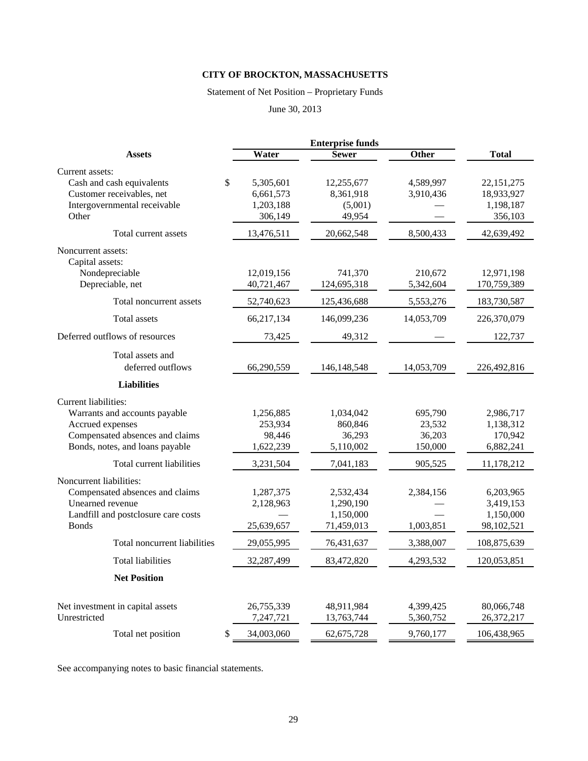## Statement of Net Position – Proprietary Funds

June 30, 2013

| <b>Assets</b>                       | Water      | <b>Sewer</b>  | <b>Other</b> | <b>Total</b> |
|-------------------------------------|------------|---------------|--------------|--------------|
| Current assets:                     |            |               |              |              |
| Cash and cash equivalents<br>\$     | 5,305,601  | 12,255,677    | 4,589,997    | 22,151,275   |
| Customer receivables, net           | 6,661,573  | 8,361,918     | 3,910,436    | 18,933,927   |
| Intergovernmental receivable        | 1,203,188  | (5,001)       |              | 1,198,187    |
| Other                               | 306,149    | 49,954        |              | 356,103      |
| Total current assets                | 13,476,511 | 20,662,548    | 8,500,433    | 42,639,492   |
| Noncurrent assets:                  |            |               |              |              |
| Capital assets:                     |            |               |              |              |
| Nondepreciable                      | 12,019,156 | 741,370       | 210,672      | 12,971,198   |
| Depreciable, net                    | 40,721,467 | 124,695,318   | 5,342,604    | 170,759,389  |
| Total noncurrent assets             | 52,740,623 | 125,436,688   | 5,553,276    | 183,730,587  |
| <b>Total assets</b>                 | 66,217,134 | 146,099,236   | 14,053,709   | 226,370,079  |
| Deferred outflows of resources      | 73,425     | 49,312        |              | 122,737      |
| Total assets and                    |            |               |              |              |
| deferred outflows                   | 66,290,559 | 146, 148, 548 | 14,053,709   | 226,492,816  |
| <b>Liabilities</b>                  |            |               |              |              |
| Current liabilities:                |            |               |              |              |
| Warrants and accounts payable       | 1,256,885  | 1,034,042     | 695,790      | 2,986,717    |
| Accrued expenses                    | 253,934    | 860,846       | 23,532       | 1,138,312    |
| Compensated absences and claims     | 98,446     | 36,293        | 36,203       | 170,942      |
| Bonds, notes, and loans payable     | 1,622,239  | 5,110,002     | 150,000      | 6,882,241    |
| Total current liabilities           | 3,231,504  | 7,041,183     | 905,525      | 11,178,212   |
| Noncurrent liabilities:             |            |               |              |              |
| Compensated absences and claims     | 1,287,375  | 2,532,434     | 2,384,156    | 6,203,965    |
| Unearned revenue                    | 2,128,963  | 1,290,190     |              | 3,419,153    |
| Landfill and postclosure care costs |            | 1,150,000     |              | 1,150,000    |
| <b>Bonds</b>                        | 25,639,657 | 71,459,013    | 1,003,851    | 98,102,521   |
| Total noncurrent liabilities        | 29,055,995 | 76,431,637    | 3,388,007    | 108,875,639  |
| <b>Total liabilities</b>            | 32,287,499 | 83,472,820    | 4,293,532    | 120,053,851  |
| <b>Net Position</b>                 |            |               |              |              |
|                                     |            |               |              |              |
| Net investment in capital assets    | 26,755,339 | 48,911,984    | 4,399,425    | 80,066,748   |
| Unrestricted                        | 7,247,721  | 13,763,744    | 5,360,752    | 26,372,217   |
| \$<br>Total net position            | 34,003,060 | 62, 675, 728  | 9,760,177    | 106,438,965  |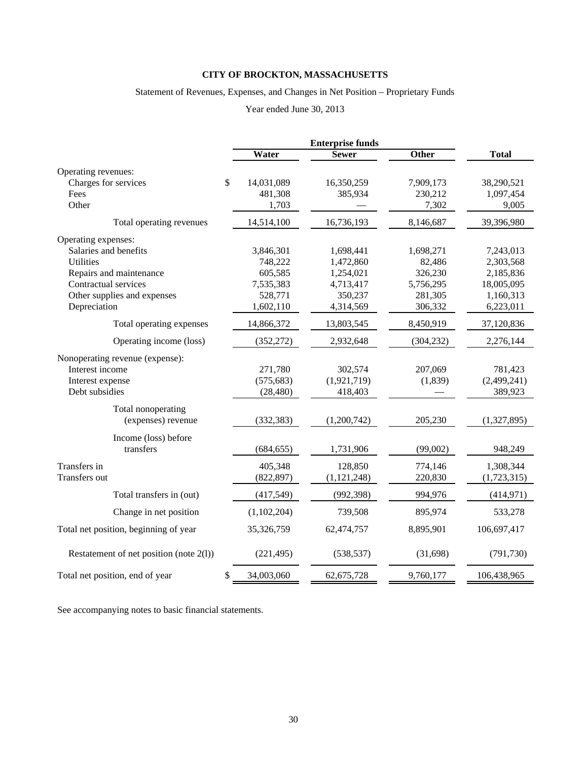## Statement of Revenues, Expenses, and Changes in Net Position – Proprietary Funds

## Year ended June 30, 2013

|                                            |              | Water       | <b>Sewer</b>  | <b>Other</b> | <b>Total</b> |
|--------------------------------------------|--------------|-------------|---------------|--------------|--------------|
| Operating revenues:                        |              |             |               |              |              |
| Charges for services                       | $\mathbb{S}$ | 14,031,089  | 16,350,259    | 7,909,173    | 38,290,521   |
| <b>Fees</b>                                |              | 481,308     | 385,934       | 230,212      | 1,097,454    |
| Other                                      |              | 1,703       |               | 7,302        | 9,005        |
| Total operating revenues                   |              | 14,514,100  | 16,736,193    | 8,146,687    | 39,396,980   |
| Operating expenses:                        |              |             |               |              |              |
| Salaries and benefits                      |              | 3,846,301   | 1,698,441     | 1,698,271    | 7,243,013    |
| <b>Utilities</b>                           |              | 748,222     | 1,472,860     | 82,486       | 2,303,568    |
| Repairs and maintenance                    |              | 605,585     | 1,254,021     | 326,230      | 2,185,836    |
| Contractual services                       |              | 7,535,383   | 4,713,417     | 5,756,295    | 18,005,095   |
| Other supplies and expenses                |              | 528,771     | 350,237       | 281,305      | 1,160,313    |
| Depreciation                               |              | 1,602,110   | 4,314,569     | 306,332      | 6,223,011    |
| Total operating expenses                   |              | 14,866,372  | 13,803,545    | 8,450,919    | 37,120,836   |
| Operating income (loss)                    |              | (352, 272)  | 2,932,648     | (304, 232)   | 2,276,144    |
| Nonoperating revenue (expense):            |              |             |               |              |              |
| Interest income                            |              | 271,780     | 302,574       | 207,069      | 781,423      |
| Interest expense                           |              | (575, 683)  | (1, 921, 719) | (1,839)      | (2,499,241)  |
| Debt subsidies                             |              | (28, 480)   | 418,403       |              | 389,923      |
| Total nonoperating                         |              |             |               |              |              |
| (expenses) revenue                         |              | (332, 383)  | (1,200,742)   | 205,230      | (1,327,895)  |
| Income (loss) before                       |              |             |               |              |              |
| transfers                                  |              | (684, 655)  | 1,731,906     | (99,002)     | 948,249      |
| Transfers in                               |              | 405,348     | 128,850       | 774,146      | 1,308,344    |
| Transfers out                              |              | (822, 897)  | (1, 121, 248) | 220,830      | (1,723,315)  |
| Total transfers in (out)                   |              | (417,549)   | (992, 398)    | 994,976      | (414, 971)   |
| Change in net position                     |              | (1,102,204) | 739,508       | 895,974      | 533,278      |
| Total net position, beginning of year      |              | 35,326,759  | 62,474,757    | 8,895,901    | 106,697,417  |
| Restatement of net position (note $2(l)$ ) |              | (221, 495)  | (538, 537)    | (31,698)     | (791, 730)   |
| Total net position, end of year            | \$           | 34,003,060  | 62, 675, 728  | 9,760,177    | 106,438,965  |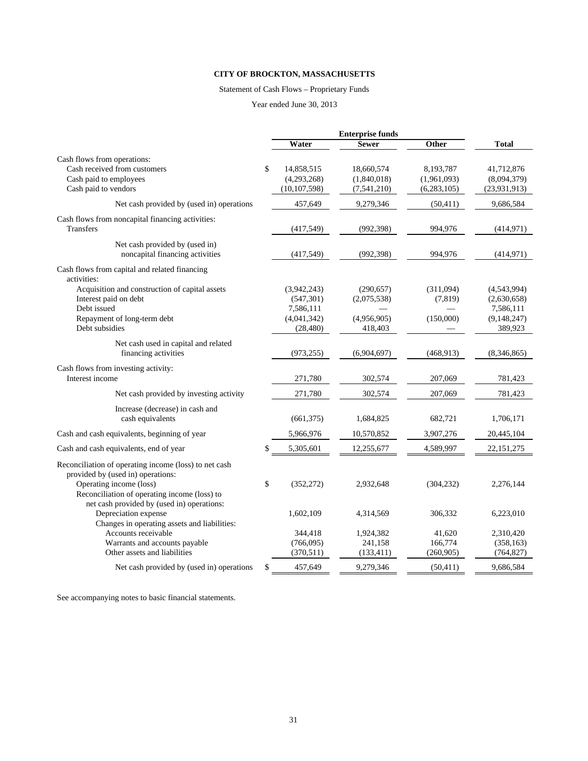## Statement of Cash Flows – Proprietary Funds

Year ended June 30, 2013

|                                                                                                                                                                                                                     | Water                                                              | <b>Sewer</b>                                        | Other                                     | <b>Total</b>                                                      |
|---------------------------------------------------------------------------------------------------------------------------------------------------------------------------------------------------------------------|--------------------------------------------------------------------|-----------------------------------------------------|-------------------------------------------|-------------------------------------------------------------------|
| Cash flows from operations:<br>Cash received from customers<br>Cash paid to employees<br>Cash paid to vendors                                                                                                       | \$<br>14,858,515<br>(4,293,268)<br>(10, 107, 598)                  | 18,660,574<br>(1,840,018)<br>(7,541,210)            | 8,193,787<br>(1,961,093)<br>(6, 283, 105) | 41,712,876<br>(8,094,379)<br>(23, 931, 913)                       |
| Net cash provided by (used in) operations                                                                                                                                                                           | 457,649                                                            | 9,279,346                                           | (50, 411)                                 | 9,686,584                                                         |
| Cash flows from noncapital financing activities:<br><b>Transfers</b>                                                                                                                                                | (417, 549)                                                         | (992, 398)                                          | 994,976                                   | (414, 971)                                                        |
| Net cash provided by (used in)<br>noncapital financing activities                                                                                                                                                   | (417,549)                                                          | (992, 398)                                          | 994,976                                   | (414, 971)                                                        |
| Cash flows from capital and related financing<br>activities:<br>Acquisition and construction of capital assets<br>Interest paid on debt<br>Debt issued<br>Repayment of long-term debt<br>Debt subsidies             | (3,942,243)<br>(547, 301)<br>7,586,111<br>(4,041,342)<br>(28, 480) | (290, 657)<br>(2,075,538)<br>(4,956,905)<br>418,403 | (311,094)<br>(7, 819)<br>(150,000)        | (4,543,994)<br>(2,630,658)<br>7,586,111<br>(9,148,247)<br>389,923 |
| Net cash used in capital and related<br>financing activities                                                                                                                                                        | (973, 255)                                                         | (6,904,697)                                         | (468, 913)                                | (8,346,865)                                                       |
| Cash flows from investing activity:<br>Interest income                                                                                                                                                              | 271,780                                                            | 302,574                                             | 207,069                                   | 781,423                                                           |
| Net cash provided by investing activity                                                                                                                                                                             | 271,780                                                            | 302,574                                             | 207,069                                   | 781,423                                                           |
| Increase (decrease) in cash and<br>cash equivalents                                                                                                                                                                 | (661, 375)                                                         | 1,684,825                                           | 682,721                                   | 1,706,171                                                         |
| Cash and cash equivalents, beginning of year                                                                                                                                                                        | 5,966,976                                                          | 10,570,852                                          | 3,907,276                                 | 20,445,104                                                        |
| Cash and cash equivalents, end of year                                                                                                                                                                              | \$<br>5,305,601                                                    | 12,255,677                                          | 4,589,997                                 | 22, 151, 275                                                      |
| Reconciliation of operating income (loss) to net cash<br>provided by (used in) operations:<br>Operating income (loss)<br>Reconciliation of operating income (loss) to<br>net cash provided by (used in) operations: | \$<br>(352, 272)                                                   | 2,932,648                                           | (304, 232)                                | 2,276,144                                                         |
| Depreciation expense<br>Changes in operating assets and liabilities:                                                                                                                                                | 1,602,109                                                          | 4,314,569                                           | 306,332                                   | 6,223,010                                                         |
| Accounts receivable<br>Warrants and accounts payable<br>Other assets and liabilities                                                                                                                                | 344,418<br>(766,095)<br>(370,511)                                  | 1,924,382<br>241,158<br>(133, 411)                  | 41,620<br>166,774<br>(260,905)            | 2,310,420<br>(358, 163)<br>(764, 827)                             |
| Net cash provided by (used in) operations                                                                                                                                                                           | \$<br>457,649                                                      | 9,279,346                                           | (50, 411)                                 | 9,686,584                                                         |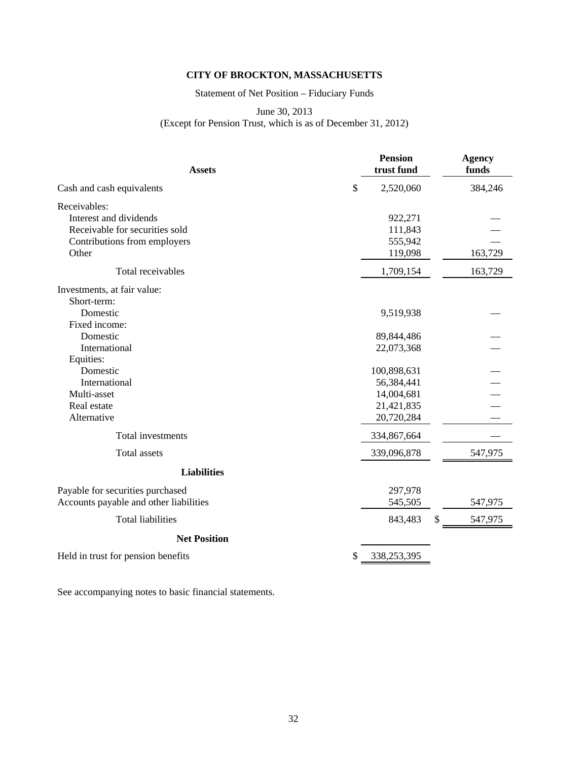Statement of Net Position – Fiduciary Funds

## June 30, 2013

(Except for Pension Trust, which is as of December 31, 2012)

| <b>Assets</b>                          | trust fund |             |    | <b>Agency</b><br>funds |
|----------------------------------------|------------|-------------|----|------------------------|
| Cash and cash equivalents              | \$         | 2,520,060   |    | 384,246                |
| Receivables:                           |            |             |    |                        |
| Interest and dividends                 |            | 922,271     |    |                        |
| Receivable for securities sold         |            | 111,843     |    |                        |
| Contributions from employers           |            | 555,942     |    |                        |
| Other                                  |            | 119,098     |    | 163,729                |
| Total receivables                      |            | 1,709,154   |    | 163,729                |
| Investments, at fair value:            |            |             |    |                        |
| Short-term:                            |            |             |    |                        |
| Domestic                               |            | 9,519,938   |    |                        |
| Fixed income:                          |            |             |    |                        |
| Domestic                               |            | 89,844,486  |    |                        |
| International                          |            | 22,073,368  |    |                        |
| Equities:                              |            |             |    |                        |
| Domestic                               |            | 100,898,631 |    |                        |
| International                          |            | 56,384,441  |    |                        |
| Multi-asset                            |            | 14,004,681  |    |                        |
| Real estate                            |            | 21,421,835  |    |                        |
| Alternative                            |            | 20,720,284  |    |                        |
| Total investments                      |            | 334,867,664 |    |                        |
| <b>Total</b> assets                    |            | 339,096,878 |    | 547,975                |
| <b>Liabilities</b>                     |            |             |    |                        |
| Payable for securities purchased       |            | 297,978     |    |                        |
| Accounts payable and other liabilities |            | 545,505     |    | 547,975                |
|                                        |            |             |    |                        |
| <b>Total liabilities</b>               |            | 843,483     | \$ | 547,975                |
| <b>Net Position</b>                    |            |             |    |                        |
| Held in trust for pension benefits     | S          | 338,253,395 |    |                        |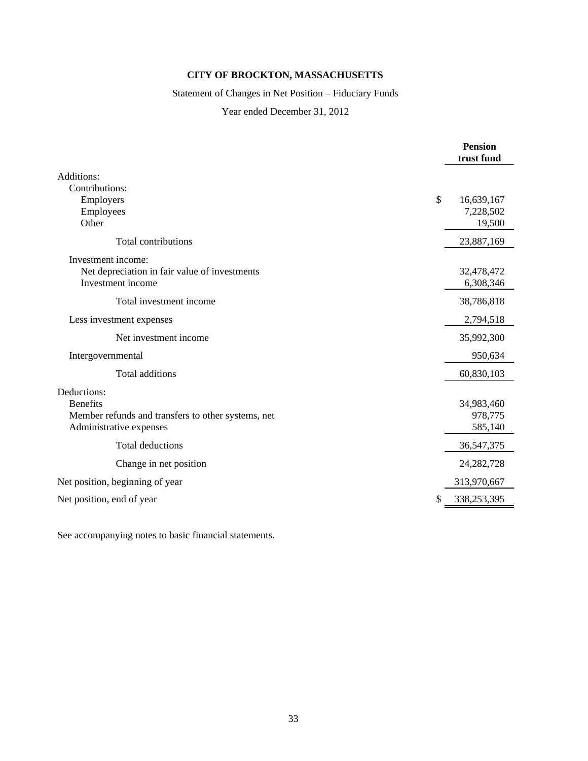## Statement of Changes in Net Position – Fiduciary Funds

Year ended December 31, 2012

|                                                    | <b>Pension</b><br>trust fund |
|----------------------------------------------------|------------------------------|
| Additions:                                         |                              |
| Contributions:                                     |                              |
| Employers                                          | \$<br>16,639,167             |
| Employees                                          | 7,228,502                    |
| Other                                              | 19,500                       |
| Total contributions                                | 23,887,169                   |
| Investment income:                                 |                              |
| Net depreciation in fair value of investments      | 32,478,472                   |
| Investment income                                  | 6,308,346                    |
| Total investment income                            | 38,786,818                   |
| Less investment expenses                           | 2,794,518                    |
| Net investment income                              | 35,992,300                   |
| Intergovernmental                                  | 950,634                      |
| Total additions                                    | 60,830,103                   |
| Deductions:                                        |                              |
| <b>Benefits</b>                                    | 34,983,460                   |
| Member refunds and transfers to other systems, net | 978,775                      |
| Administrative expenses                            | 585,140                      |
| <b>Total deductions</b>                            | 36, 547, 375                 |
| Change in net position                             | 24, 282, 728                 |
| Net position, beginning of year                    | 313,970,667                  |
| Net position, end of year                          | 338,253,395                  |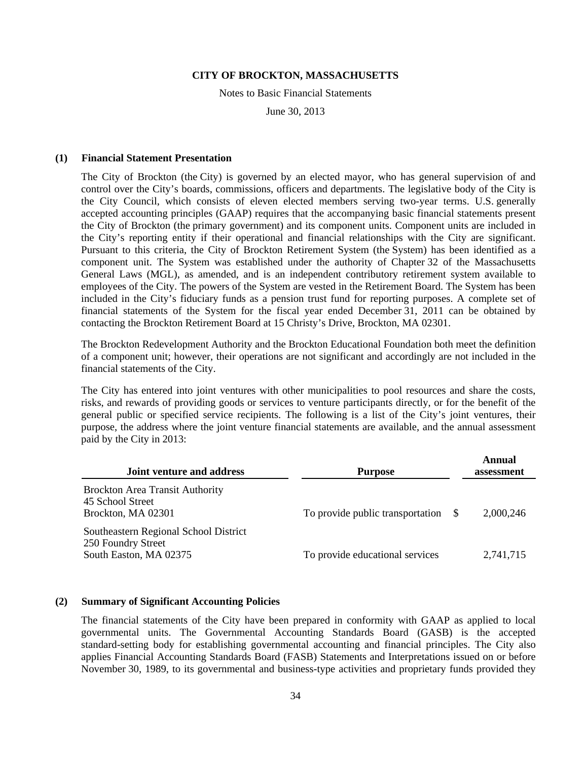Notes to Basic Financial Statements

June 30, 2013

### **(1) Financial Statement Presentation**

The City of Brockton (the City) is governed by an elected mayor, who has general supervision of and control over the City's boards, commissions, officers and departments. The legislative body of the City is the City Council, which consists of eleven elected members serving two-year terms. U.S. generally accepted accounting principles (GAAP) requires that the accompanying basic financial statements present the City of Brockton (the primary government) and its component units. Component units are included in the City's reporting entity if their operational and financial relationships with the City are significant. Pursuant to this criteria, the City of Brockton Retirement System (the System) has been identified as a component unit. The System was established under the authority of Chapter 32 of the Massachusetts General Laws (MGL), as amended, and is an independent contributory retirement system available to employees of the City. The powers of the System are vested in the Retirement Board. The System has been included in the City's fiduciary funds as a pension trust fund for reporting purposes. A complete set of financial statements of the System for the fiscal year ended December 31, 2011 can be obtained by contacting the Brockton Retirement Board at 15 Christy's Drive, Brockton, MA 02301.

The Brockton Redevelopment Authority and the Brockton Educational Foundation both meet the definition of a component unit; however, their operations are not significant and accordingly are not included in the financial statements of the City.

The City has entered into joint ventures with other municipalities to pool resources and share the costs, risks, and rewards of providing goods or services to venture participants directly, or for the benefit of the general public or specified service recipients. The following is a list of the City's joint ventures, their purpose, the address where the joint venture financial statements are available, and the annual assessment paid by the City in 2013:

| <b>Joint venture and address</b>                                                      | <b>Purpose</b>                   |     | Annual<br>assessment |  |  |
|---------------------------------------------------------------------------------------|----------------------------------|-----|----------------------|--|--|
| <b>Brockton Area Transit Authority</b><br>45 School Street<br>Brockton, MA 02301      | To provide public transportation | - S | 2,000,246            |  |  |
| Southeastern Regional School District<br>250 Foundry Street<br>South Easton, MA 02375 | To provide educational services  |     | 2,741,715            |  |  |

## **(2) Summary of Significant Accounting Policies**

The financial statements of the City have been prepared in conformity with GAAP as applied to local governmental units. The Governmental Accounting Standards Board (GASB) is the accepted standard-setting body for establishing governmental accounting and financial principles. The City also applies Financial Accounting Standards Board (FASB) Statements and Interpretations issued on or before November 30, 1989, to its governmental and business-type activities and proprietary funds provided they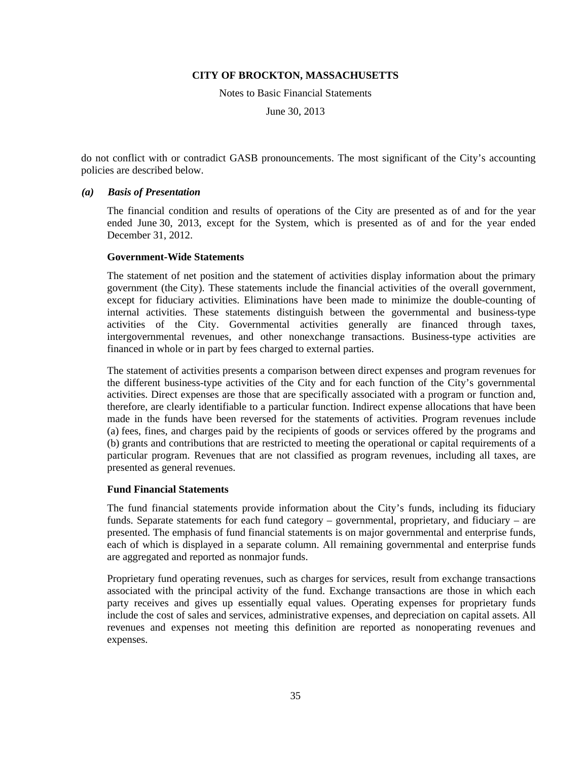Notes to Basic Financial Statements

June 30, 2013

do not conflict with or contradict GASB pronouncements. The most significant of the City's accounting policies are described below.

#### *(a) Basis of Presentation*

The financial condition and results of operations of the City are presented as of and for the year ended June 30, 2013, except for the System, which is presented as of and for the year ended December 31, 2012.

#### **Government-Wide Statements**

The statement of net position and the statement of activities display information about the primary government (the City). These statements include the financial activities of the overall government, except for fiduciary activities. Eliminations have been made to minimize the double-counting of internal activities. These statements distinguish between the governmental and business-type activities of the City. Governmental activities generally are financed through taxes, intergovernmental revenues, and other nonexchange transactions. Business-type activities are financed in whole or in part by fees charged to external parties.

The statement of activities presents a comparison between direct expenses and program revenues for the different business-type activities of the City and for each function of the City's governmental activities. Direct expenses are those that are specifically associated with a program or function and, therefore, are clearly identifiable to a particular function. Indirect expense allocations that have been made in the funds have been reversed for the statements of activities. Program revenues include (a) fees, fines, and charges paid by the recipients of goods or services offered by the programs and (b) grants and contributions that are restricted to meeting the operational or capital requirements of a particular program. Revenues that are not classified as program revenues, including all taxes, are presented as general revenues.

### **Fund Financial Statements**

The fund financial statements provide information about the City's funds, including its fiduciary funds. Separate statements for each fund category – governmental, proprietary, and fiduciary – are presented. The emphasis of fund financial statements is on major governmental and enterprise funds, each of which is displayed in a separate column. All remaining governmental and enterprise funds are aggregated and reported as nonmajor funds.

Proprietary fund operating revenues, such as charges for services, result from exchange transactions associated with the principal activity of the fund. Exchange transactions are those in which each party receives and gives up essentially equal values. Operating expenses for proprietary funds include the cost of sales and services, administrative expenses, and depreciation on capital assets. All revenues and expenses not meeting this definition are reported as nonoperating revenues and expenses.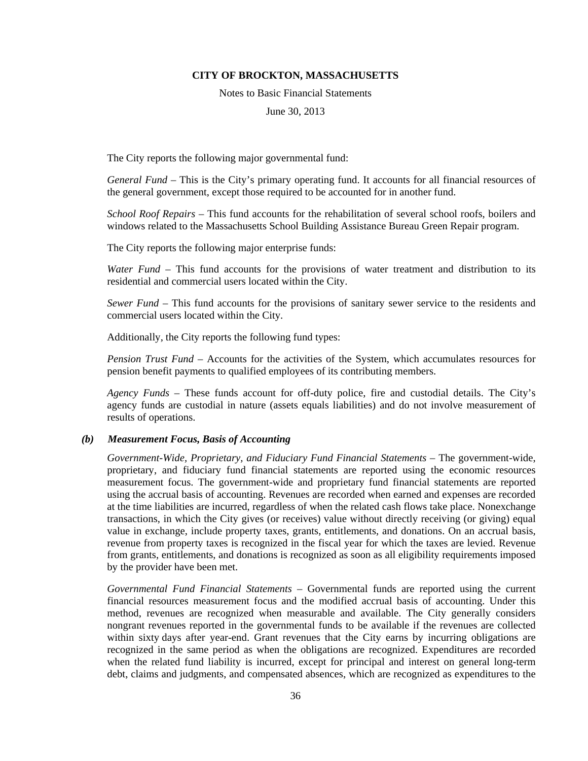Notes to Basic Financial Statements

June 30, 2013

The City reports the following major governmental fund:

*General Fund* – This is the City's primary operating fund. It accounts for all financial resources of the general government, except those required to be accounted for in another fund.

*School Roof Repairs* – This fund accounts for the rehabilitation of several school roofs, boilers and windows related to the Massachusetts School Building Assistance Bureau Green Repair program.

The City reports the following major enterprise funds:

*Water Fund* – This fund accounts for the provisions of water treatment and distribution to its residential and commercial users located within the City.

*Sewer Fund* – This fund accounts for the provisions of sanitary sewer service to the residents and commercial users located within the City.

Additionally, the City reports the following fund types:

*Pension Trust Fund* – Accounts for the activities of the System, which accumulates resources for pension benefit payments to qualified employees of its contributing members.

*Agency Funds* – These funds account for off-duty police, fire and custodial details. The City's agency funds are custodial in nature (assets equals liabilities) and do not involve measurement of results of operations.

#### *(b) Measurement Focus, Basis of Accounting*

*Government-Wide, Proprietary, and Fiduciary Fund Financial Statements* – The government-wide, proprietary, and fiduciary fund financial statements are reported using the economic resources measurement focus. The government-wide and proprietary fund financial statements are reported using the accrual basis of accounting. Revenues are recorded when earned and expenses are recorded at the time liabilities are incurred, regardless of when the related cash flows take place. Nonexchange transactions, in which the City gives (or receives) value without directly receiving (or giving) equal value in exchange, include property taxes, grants, entitlements, and donations. On an accrual basis, revenue from property taxes is recognized in the fiscal year for which the taxes are levied. Revenue from grants, entitlements, and donations is recognized as soon as all eligibility requirements imposed by the provider have been met.

*Governmental Fund Financial Statements* – Governmental funds are reported using the current financial resources measurement focus and the modified accrual basis of accounting. Under this method, revenues are recognized when measurable and available. The City generally considers nongrant revenues reported in the governmental funds to be available if the revenues are collected within sixty days after year-end. Grant revenues that the City earns by incurring obligations are recognized in the same period as when the obligations are recognized. Expenditures are recorded when the related fund liability is incurred, except for principal and interest on general long-term debt, claims and judgments, and compensated absences, which are recognized as expenditures to the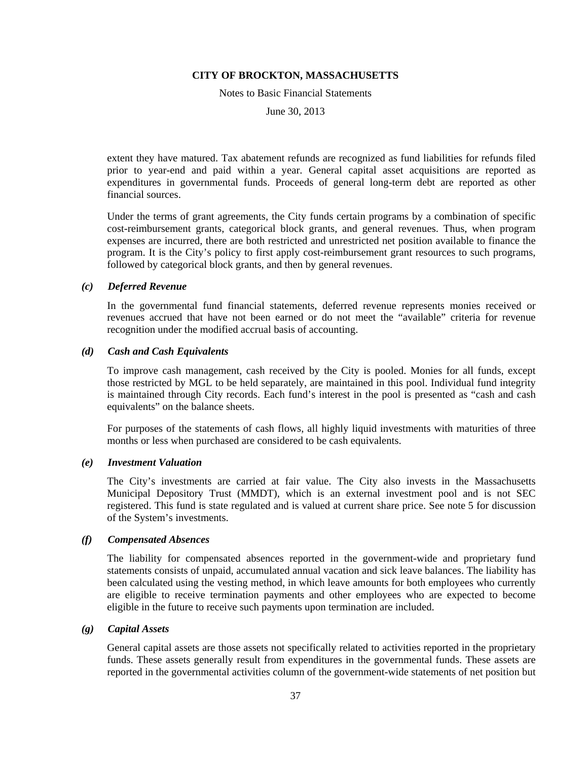Notes to Basic Financial Statements

June 30, 2013

extent they have matured. Tax abatement refunds are recognized as fund liabilities for refunds filed prior to year-end and paid within a year. General capital asset acquisitions are reported as expenditures in governmental funds. Proceeds of general long-term debt are reported as other financial sources.

Under the terms of grant agreements, the City funds certain programs by a combination of specific cost-reimbursement grants, categorical block grants, and general revenues. Thus, when program expenses are incurred, there are both restricted and unrestricted net position available to finance the program. It is the City's policy to first apply cost-reimbursement grant resources to such programs, followed by categorical block grants, and then by general revenues.

#### *(c) Deferred Revenue*

In the governmental fund financial statements, deferred revenue represents monies received or revenues accrued that have not been earned or do not meet the "available" criteria for revenue recognition under the modified accrual basis of accounting.

#### *(d) Cash and Cash Equivalents*

To improve cash management, cash received by the City is pooled. Monies for all funds, except those restricted by MGL to be held separately, are maintained in this pool. Individual fund integrity is maintained through City records. Each fund's interest in the pool is presented as "cash and cash equivalents" on the balance sheets.

For purposes of the statements of cash flows, all highly liquid investments with maturities of three months or less when purchased are considered to be cash equivalents.

#### *(e) Investment Valuation*

The City's investments are carried at fair value. The City also invests in the Massachusetts Municipal Depository Trust (MMDT), which is an external investment pool and is not SEC registered. This fund is state regulated and is valued at current share price. See note 5 for discussion of the System's investments.

#### *(f) Compensated Absences*

The liability for compensated absences reported in the government-wide and proprietary fund statements consists of unpaid, accumulated annual vacation and sick leave balances. The liability has been calculated using the vesting method, in which leave amounts for both employees who currently are eligible to receive termination payments and other employees who are expected to become eligible in the future to receive such payments upon termination are included.

### *(g) Capital Assets*

General capital assets are those assets not specifically related to activities reported in the proprietary funds. These assets generally result from expenditures in the governmental funds. These assets are reported in the governmental activities column of the government-wide statements of net position but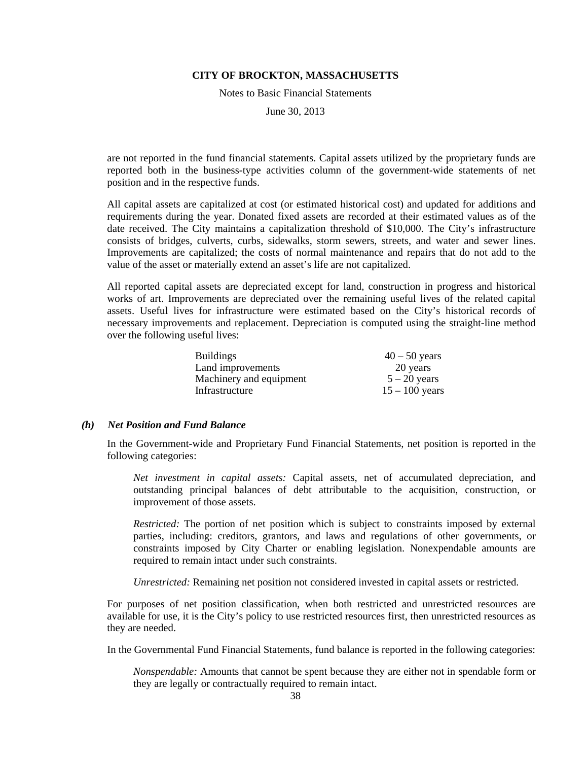Notes to Basic Financial Statements

June 30, 2013

are not reported in the fund financial statements. Capital assets utilized by the proprietary funds are reported both in the business-type activities column of the government-wide statements of net position and in the respective funds.

All capital assets are capitalized at cost (or estimated historical cost) and updated for additions and requirements during the year. Donated fixed assets are recorded at their estimated values as of the date received. The City maintains a capitalization threshold of \$10,000. The City's infrastructure consists of bridges, culverts, curbs, sidewalks, storm sewers, streets, and water and sewer lines. Improvements are capitalized; the costs of normal maintenance and repairs that do not add to the value of the asset or materially extend an asset's life are not capitalized.

All reported capital assets are depreciated except for land, construction in progress and historical works of art. Improvements are depreciated over the remaining useful lives of the related capital assets. Useful lives for infrastructure were estimated based on the City's historical records of necessary improvements and replacement. Depreciation is computed using the straight-line method over the following useful lives:

| <b>Buildings</b>        | $40 - 50$ years  |
|-------------------------|------------------|
| Land improvements       | 20 years         |
| Machinery and equipment | $5 - 20$ years   |
| Infrastructure          | $15 - 100$ years |

### *(h) Net Position and Fund Balance*

In the Government-wide and Proprietary Fund Financial Statements, net position is reported in the following categories:

*Net investment in capital assets:* Capital assets, net of accumulated depreciation, and outstanding principal balances of debt attributable to the acquisition, construction, or improvement of those assets.

*Restricted:* The portion of net position which is subject to constraints imposed by external parties, including: creditors, grantors, and laws and regulations of other governments, or constraints imposed by City Charter or enabling legislation. Nonexpendable amounts are required to remain intact under such constraints.

*Unrestricted:* Remaining net position not considered invested in capital assets or restricted.

For purposes of net position classification, when both restricted and unrestricted resources are available for use, it is the City's policy to use restricted resources first, then unrestricted resources as they are needed.

In the Governmental Fund Financial Statements, fund balance is reported in the following categories:

*Nonspendable:* Amounts that cannot be spent because they are either not in spendable form or they are legally or contractually required to remain intact.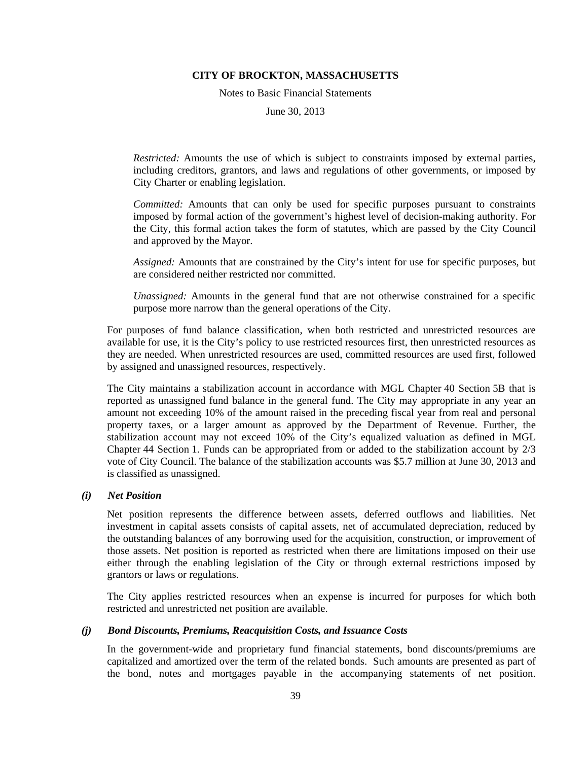Notes to Basic Financial Statements

June 30, 2013

*Restricted:* Amounts the use of which is subject to constraints imposed by external parties, including creditors, grantors, and laws and regulations of other governments, or imposed by City Charter or enabling legislation.

*Committed:* Amounts that can only be used for specific purposes pursuant to constraints imposed by formal action of the government's highest level of decision-making authority. For the City, this formal action takes the form of statutes, which are passed by the City Council and approved by the Mayor.

*Assigned:* Amounts that are constrained by the City's intent for use for specific purposes, but are considered neither restricted nor committed.

*Unassigned:* Amounts in the general fund that are not otherwise constrained for a specific purpose more narrow than the general operations of the City.

For purposes of fund balance classification, when both restricted and unrestricted resources are available for use, it is the City's policy to use restricted resources first, then unrestricted resources as they are needed. When unrestricted resources are used, committed resources are used first, followed by assigned and unassigned resources, respectively.

The City maintains a stabilization account in accordance with MGL Chapter 40 Section 5B that is reported as unassigned fund balance in the general fund. The City may appropriate in any year an amount not exceeding 10% of the amount raised in the preceding fiscal year from real and personal property taxes, or a larger amount as approved by the Department of Revenue. Further, the stabilization account may not exceed 10% of the City's equalized valuation as defined in MGL Chapter 44 Section 1. Funds can be appropriated from or added to the stabilization account by 2/3 vote of City Council. The balance of the stabilization accounts was \$5.7 million at June 30, 2013 and is classified as unassigned.

#### *(i) Net Position*

Net position represents the difference between assets, deferred outflows and liabilities. Net investment in capital assets consists of capital assets, net of accumulated depreciation, reduced by the outstanding balances of any borrowing used for the acquisition, construction, or improvement of those assets. Net position is reported as restricted when there are limitations imposed on their use either through the enabling legislation of the City or through external restrictions imposed by grantors or laws or regulations.

The City applies restricted resources when an expense is incurred for purposes for which both restricted and unrestricted net position are available.

### *(j) Bond Discounts, Premiums, Reacquisition Costs, and Issuance Costs*

In the government-wide and proprietary fund financial statements, bond discounts/premiums are capitalized and amortized over the term of the related bonds. Such amounts are presented as part of the bond, notes and mortgages payable in the accompanying statements of net position.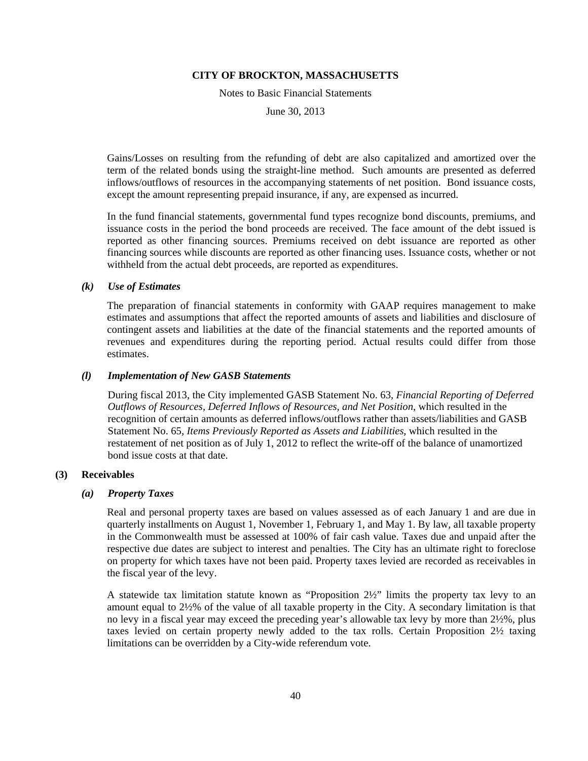Notes to Basic Financial Statements

June 30, 2013

Gains/Losses on resulting from the refunding of debt are also capitalized and amortized over the term of the related bonds using the straight-line method. Such amounts are presented as deferred inflows/outflows of resources in the accompanying statements of net position. Bond issuance costs, except the amount representing prepaid insurance, if any, are expensed as incurred.

In the fund financial statements, governmental fund types recognize bond discounts, premiums, and issuance costs in the period the bond proceeds are received. The face amount of the debt issued is reported as other financing sources. Premiums received on debt issuance are reported as other financing sources while discounts are reported as other financing uses. Issuance costs, whether or not withheld from the actual debt proceeds, are reported as expenditures.

#### *(k) Use of Estimates*

The preparation of financial statements in conformity with GAAP requires management to make estimates and assumptions that affect the reported amounts of assets and liabilities and disclosure of contingent assets and liabilities at the date of the financial statements and the reported amounts of revenues and expenditures during the reporting period. Actual results could differ from those estimates.

#### *(l) Implementation of New GASB Statements*

During fiscal 2013, the City implemented GASB Statement No. 63, *Financial Reporting of Deferred Outflows of Resources, Deferred Inflows of Resources, and Net Position*, which resulted in the recognition of certain amounts as deferred inflows/outflows rather than assets/liabilities and GASB Statement No. 65, *Items Previously Reported as Assets and Liabilities*, which resulted in the restatement of net position as of July 1, 2012 to reflect the write-off of the balance of unamortized bond issue costs at that date.

#### **(3) Receivables**

#### *(a) Property Taxes*

Real and personal property taxes are based on values assessed as of each January 1 and are due in quarterly installments on August 1, November 1, February 1, and May 1. By law, all taxable property in the Commonwealth must be assessed at 100% of fair cash value. Taxes due and unpaid after the respective due dates are subject to interest and penalties. The City has an ultimate right to foreclose on property for which taxes have not been paid. Property taxes levied are recorded as receivables in the fiscal year of the levy.

A statewide tax limitation statute known as "Proposition 2½" limits the property tax levy to an amount equal to 2½% of the value of all taxable property in the City. A secondary limitation is that no levy in a fiscal year may exceed the preceding year's allowable tax levy by more than 2½%, plus taxes levied on certain property newly added to the tax rolls. Certain Proposition 2½ taxing limitations can be overridden by a City-wide referendum vote.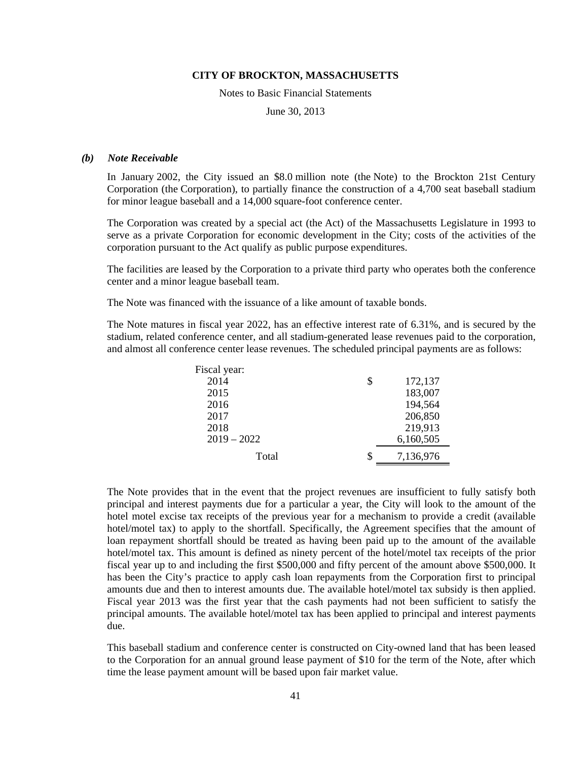Notes to Basic Financial Statements

June 30, 2013

#### *(b) Note Receivable*

In January 2002, the City issued an \$8.0 million note (the Note) to the Brockton 21st Century Corporation (the Corporation), to partially finance the construction of a 4,700 seat baseball stadium for minor league baseball and a 14,000 square-foot conference center.

The Corporation was created by a special act (the Act) of the Massachusetts Legislature in 1993 to serve as a private Corporation for economic development in the City; costs of the activities of the corporation pursuant to the Act qualify as public purpose expenditures.

The facilities are leased by the Corporation to a private third party who operates both the conference center and a minor league baseball team.

The Note was financed with the issuance of a like amount of taxable bonds.

The Note matures in fiscal year 2022, has an effective interest rate of 6.31%, and is secured by the stadium, related conference center, and all stadium-generated lease revenues paid to the corporation, and almost all conference center lease revenues. The scheduled principal payments are as follows:

| Fiscal year:  |    |           |
|---------------|----|-----------|
| 2014          | \$ | 172,137   |
| 2015          |    | 183,007   |
| 2016          |    | 194,564   |
| 2017          |    | 206,850   |
| 2018          |    | 219,913   |
| $2019 - 2022$ |    | 6,160,505 |
| Total         | S  | 7,136,976 |

The Note provides that in the event that the project revenues are insufficient to fully satisfy both principal and interest payments due for a particular a year, the City will look to the amount of the hotel motel excise tax receipts of the previous year for a mechanism to provide a credit (available hotel/motel tax) to apply to the shortfall. Specifically, the Agreement specifies that the amount of loan repayment shortfall should be treated as having been paid up to the amount of the available hotel/motel tax. This amount is defined as ninety percent of the hotel/motel tax receipts of the prior fiscal year up to and including the first \$500,000 and fifty percent of the amount above \$500,000. It has been the City's practice to apply cash loan repayments from the Corporation first to principal amounts due and then to interest amounts due. The available hotel/motel tax subsidy is then applied. Fiscal year 2013 was the first year that the cash payments had not been sufficient to satisfy the principal amounts. The available hotel/motel tax has been applied to principal and interest payments due.

This baseball stadium and conference center is constructed on City-owned land that has been leased to the Corporation for an annual ground lease payment of \$10 for the term of the Note, after which time the lease payment amount will be based upon fair market value.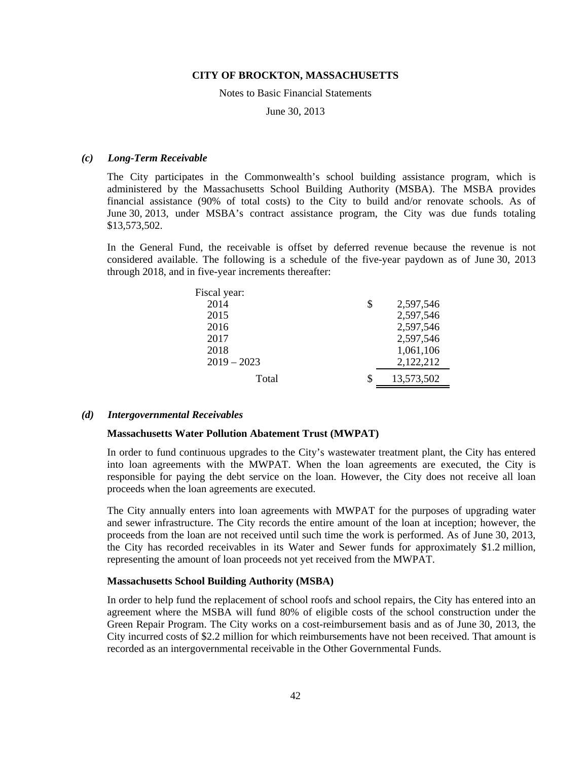Notes to Basic Financial Statements

June 30, 2013

#### *(c) Long-Term Receivable*

The City participates in the Commonwealth's school building assistance program, which is administered by the Massachusetts School Building Authority (MSBA). The MSBA provides financial assistance (90% of total costs) to the City to build and/or renovate schools. As of June 30, 2013, under MSBA's contract assistance program, the City was due funds totaling \$13,573,502.

In the General Fund, the receivable is offset by deferred revenue because the revenue is not considered available. The following is a schedule of the five-year paydown as of June 30, 2013 through 2018, and in five-year increments thereafter:

| Fiscal year:  |                 |
|---------------|-----------------|
| 2014          | \$<br>2,597,546 |
| 2015          | 2,597,546       |
| 2016          | 2,597,546       |
| 2017          | 2,597,546       |
| 2018          | 1,061,106       |
| $2019 - 2023$ | 2,122,212       |
| Total         | 13,573,502      |

#### *(d) Intergovernmental Receivables*

#### **Massachusetts Water Pollution Abatement Trust (MWPAT)**

In order to fund continuous upgrades to the City's wastewater treatment plant, the City has entered into loan agreements with the MWPAT. When the loan agreements are executed, the City is responsible for paying the debt service on the loan. However, the City does not receive all loan proceeds when the loan agreements are executed.

The City annually enters into loan agreements with MWPAT for the purposes of upgrading water and sewer infrastructure. The City records the entire amount of the loan at inception; however, the proceeds from the loan are not received until such time the work is performed. As of June 30, 2013, the City has recorded receivables in its Water and Sewer funds for approximately \$1.2 million, representing the amount of loan proceeds not yet received from the MWPAT.

#### **Massachusetts School Building Authority (MSBA)**

In order to help fund the replacement of school roofs and school repairs, the City has entered into an agreement where the MSBA will fund 80% of eligible costs of the school construction under the Green Repair Program. The City works on a cost-reimbursement basis and as of June 30, 2013, the City incurred costs of \$2.2 million for which reimbursements have not been received. That amount is recorded as an intergovernmental receivable in the Other Governmental Funds.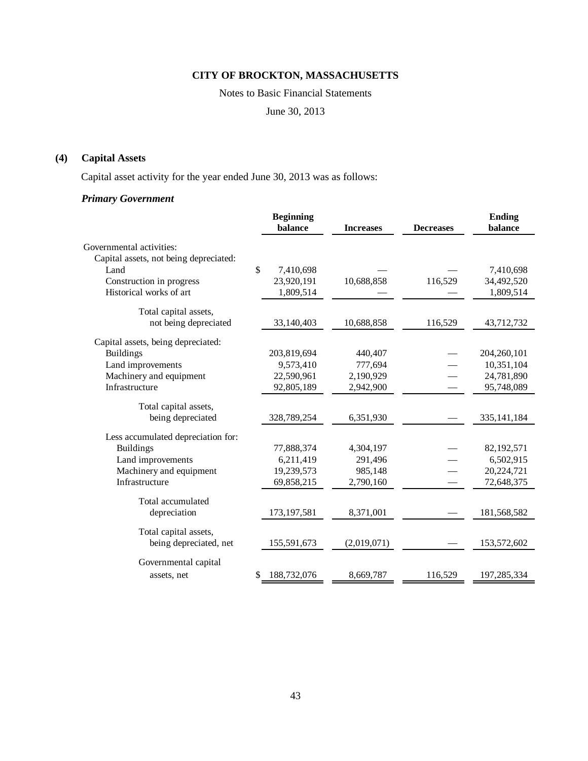Notes to Basic Financial Statements

June 30, 2013

# **(4) Capital Assets**

Capital asset activity for the year ended June 30, 2013 was as follows:

# *Primary Government*

|                                        | <b>Beginning</b>  |                  |                  | <b>Ending</b> |
|----------------------------------------|-------------------|------------------|------------------|---------------|
|                                        | balance           | <b>Increases</b> | <b>Decreases</b> | balance       |
| Governmental activities:               |                   |                  |                  |               |
| Capital assets, not being depreciated: |                   |                  |                  |               |
| Land                                   | \$<br>7,410,698   |                  |                  | 7,410,698     |
| Construction in progress               | 23,920,191        | 10,688,858       | 116,529          | 34,492,520    |
| Historical works of art                | 1,809,514         |                  |                  | 1,809,514     |
| Total capital assets,                  |                   |                  |                  |               |
| not being depreciated                  | 33,140,403        | 10,688,858       | 116,529          | 43,712,732    |
| Capital assets, being depreciated:     |                   |                  |                  |               |
| <b>Buildings</b>                       | 203,819,694       | 440,407          |                  | 204,260,101   |
| Land improvements                      | 9,573,410         | 777,694          |                  | 10,351,104    |
| Machinery and equipment                | 22,590,961        | 2,190,929        |                  | 24,781,890    |
| Infrastructure                         | 92,805,189        | 2,942,900        |                  | 95,748,089    |
| Total capital assets,                  |                   |                  |                  |               |
| being depreciated                      | 328,789,254       | 6,351,930        |                  | 335, 141, 184 |
| Less accumulated depreciation for:     |                   |                  |                  |               |
| <b>Buildings</b>                       | 77,888,374        | 4,304,197        |                  | 82,192,571    |
| Land improvements                      | 6,211,419         | 291,496          |                  | 6,502,915     |
| Machinery and equipment                | 19,239,573        | 985,148          |                  | 20,224,721    |
| Infrastructure                         | 69,858,215        | 2,790,160        |                  | 72,648,375    |
| Total accumulated                      |                   |                  |                  |               |
| depreciation                           | 173, 197, 581     | 8,371,001        |                  | 181,568,582   |
| Total capital assets,                  |                   |                  |                  |               |
| being depreciated, net                 | 155,591,673       | (2,019,071)      |                  | 153,572,602   |
| Governmental capital                   |                   |                  |                  |               |
| assets, net                            | \$<br>188,732,076 | 8,669,787        | 116,529          | 197,285,334   |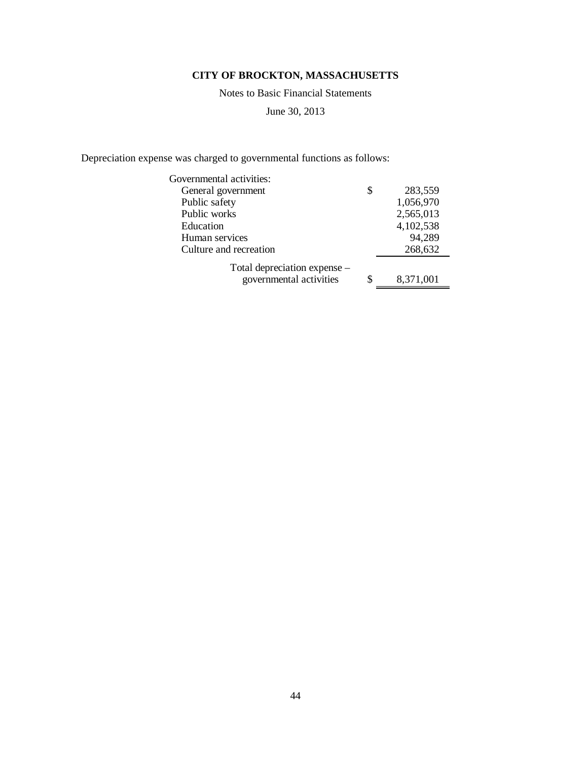Notes to Basic Financial Statements

June 30, 2013

Depreciation expense was charged to governmental functions as follows:

| Governmental activities:     |    |           |
|------------------------------|----|-----------|
| General government           | \$ | 283,559   |
| Public safety                |    | 1,056,970 |
| Public works                 |    | 2,565,013 |
| Education                    |    | 4,102,538 |
| Human services               |    | 94,289    |
| Culture and recreation       |    | 268,632   |
| Total depreciation expense - |    |           |
| governmental activities      | S  | 8,371,001 |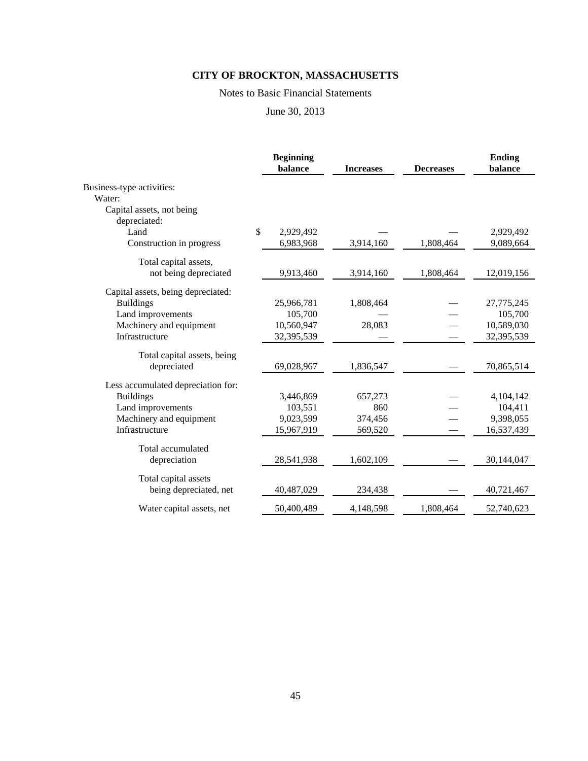# Notes to Basic Financial Statements

## June 30, 2013

|                                           | <b>Beginning</b><br>balance | <b>Increases</b> | <b>Decreases</b> | <b>Ending</b><br>balance |
|-------------------------------------------|-----------------------------|------------------|------------------|--------------------------|
| Business-type activities:                 |                             |                  |                  |                          |
| Water:                                    |                             |                  |                  |                          |
| Capital assets, not being<br>depreciated: |                             |                  |                  |                          |
| Land                                      | \$<br>2,929,492             |                  |                  | 2,929,492                |
| Construction in progress                  | 6,983,968                   | 3,914,160        | 1,808,464        | 9,089,664                |
| Total capital assets,                     |                             |                  |                  |                          |
| not being depreciated                     | 9,913,460                   | 3,914,160        | 1,808,464        | 12,019,156               |
| Capital assets, being depreciated:        |                             |                  |                  |                          |
| <b>Buildings</b>                          | 25,966,781                  | 1,808,464        |                  | 27,775,245               |
| Land improvements                         | 105,700                     |                  |                  | 105,700                  |
| Machinery and equipment                   | 10,560,947                  | 28,083           |                  | 10,589,030               |
| Infrastructure                            | 32,395,539                  |                  |                  | 32,395,539               |
| Total capital assets, being               |                             |                  |                  |                          |
| depreciated                               | 69,028,967                  | 1,836,547        |                  | 70,865,514               |
| Less accumulated depreciation for:        |                             |                  |                  |                          |
| <b>Buildings</b>                          | 3,446,869                   | 657,273          |                  | 4,104,142                |
| Land improvements                         | 103,551                     | 860              |                  | 104,411                  |
| Machinery and equipment                   | 9,023,599                   | 374,456          |                  | 9,398,055                |
| Infrastructure                            | 15,967,919                  | 569,520          |                  | 16,537,439               |
| Total accumulated                         |                             |                  |                  |                          |
| depreciation                              | 28,541,938                  | 1,602,109        |                  | 30,144,047               |
| Total capital assets                      |                             |                  |                  |                          |
| being depreciated, net                    | 40,487,029                  | 234,438          |                  | 40,721,467               |
| Water capital assets, net                 | 50,400,489                  | 4,148,598        | 1,808,464        | 52,740,623               |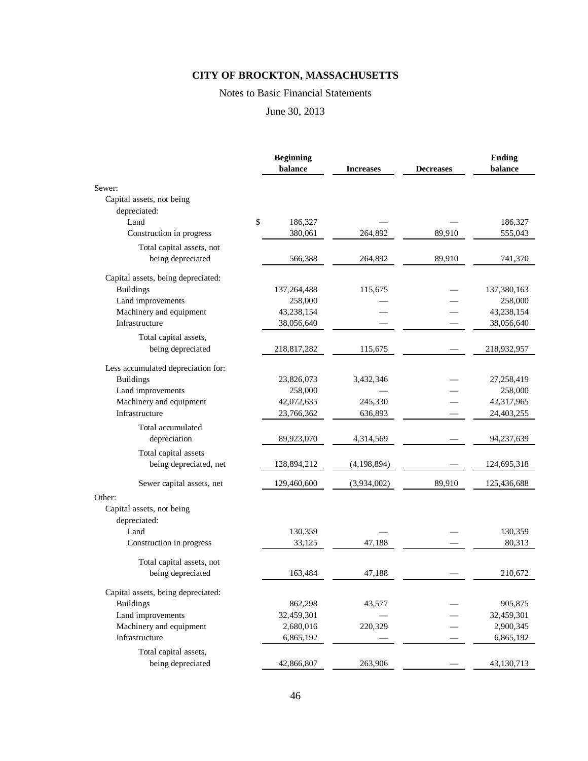# Notes to Basic Financial Statements

## June 30, 2013

|                                    | <b>Beginning</b> |                  |                  | <b>Ending</b> |
|------------------------------------|------------------|------------------|------------------|---------------|
|                                    | balance          | <b>Increases</b> | <b>Decreases</b> | balance       |
| Sewer:                             |                  |                  |                  |               |
| Capital assets, not being          |                  |                  |                  |               |
| depreciated:                       |                  |                  |                  |               |
| Land                               | \$<br>186,327    |                  |                  | 186,327       |
| Construction in progress           | 380,061          | 264,892          | 89,910           | 555,043       |
| Total capital assets, not          |                  |                  |                  |               |
| being depreciated                  | 566,388          | 264,892          | 89,910           | 741,370       |
| Capital assets, being depreciated: |                  |                  |                  |               |
| <b>Buildings</b>                   | 137,264,488      | 115,675          |                  | 137,380,163   |
| Land improvements                  | 258,000          |                  |                  | 258,000       |
| Machinery and equipment            | 43,238,154       |                  |                  | 43,238,154    |
| Infrastructure                     | 38,056,640       |                  |                  | 38,056,640    |
| Total capital assets,              |                  |                  |                  |               |
| being depreciated                  | 218,817,282      | 115,675          |                  | 218,932,957   |
| Less accumulated depreciation for: |                  |                  |                  |               |
| <b>Buildings</b>                   | 23,826,073       | 3,432,346        |                  | 27,258,419    |
| Land improvements                  | 258,000          |                  |                  | 258,000       |
| Machinery and equipment            | 42,072,635       | 245,330          |                  | 42,317,965    |
| Infrastructure                     | 23,766,362       | 636,893          |                  | 24,403,255    |
| Total accumulated                  |                  |                  |                  |               |
| depreciation                       | 89,923,070       | 4,314,569        |                  | 94,237,639    |
| Total capital assets               |                  |                  |                  |               |
| being depreciated, net             | 128,894,212      | (4,198,894)      |                  | 124,695,318   |
| Sewer capital assets, net          | 129,460,600      | (3,934,002)      | 89,910           | 125,436,688   |
| Other:                             |                  |                  |                  |               |
| Capital assets, not being          |                  |                  |                  |               |
| depreciated:                       |                  |                  |                  |               |
| Land                               | 130,359          |                  |                  | 130,359       |
| Construction in progress           | 33,125           | 47,188           |                  | 80,313        |
| Total capital assets, not          |                  |                  |                  |               |
| being depreciated                  | 163,484          | 47,188           |                  | 210,672       |
| Capital assets, being depreciated: |                  |                  |                  |               |
| <b>Buildings</b>                   | 862,298          | 43,577           |                  | 905,875       |
| Land improvements                  | 32,459,301       |                  |                  | 32,459,301    |
| Machinery and equipment            | 2,680,016        | 220,329          |                  | 2,900,345     |
| Infrastructure                     | 6,865,192        |                  |                  | 6,865,192     |
| Total capital assets,              |                  |                  |                  |               |
| being depreciated                  | 42,866,807       | 263,906          |                  | 43,130,713    |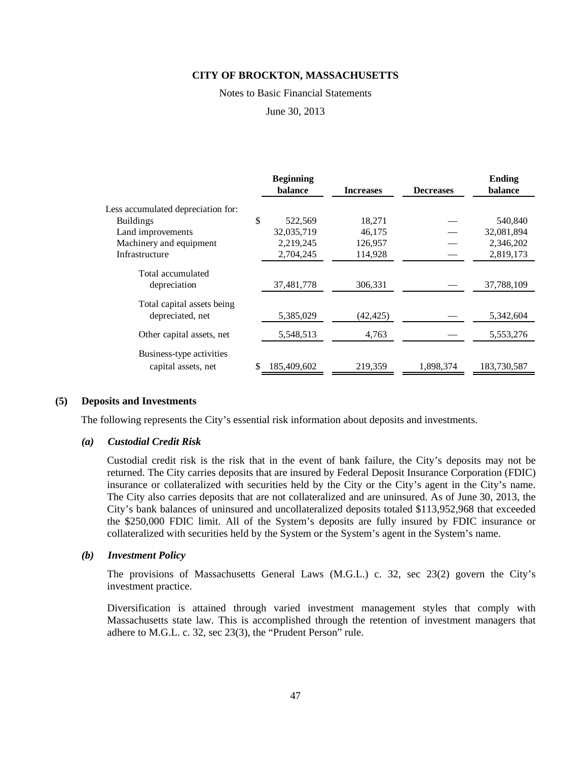#### Notes to Basic Financial Statements

## June 30, 2013

|                                                 |    | <b>Beginning</b><br>balance | <b>Increases</b> | <b>Decreases</b> | <b>Ending</b><br>balance |
|-------------------------------------------------|----|-----------------------------|------------------|------------------|--------------------------|
| Less accumulated depreciation for:              |    |                             |                  |                  |                          |
| <b>Buildings</b>                                | \$ | 522,569                     | 18,271           |                  | 540,840                  |
| Land improvements                               |    | 32,035,719                  | 46,175           |                  | 32,081,894               |
| Machinery and equipment                         |    | 2,219,245                   | 126,957          |                  | 2,346,202                |
| Infrastructure                                  |    | 2,704,245                   | 114,928          |                  | 2,819,173                |
| Total accumulated                               |    |                             |                  |                  |                          |
| depreciation                                    |    | 37,481,778                  | 306,331          |                  | 37,788,109               |
| Total capital assets being<br>depreciated, net  |    | 5,385,029                   | (42, 425)        |                  | 5,342,604                |
| Other capital assets, net                       |    | 5,548,513                   | 4,763            |                  | 5,553,276                |
| Business-type activities<br>capital assets, net | S  | 185,409,602                 | 219,359          | 1,898,374        | 183,730,587              |

### **(5) Deposits and Investments**

The following represents the City's essential risk information about deposits and investments.

#### *(a) Custodial Credit Risk*

Custodial credit risk is the risk that in the event of bank failure, the City's deposits may not be returned. The City carries deposits that are insured by Federal Deposit Insurance Corporation (FDIC) insurance or collateralized with securities held by the City or the City's agent in the City's name. The City also carries deposits that are not collateralized and are uninsured. As of June 30, 2013, the City's bank balances of uninsured and uncollateralized deposits totaled \$113,952,968 that exceeded the \$250,000 FDIC limit. All of the System's deposits are fully insured by FDIC insurance or collateralized with securities held by the System or the System's agent in the System's name.

#### *(b) Investment Policy*

The provisions of Massachusetts General Laws (M.G.L.) c. 32, sec 23(2) govern the City's investment practice.

Diversification is attained through varied investment management styles that comply with Massachusetts state law. This is accomplished through the retention of investment managers that adhere to M.G.L. c. 32, sec 23(3), the "Prudent Person" rule.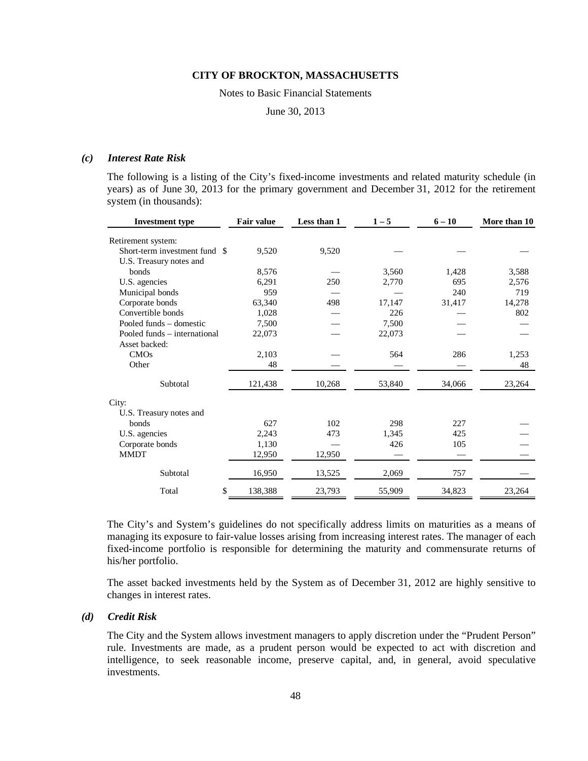#### Notes to Basic Financial Statements

June 30, 2013

## *(c) Interest Rate Risk*

The following is a listing of the City's fixed-income investments and related maturity schedule (in years) as of June 30, 2013 for the primary government and December 31, 2012 for the retirement system (in thousands):

| <b>Investment type</b>                                   | Fair value | Less than 1 | $1 - 5$ | $6 - 10$ | More than 10 |  |
|----------------------------------------------------------|------------|-------------|---------|----------|--------------|--|
| Retirement system:                                       |            |             |         |          |              |  |
| Short-term investment fund \$<br>U.S. Treasury notes and | 9,520      | 9,520       |         |          |              |  |
| bonds                                                    | 8,576      |             | 3,560   | 1,428    | 3,588        |  |
| U.S. agencies                                            | 6,291      | 250         | 2,770   | 695      | 2,576        |  |
| Municipal bonds                                          | 959        |             |         | 240      | 719          |  |
| Corporate bonds                                          | 63,340     | 498         | 17,147  | 31,417   | 14,278       |  |
| Convertible bonds                                        | 1,028      |             | 226     |          | 802          |  |
| Pooled funds – domestic                                  | 7,500      |             | 7,500   |          |              |  |
| Pooled funds – international<br>Asset backed:            | 22,073     |             | 22,073  |          |              |  |
| <b>CMOs</b>                                              | 2,103      |             | 564     | 286      | 1,253        |  |
| Other                                                    | 48         |             |         |          | 48           |  |
| Subtotal                                                 | 121,438    | 10,268      | 53,840  | 34,066   | 23,264       |  |
| City:                                                    |            |             |         |          |              |  |
| U.S. Treasury notes and                                  |            |             |         |          |              |  |
| <b>bonds</b>                                             | 627        | 102         | 298     | 227      |              |  |
| U.S. agencies                                            | 2,243      | 473         | 1,345   | 425      |              |  |
| Corporate bonds                                          | 1,130      |             | 426     | 105      |              |  |
| <b>MMDT</b>                                              | 12,950     | 12,950      |         |          |              |  |
| Subtotal                                                 | 16,950     | 13,525      | 2,069   | 757      |              |  |
| \$<br>Total                                              | 138,388    | 23,793      | 55,909  | 34,823   | 23,264       |  |

The City's and System's guidelines do not specifically address limits on maturities as a means of managing its exposure to fair-value losses arising from increasing interest rates. The manager of each fixed-income portfolio is responsible for determining the maturity and commensurate returns of his/her portfolio.

The asset backed investments held by the System as of December 31, 2012 are highly sensitive to changes in interest rates.

### *(d) Credit Risk*

The City and the System allows investment managers to apply discretion under the "Prudent Person" rule. Investments are made, as a prudent person would be expected to act with discretion and intelligence, to seek reasonable income, preserve capital, and, in general, avoid speculative investments.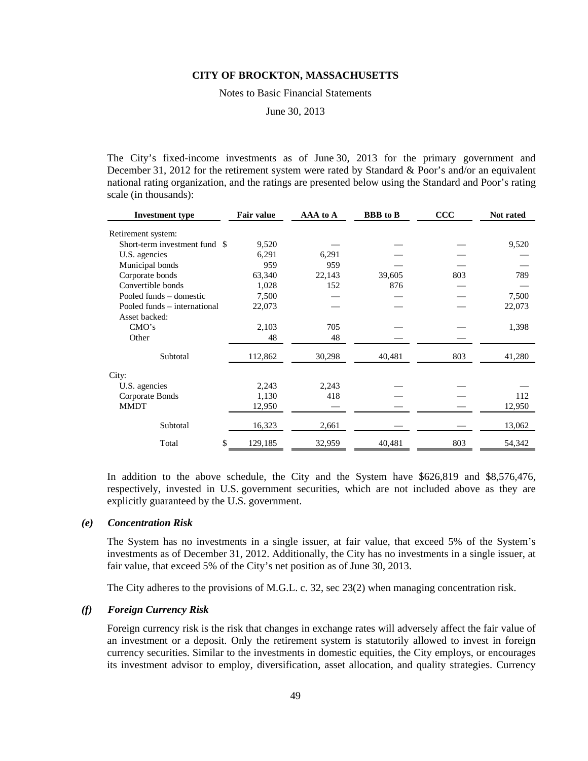Notes to Basic Financial Statements

June 30, 2013

The City's fixed-income investments as of June 30, 2013 for the primary government and December 31, 2012 for the retirement system were rated by Standard & Poor's and/or an equivalent national rating organization, and the ratings are presented below using the Standard and Poor's rating scale (in thousands):

| <b>Investment type</b>        | Fair value | AAA to A | <b>BBB</b> to B | $CC$ | Not rated |
|-------------------------------|------------|----------|-----------------|------|-----------|
| Retirement system:            |            |          |                 |      |           |
| Short-term investment fund \$ | 9,520      |          |                 |      | 9,520     |
| U.S. agencies                 | 6,291      | 6,291    |                 |      |           |
| Municipal bonds               | 959        | 959      |                 |      |           |
| Corporate bonds               | 63,340     | 22,143   | 39,605          | 803  | 789       |
| Convertible bonds             | 1,028      | 152      | 876             |      |           |
| Pooled funds – domestic       | 7,500      |          |                 |      | 7,500     |
| Pooled funds – international  | 22,073     |          |                 |      | 22,073    |
| Asset backed:                 |            |          |                 |      |           |
| CMO's                         | 2,103      | 705      |                 |      | 1,398     |
| Other                         | 48         | 48       |                 |      |           |
| Subtotal                      | 112,862    | 30,298   | 40,481          | 803  | 41,280    |
| City:                         |            |          |                 |      |           |
| U.S. agencies                 | 2,243      | 2,243    |                 |      |           |
| Corporate Bonds               | 1,130      | 418      |                 |      | 112       |
| <b>MMDT</b>                   | 12,950     |          |                 |      | 12,950    |
| Subtotal                      | 16,323     | 2,661    |                 |      | 13,062    |
| \$<br>Total                   | 129,185    | 32,959   | 40,481          | 803  | 54,342    |

In addition to the above schedule, the City and the System have \$626,819 and \$8,576,476, respectively, invested in U.S. government securities, which are not included above as they are explicitly guaranteed by the U.S. government.

#### *(e) Concentration Risk*

The System has no investments in a single issuer, at fair value, that exceed 5% of the System's investments as of December 31, 2012. Additionally, the City has no investments in a single issuer, at fair value, that exceed 5% of the City's net position as of June 30, 2013.

The City adheres to the provisions of M.G.L. c. 32, sec 23(2) when managing concentration risk.

### *(f) Foreign Currency Risk*

Foreign currency risk is the risk that changes in exchange rates will adversely affect the fair value of an investment or a deposit. Only the retirement system is statutorily allowed to invest in foreign currency securities. Similar to the investments in domestic equities, the City employs, or encourages its investment advisor to employ, diversification, asset allocation, and quality strategies. Currency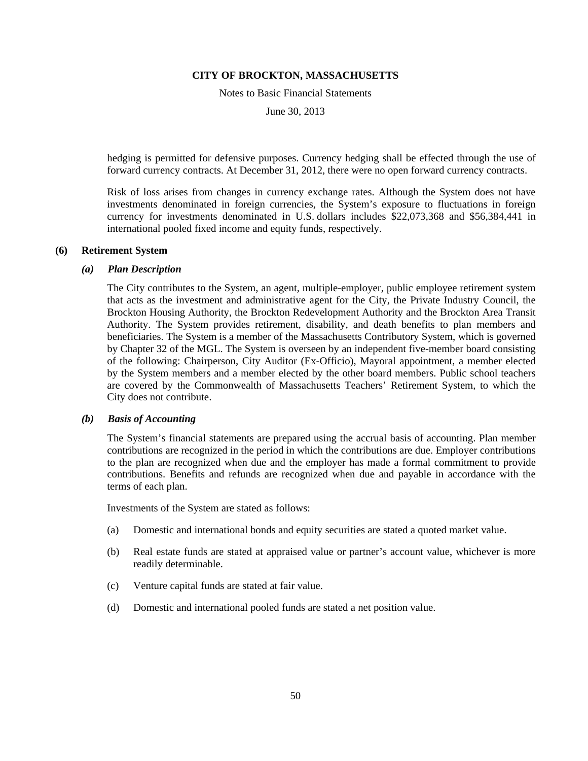Notes to Basic Financial Statements

June 30, 2013

hedging is permitted for defensive purposes. Currency hedging shall be effected through the use of forward currency contracts. At December 31, 2012, there were no open forward currency contracts.

Risk of loss arises from changes in currency exchange rates. Although the System does not have investments denominated in foreign currencies, the System's exposure to fluctuations in foreign currency for investments denominated in U.S. dollars includes \$22,073,368 and \$56,384,441 in international pooled fixed income and equity funds, respectively.

#### **(6) Retirement System**

#### *(a) Plan Description*

The City contributes to the System, an agent, multiple-employer, public employee retirement system that acts as the investment and administrative agent for the City, the Private Industry Council, the Brockton Housing Authority, the Brockton Redevelopment Authority and the Brockton Area Transit Authority. The System provides retirement, disability, and death benefits to plan members and beneficiaries. The System is a member of the Massachusetts Contributory System, which is governed by Chapter 32 of the MGL. The System is overseen by an independent five-member board consisting of the following: Chairperson, City Auditor (Ex-Officio), Mayoral appointment, a member elected by the System members and a member elected by the other board members. Public school teachers are covered by the Commonwealth of Massachusetts Teachers' Retirement System, to which the City does not contribute.

### *(b) Basis of Accounting*

The System's financial statements are prepared using the accrual basis of accounting. Plan member contributions are recognized in the period in which the contributions are due. Employer contributions to the plan are recognized when due and the employer has made a formal commitment to provide contributions. Benefits and refunds are recognized when due and payable in accordance with the terms of each plan.

Investments of the System are stated as follows:

- (a) Domestic and international bonds and equity securities are stated a quoted market value.
- (b) Real estate funds are stated at appraised value or partner's account value, whichever is more readily determinable.
- (c) Venture capital funds are stated at fair value.
- (d) Domestic and international pooled funds are stated a net position value.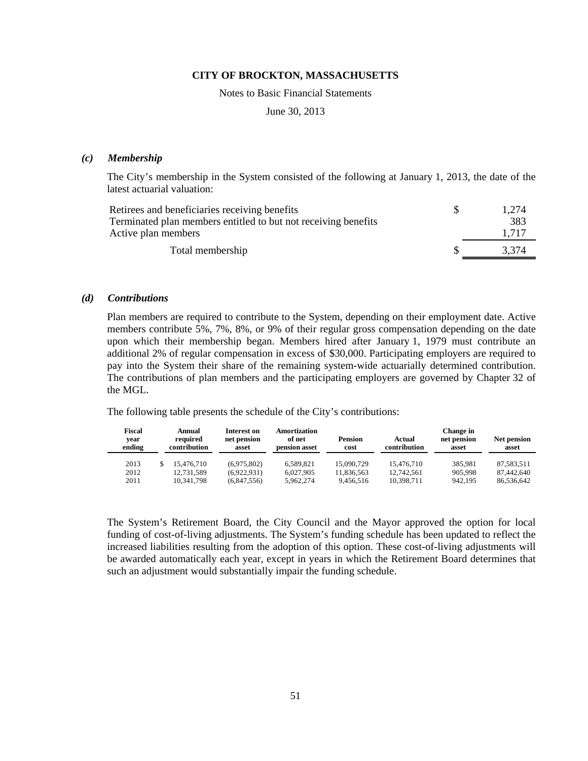#### Notes to Basic Financial Statements

June 30, 2013

### *(c) Membership*

The City's membership in the System consisted of the following at January 1, 2013, the date of the latest actuarial valuation:

| Retirees and beneficiaries receiving benefits                  | 1.274 |
|----------------------------------------------------------------|-------|
| Terminated plan members entitled to but not receiving benefits | 383   |
| Active plan members                                            | 1.717 |
| Total membership                                               | 3.374 |

#### *(d) Contributions*

Plan members are required to contribute to the System, depending on their employment date. Active members contribute 5%, 7%, 8%, or 9% of their regular gross compensation depending on the date upon which their membership began. Members hired after January 1, 1979 must contribute an additional 2% of regular compensation in excess of \$30,000. Participating employers are required to pay into the System their share of the remaining system-wide actuarially determined contribution. The contributions of plan members and the participating employers are governed by Chapter 32 of the MGL.

The following table presents the schedule of the City's contributions:

| Fiscal<br>vear<br>ending | Annual<br>required<br>contribution | Interest on<br>net pension<br>asset | Amortization<br>of net<br>pension asset | <b>Pension</b><br>cost | Actual<br>contribution | Change in<br>net pension<br>asset | Net pension<br>asset |
|--------------------------|------------------------------------|-------------------------------------|-----------------------------------------|------------------------|------------------------|-----------------------------------|----------------------|
| 2013                     | 15.476.710                         | (6,975,802)                         | 6.589.821                               | 15,090,729             | 15.476.710             | 385.981                           | 87.583.511           |
| 2012                     | 12.731.589                         | (6.922.931)                         | 6.027.905                               | 11.836.563             | 12.742.561             | 905.998                           | 87.442.640           |
| 2011                     | 10.341.798                         | (6,847,556)                         | 5,962,274                               | 9.456.516              | 10.398.711             | 942.195                           | 86.536.642           |

The System's Retirement Board, the City Council and the Mayor approved the option for local funding of cost-of-living adjustments. The System's funding schedule has been updated to reflect the increased liabilities resulting from the adoption of this option. These cost-of-living adjustments will be awarded automatically each year, except in years in which the Retirement Board determines that such an adjustment would substantially impair the funding schedule.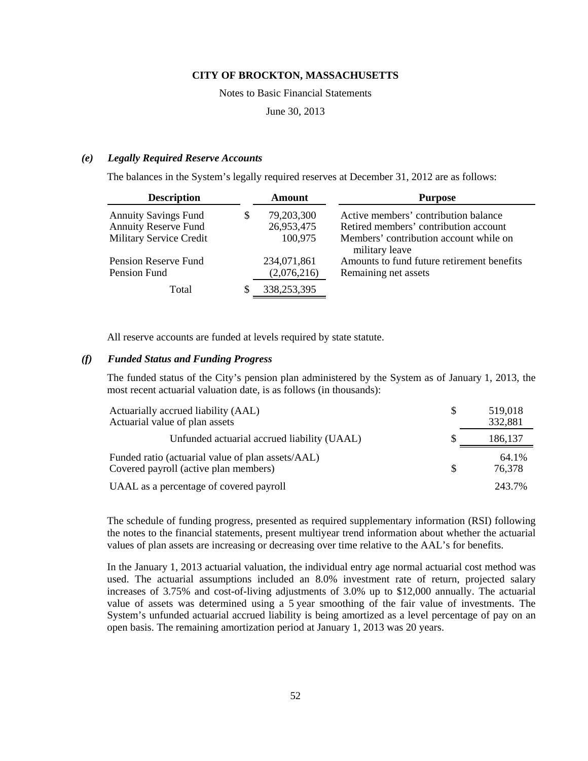Notes to Basic Financial Statements

June 30, 2013

#### *(e) Legally Required Reserve Accounts*

The balances in the System's legally required reserves at December 31, 2012 are as follows:

|          | <b>Amount</b> | <b>Purpose</b>                             |
|----------|---------------|--------------------------------------------|
| S        | 79,203,300    | Active members' contribution balance       |
|          | 26,953,475    | Retired members' contribution account      |
|          | 100,975       | Members' contribution account while on     |
|          |               | military leave                             |
|          |               | Amounts to fund future retirement benefits |
|          | (2,076,216)   | Remaining net assets                       |
| <b>S</b> | 338, 253, 395 |                                            |
|          |               | 234,071,861                                |

All reserve accounts are funded at levels required by state statute.

### *(f) Funded Status and Funding Progress*

The funded status of the City's pension plan administered by the System as of January 1, 2013, the most recent actuarial valuation date, is as follows (in thousands):

| Actuarially accrued liability (AAL)<br>Actuarial value of plan assets                      |   | 519,018<br>332,881 |
|--------------------------------------------------------------------------------------------|---|--------------------|
| Unfunded actuarial accrued liability (UAAL)                                                | Ж | 186,137            |
| Funded ratio (actuarial value of plan assets/AAL)<br>Covered payroll (active plan members) | S | 64.1%<br>76.378    |
| UAAL as a percentage of covered payroll                                                    |   | 243.7%             |

The schedule of funding progress, presented as required supplementary information (RSI) following the notes to the financial statements, present multiyear trend information about whether the actuarial values of plan assets are increasing or decreasing over time relative to the AAL's for benefits.

In the January 1, 2013 actuarial valuation, the individual entry age normal actuarial cost method was used. The actuarial assumptions included an 8.0% investment rate of return, projected salary increases of 3.75% and cost-of-living adjustments of 3.0% up to \$12,000 annually. The actuarial value of assets was determined using a 5 year smoothing of the fair value of investments. The System's unfunded actuarial accrued liability is being amortized as a level percentage of pay on an open basis. The remaining amortization period at January 1, 2013 was 20 years.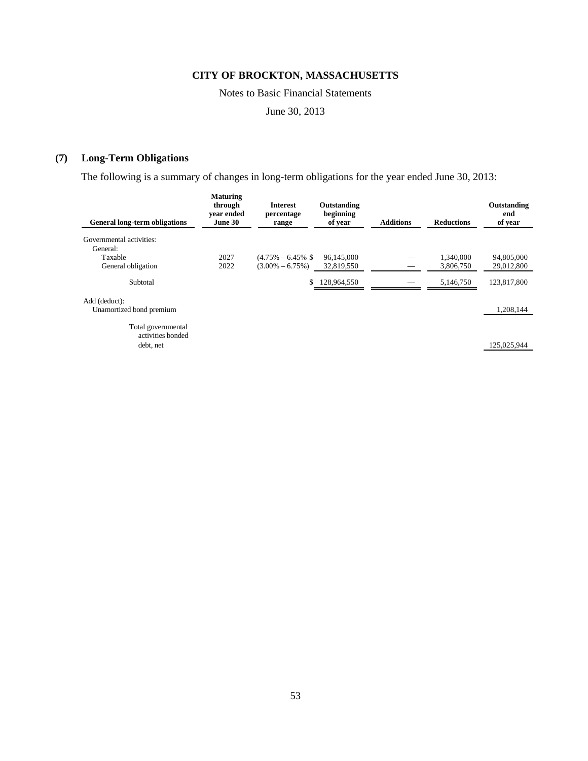Notes to Basic Financial Statements

June 30, 2013

# **(7) Long-Term Obligations**

The following is a summary of changes in long-term obligations for the year ended June 30, 2013:

| <b>General long-term obligations</b>    | <b>Maturing</b><br>through<br>year ended<br>June 30 | Interest<br>percentage<br>range | Outstanding<br>beginning<br>of year | <b>Additions</b> | <b>Reductions</b> | Outstanding<br>end<br>of year |
|-----------------------------------------|-----------------------------------------------------|---------------------------------|-------------------------------------|------------------|-------------------|-------------------------------|
| Governmental activities:<br>General:    |                                                     |                                 |                                     |                  |                   |                               |
| Taxable                                 | 2027                                                | $(4.75\% - 6.45\%$ \$           | 96,145,000                          |                  | 1,340,000         | 94,805,000                    |
| General obligation                      | 2022                                                | $(3.00\% - 6.75\%)$             | 32,819,550                          |                  | 3,806,750         | 29,012,800                    |
| Subtotal                                |                                                     |                                 | \$128,964,550                       |                  | 5,146,750         | 123,817,800                   |
| Add (deduct):                           |                                                     |                                 |                                     |                  |                   |                               |
| Unamortized bond premium                |                                                     |                                 |                                     |                  |                   | 1,208,144                     |
| Total governmental<br>activities bonded |                                                     |                                 |                                     |                  |                   |                               |
| debt, net                               |                                                     |                                 |                                     |                  |                   | 125,025,944                   |
|                                         |                                                     |                                 |                                     |                  |                   |                               |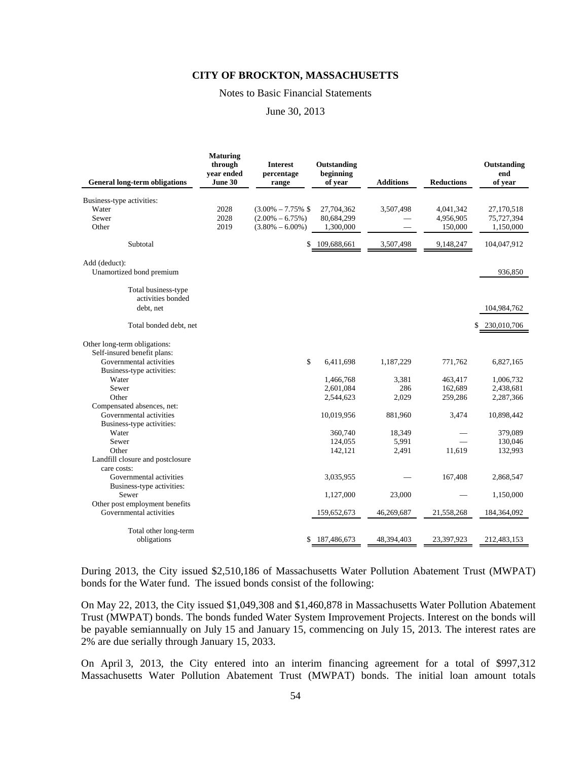#### Notes to Basic Financial Statements

June 30, 2013

| Business-type activities:<br>2028<br>Water<br>$(3.00\% - 7.75\%$ \$<br>27,704,362<br>4,041,342<br>27,170,518<br>3,507,498<br>Sewer<br>2028<br>$(2.00\% - 6.75\%)$<br>80,684,299<br>4,956,905<br>75,727,394<br>2019<br>Other<br>$(3.80\% - 6.00\%)$<br>150,000<br>1,150,000<br>1,300,000<br>Subtotal<br>\$109,688,661<br>3,507,498<br>9,148,247<br>104,047,912<br>Add (deduct):<br>Unamortized bond premium<br>936,850<br>Total business-type<br>activities bonded<br>104,984,762<br>debt, net<br>Total bonded debt, net<br>230,010,706<br>\$<br>Other long-term obligations:<br>Self-insured benefit plans:<br>\$<br>Governmental activities<br>6,411,698<br>1,187,229<br>771,762<br>6,827,165<br>Business-type activities:<br>Water<br>3,381<br>463,417<br>1,466,768<br>1,006,732<br>286<br>162,689<br>Sewer<br>2,601,084<br>2,438,681<br>Other<br>2,544,623<br>2,029<br>259,286<br>2,287,366<br>Compensated absences, net:<br>Governmental activities<br>10,019,956<br>881,960<br>3,474<br>10,898,442<br>Business-type activities:<br>Water<br>379,089<br>360,740<br>18,349<br>124,055<br>5,991<br>130,046<br>Sewer<br>Other<br>2,491<br>11,619<br>142,121<br>132,993<br>Landfill closure and postclosure<br>care costs:<br>Governmental activities<br>3,035,955<br>167,408<br>2,868,547<br>Business-type activities:<br>Sewer<br>23,000<br>1,150,000<br>1,127,000<br>Other post employment benefits<br>Governmental activities<br>159,652,673<br>46,269,687<br>21,558,268<br>184,364,092 | <b>General long-term obligations</b> | <b>Maturing</b><br>through<br>year ended<br>June 30 | <b>Interest</b><br>percentage<br>range | Outstanding<br>beginning<br>of year | <b>Additions</b> | <b>Reductions</b> | Outstanding<br>end<br>of vear |
|---------------------------------------------------------------------------------------------------------------------------------------------------------------------------------------------------------------------------------------------------------------------------------------------------------------------------------------------------------------------------------------------------------------------------------------------------------------------------------------------------------------------------------------------------------------------------------------------------------------------------------------------------------------------------------------------------------------------------------------------------------------------------------------------------------------------------------------------------------------------------------------------------------------------------------------------------------------------------------------------------------------------------------------------------------------------------------------------------------------------------------------------------------------------------------------------------------------------------------------------------------------------------------------------------------------------------------------------------------------------------------------------------------------------------------------------------------------------------------------------|--------------------------------------|-----------------------------------------------------|----------------------------------------|-------------------------------------|------------------|-------------------|-------------------------------|
|                                                                                                                                                                                                                                                                                                                                                                                                                                                                                                                                                                                                                                                                                                                                                                                                                                                                                                                                                                                                                                                                                                                                                                                                                                                                                                                                                                                                                                                                                             |                                      |                                                     |                                        |                                     |                  |                   |                               |
|                                                                                                                                                                                                                                                                                                                                                                                                                                                                                                                                                                                                                                                                                                                                                                                                                                                                                                                                                                                                                                                                                                                                                                                                                                                                                                                                                                                                                                                                                             |                                      |                                                     |                                        |                                     |                  |                   |                               |
|                                                                                                                                                                                                                                                                                                                                                                                                                                                                                                                                                                                                                                                                                                                                                                                                                                                                                                                                                                                                                                                                                                                                                                                                                                                                                                                                                                                                                                                                                             |                                      |                                                     |                                        |                                     |                  |                   |                               |
|                                                                                                                                                                                                                                                                                                                                                                                                                                                                                                                                                                                                                                                                                                                                                                                                                                                                                                                                                                                                                                                                                                                                                                                                                                                                                                                                                                                                                                                                                             |                                      |                                                     |                                        |                                     |                  |                   |                               |
|                                                                                                                                                                                                                                                                                                                                                                                                                                                                                                                                                                                                                                                                                                                                                                                                                                                                                                                                                                                                                                                                                                                                                                                                                                                                                                                                                                                                                                                                                             |                                      |                                                     |                                        |                                     |                  |                   |                               |
|                                                                                                                                                                                                                                                                                                                                                                                                                                                                                                                                                                                                                                                                                                                                                                                                                                                                                                                                                                                                                                                                                                                                                                                                                                                                                                                                                                                                                                                                                             |                                      |                                                     |                                        |                                     |                  |                   |                               |
|                                                                                                                                                                                                                                                                                                                                                                                                                                                                                                                                                                                                                                                                                                                                                                                                                                                                                                                                                                                                                                                                                                                                                                                                                                                                                                                                                                                                                                                                                             |                                      |                                                     |                                        |                                     |                  |                   |                               |
|                                                                                                                                                                                                                                                                                                                                                                                                                                                                                                                                                                                                                                                                                                                                                                                                                                                                                                                                                                                                                                                                                                                                                                                                                                                                                                                                                                                                                                                                                             |                                      |                                                     |                                        |                                     |                  |                   |                               |
|                                                                                                                                                                                                                                                                                                                                                                                                                                                                                                                                                                                                                                                                                                                                                                                                                                                                                                                                                                                                                                                                                                                                                                                                                                                                                                                                                                                                                                                                                             |                                      |                                                     |                                        |                                     |                  |                   |                               |
|                                                                                                                                                                                                                                                                                                                                                                                                                                                                                                                                                                                                                                                                                                                                                                                                                                                                                                                                                                                                                                                                                                                                                                                                                                                                                                                                                                                                                                                                                             |                                      |                                                     |                                        |                                     |                  |                   |                               |
|                                                                                                                                                                                                                                                                                                                                                                                                                                                                                                                                                                                                                                                                                                                                                                                                                                                                                                                                                                                                                                                                                                                                                                                                                                                                                                                                                                                                                                                                                             |                                      |                                                     |                                        |                                     |                  |                   |                               |
|                                                                                                                                                                                                                                                                                                                                                                                                                                                                                                                                                                                                                                                                                                                                                                                                                                                                                                                                                                                                                                                                                                                                                                                                                                                                                                                                                                                                                                                                                             |                                      |                                                     |                                        |                                     |                  |                   |                               |
|                                                                                                                                                                                                                                                                                                                                                                                                                                                                                                                                                                                                                                                                                                                                                                                                                                                                                                                                                                                                                                                                                                                                                                                                                                                                                                                                                                                                                                                                                             |                                      |                                                     |                                        |                                     |                  |                   |                               |
|                                                                                                                                                                                                                                                                                                                                                                                                                                                                                                                                                                                                                                                                                                                                                                                                                                                                                                                                                                                                                                                                                                                                                                                                                                                                                                                                                                                                                                                                                             |                                      |                                                     |                                        |                                     |                  |                   |                               |
|                                                                                                                                                                                                                                                                                                                                                                                                                                                                                                                                                                                                                                                                                                                                                                                                                                                                                                                                                                                                                                                                                                                                                                                                                                                                                                                                                                                                                                                                                             |                                      |                                                     |                                        |                                     |                  |                   |                               |
|                                                                                                                                                                                                                                                                                                                                                                                                                                                                                                                                                                                                                                                                                                                                                                                                                                                                                                                                                                                                                                                                                                                                                                                                                                                                                                                                                                                                                                                                                             |                                      |                                                     |                                        |                                     |                  |                   |                               |
|                                                                                                                                                                                                                                                                                                                                                                                                                                                                                                                                                                                                                                                                                                                                                                                                                                                                                                                                                                                                                                                                                                                                                                                                                                                                                                                                                                                                                                                                                             |                                      |                                                     |                                        |                                     |                  |                   |                               |
|                                                                                                                                                                                                                                                                                                                                                                                                                                                                                                                                                                                                                                                                                                                                                                                                                                                                                                                                                                                                                                                                                                                                                                                                                                                                                                                                                                                                                                                                                             |                                      |                                                     |                                        |                                     |                  |                   |                               |
|                                                                                                                                                                                                                                                                                                                                                                                                                                                                                                                                                                                                                                                                                                                                                                                                                                                                                                                                                                                                                                                                                                                                                                                                                                                                                                                                                                                                                                                                                             |                                      |                                                     |                                        |                                     |                  |                   |                               |
|                                                                                                                                                                                                                                                                                                                                                                                                                                                                                                                                                                                                                                                                                                                                                                                                                                                                                                                                                                                                                                                                                                                                                                                                                                                                                                                                                                                                                                                                                             |                                      |                                                     |                                        |                                     |                  |                   |                               |
|                                                                                                                                                                                                                                                                                                                                                                                                                                                                                                                                                                                                                                                                                                                                                                                                                                                                                                                                                                                                                                                                                                                                                                                                                                                                                                                                                                                                                                                                                             |                                      |                                                     |                                        |                                     |                  |                   |                               |
|                                                                                                                                                                                                                                                                                                                                                                                                                                                                                                                                                                                                                                                                                                                                                                                                                                                                                                                                                                                                                                                                                                                                                                                                                                                                                                                                                                                                                                                                                             |                                      |                                                     |                                        |                                     |                  |                   |                               |
|                                                                                                                                                                                                                                                                                                                                                                                                                                                                                                                                                                                                                                                                                                                                                                                                                                                                                                                                                                                                                                                                                                                                                                                                                                                                                                                                                                                                                                                                                             |                                      |                                                     |                                        |                                     |                  |                   |                               |
|                                                                                                                                                                                                                                                                                                                                                                                                                                                                                                                                                                                                                                                                                                                                                                                                                                                                                                                                                                                                                                                                                                                                                                                                                                                                                                                                                                                                                                                                                             |                                      |                                                     |                                        |                                     |                  |                   |                               |
|                                                                                                                                                                                                                                                                                                                                                                                                                                                                                                                                                                                                                                                                                                                                                                                                                                                                                                                                                                                                                                                                                                                                                                                                                                                                                                                                                                                                                                                                                             |                                      |                                                     |                                        |                                     |                  |                   |                               |
|                                                                                                                                                                                                                                                                                                                                                                                                                                                                                                                                                                                                                                                                                                                                                                                                                                                                                                                                                                                                                                                                                                                                                                                                                                                                                                                                                                                                                                                                                             |                                      |                                                     |                                        |                                     |                  |                   |                               |
|                                                                                                                                                                                                                                                                                                                                                                                                                                                                                                                                                                                                                                                                                                                                                                                                                                                                                                                                                                                                                                                                                                                                                                                                                                                                                                                                                                                                                                                                                             |                                      |                                                     |                                        |                                     |                  |                   |                               |
|                                                                                                                                                                                                                                                                                                                                                                                                                                                                                                                                                                                                                                                                                                                                                                                                                                                                                                                                                                                                                                                                                                                                                                                                                                                                                                                                                                                                                                                                                             |                                      |                                                     |                                        |                                     |                  |                   |                               |
|                                                                                                                                                                                                                                                                                                                                                                                                                                                                                                                                                                                                                                                                                                                                                                                                                                                                                                                                                                                                                                                                                                                                                                                                                                                                                                                                                                                                                                                                                             |                                      |                                                     |                                        |                                     |                  |                   |                               |
|                                                                                                                                                                                                                                                                                                                                                                                                                                                                                                                                                                                                                                                                                                                                                                                                                                                                                                                                                                                                                                                                                                                                                                                                                                                                                                                                                                                                                                                                                             |                                      |                                                     |                                        |                                     |                  |                   |                               |
|                                                                                                                                                                                                                                                                                                                                                                                                                                                                                                                                                                                                                                                                                                                                                                                                                                                                                                                                                                                                                                                                                                                                                                                                                                                                                                                                                                                                                                                                                             |                                      |                                                     |                                        |                                     |                  |                   |                               |
|                                                                                                                                                                                                                                                                                                                                                                                                                                                                                                                                                                                                                                                                                                                                                                                                                                                                                                                                                                                                                                                                                                                                                                                                                                                                                                                                                                                                                                                                                             |                                      |                                                     |                                        |                                     |                  |                   |                               |
| Total other long-term                                                                                                                                                                                                                                                                                                                                                                                                                                                                                                                                                                                                                                                                                                                                                                                                                                                                                                                                                                                                                                                                                                                                                                                                                                                                                                                                                                                                                                                                       |                                      |                                                     |                                        |                                     |                  |                   |                               |
| obligations<br>187,486,673<br>48,394,403<br>23,397,923<br>212,483,153<br>S                                                                                                                                                                                                                                                                                                                                                                                                                                                                                                                                                                                                                                                                                                                                                                                                                                                                                                                                                                                                                                                                                                                                                                                                                                                                                                                                                                                                                  |                                      |                                                     |                                        |                                     |                  |                   |                               |

During 2013, the City issued \$2,510,186 of Massachusetts Water Pollution Abatement Trust (MWPAT) bonds for the Water fund. The issued bonds consist of the following:

On May 22, 2013, the City issued \$1,049,308 and \$1,460,878 in Massachusetts Water Pollution Abatement Trust (MWPAT) bonds. The bonds funded Water System Improvement Projects. Interest on the bonds will be payable semiannually on July 15 and January 15, commencing on July 15, 2013. The interest rates are 2% are due serially through January 15, 2033.

On April 3, 2013, the City entered into an interim financing agreement for a total of \$997,312 Massachusetts Water Pollution Abatement Trust (MWPAT) bonds. The initial loan amount totals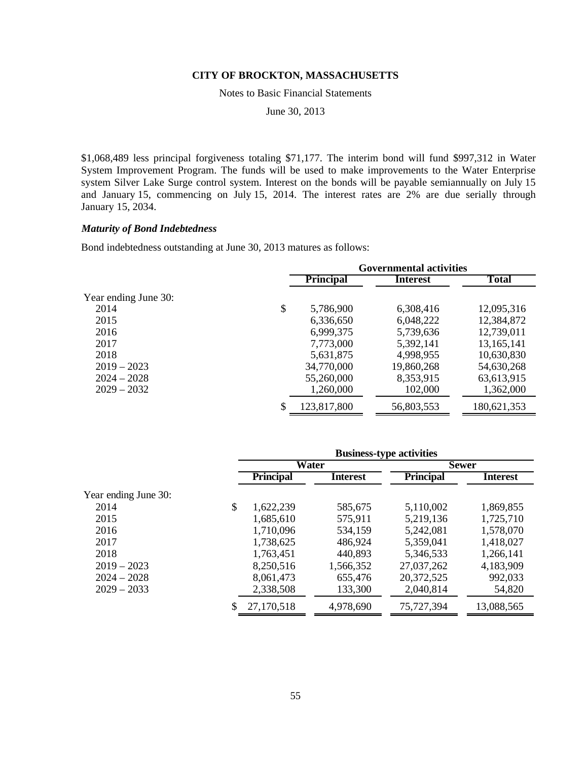Notes to Basic Financial Statements

June 30, 2013

\$1,068,489 less principal forgiveness totaling \$71,177. The interim bond will fund \$997,312 in Water System Improvement Program. The funds will be used to make improvements to the Water Enterprise system Silver Lake Surge control system. Interest on the bonds will be payable semiannually on July 15 and January 15, commencing on July 15, 2014. The interest rates are 2% are due serially through January 15, 2034.

### *Maturity of Bond Indebtedness*

Bond indebtedness outstanding at June 30, 2013 matures as follows:

|                      | <b>Governmental activities</b> |                 |              |
|----------------------|--------------------------------|-----------------|--------------|
|                      | <b>Principal</b>               | <b>Interest</b> | <b>Total</b> |
| Year ending June 30: |                                |                 |              |
| 2014                 | \$<br>5,786,900                | 6,308,416       | 12,095,316   |
| 2015                 | 6,336,650                      | 6,048,222       | 12,384,872   |
| 2016                 | 6,999,375                      | 5,739,636       | 12,739,011   |
| 2017                 | 7,773,000                      | 5,392,141       | 13,165,141   |
| 2018                 | 5,631,875                      | 4,998,955       | 10,630,830   |
| $2019 - 2023$        | 34,770,000                     | 19,860,268      | 54,630,268   |
| $2024 - 2028$        | 55,260,000                     | 8,353,915       | 63,613,915   |
| $2029 - 2032$        | 1,260,000                      | 102,000         | 1,362,000    |
|                      | 123,817,800                    | 56,803,553      | 180,621,353  |

|                      | <b>Business-type activities</b> |                 |                  |                 |  |  |
|----------------------|---------------------------------|-----------------|------------------|-----------------|--|--|
|                      |                                 | Water           | <b>Sewer</b>     |                 |  |  |
|                      | <b>Principal</b>                | <b>Interest</b> | <b>Principal</b> | <b>Interest</b> |  |  |
| Year ending June 30: |                                 |                 |                  |                 |  |  |
| 2014                 | \$<br>1,622,239                 | 585,675         | 5,110,002        | 1,869,855       |  |  |
| 2015                 | 1,685,610                       | 575,911         | 5,219,136        | 1,725,710       |  |  |
| 2016                 | 1,710,096                       | 534,159         | 5,242,081        | 1,578,070       |  |  |
| 2017                 | 1,738,625                       | 486,924         | 5,359,041        | 1,418,027       |  |  |
| 2018                 | 1,763,451                       | 440,893         | 5,346,533        | 1,266,141       |  |  |
| $2019 - 2023$        | 8,250,516                       | 1,566,352       | 27,037,262       | 4,183,909       |  |  |
| $2024 - 2028$        | 8,061,473                       | 655,476         | 20,372,525       | 992,033         |  |  |
| $2029 - 2033$        | 2,338,508                       | 133,300         | 2,040,814        | 54,820          |  |  |
|                      | 27,170,518                      | 4,978,690       | 75,727,394       | 13,088,565      |  |  |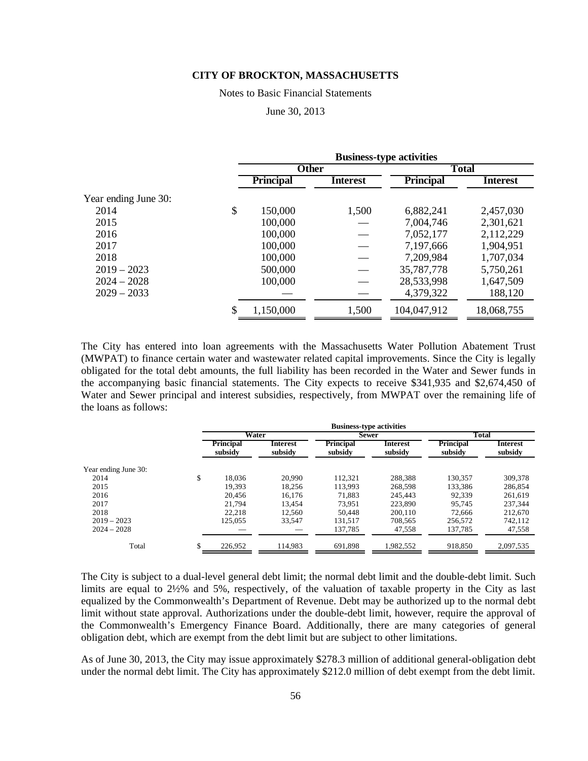#### Notes to Basic Financial Statements

## June 30, 2013

|                      | <b>Business-type activities</b>     |       |                  |                 |  |  |  |
|----------------------|-------------------------------------|-------|------------------|-----------------|--|--|--|
|                      | Other                               |       | <b>Total</b>     |                 |  |  |  |
|                      | <b>Principal</b><br><b>Interest</b> |       | <b>Principal</b> | <b>Interest</b> |  |  |  |
| Year ending June 30: |                                     |       |                  |                 |  |  |  |
| 2014                 | \$<br>150,000                       | 1,500 | 6,882,241        | 2,457,030       |  |  |  |
| 2015                 | 100,000                             |       | 7,004,746        | 2,301,621       |  |  |  |
| 2016                 | 100,000                             |       | 7,052,177        | 2,112,229       |  |  |  |
| 2017                 | 100,000                             |       | 7,197,666        | 1,904,951       |  |  |  |
| 2018                 | 100,000                             |       | 7,209,984        | 1,707,034       |  |  |  |
| $2019 - 2023$        | 500,000                             |       | 35,787,778       | 5,750,261       |  |  |  |
| $2024 - 2028$        | 100,000                             |       | 28,533,998       | 1,647,509       |  |  |  |
| $2029 - 2033$        |                                     |       | 4,379,322        | 188,120         |  |  |  |
|                      | 1,150,000                           | 1,500 | 104,047,912      | 18,068,755      |  |  |  |

The City has entered into loan agreements with the Massachusetts Water Pollution Abatement Trust (MWPAT) to finance certain water and wastewater related capital improvements. Since the City is legally obligated for the total debt amounts, the full liability has been recorded in the Water and Sewer funds in the accompanying basic financial statements. The City expects to receive \$341,935 and \$2,674,450 of Water and Sewer principal and interest subsidies, respectively, from MWPAT over the remaining life of the loans as follows:

|                      | <b>Business-type activities</b> |                            |                             |                            |                             |                            |  |  |
|----------------------|---------------------------------|----------------------------|-----------------------------|----------------------------|-----------------------------|----------------------------|--|--|
|                      | Water                           |                            | <b>Sewer</b>                |                            |                             | <b>Total</b>               |  |  |
|                      | <b>Principal</b><br>subsidy     | <b>Interest</b><br>subsidy | <b>Principal</b><br>subsidy | <b>Interest</b><br>subsidy | <b>Principal</b><br>subsidy | <b>Interest</b><br>subsidy |  |  |
| Year ending June 30: |                                 |                            |                             |                            |                             |                            |  |  |
| 2014                 | \$<br>18.036                    | 20,990                     | 112.321                     | 288.388                    | 130.357                     | 309,378                    |  |  |
| 2015                 | 19.393                          | 18.256                     | 113.993                     | 268,598                    | 133.386                     | 286,854                    |  |  |
| 2016                 | 20,456                          | 16.176                     | 71.883                      | 245,443                    | 92,339                      | 261,619                    |  |  |
| 2017                 | 21.794                          | 13.454                     | 73.951                      | 223,890                    | 95.745                      | 237.344                    |  |  |
| 2018                 | 22.218                          | 12.560                     | 50.448                      | 200.110                    | 72.666                      | 212,670                    |  |  |
| $2019 - 2023$        | 125.055                         | 33.547                     | 131,517                     | 708.565                    | 256,572                     | 742.112                    |  |  |
| $2024 - 2028$        |                                 |                            | 137,785                     | 47,558                     | 137,785                     | 47,558                     |  |  |
| Total                | 226,952                         | 114,983                    | 691,898                     | 1,982,552                  | 918,850                     | 2,097,535                  |  |  |

The City is subject to a dual-level general debt limit; the normal debt limit and the double-debt limit. Such limits are equal to 2½% and 5%, respectively, of the valuation of taxable property in the City as last equalized by the Commonwealth's Department of Revenue. Debt may be authorized up to the normal debt limit without state approval. Authorizations under the double-debt limit, however, require the approval of the Commonwealth's Emergency Finance Board. Additionally, there are many categories of general obligation debt, which are exempt from the debt limit but are subject to other limitations.

As of June 30, 2013, the City may issue approximately \$278.3 million of additional general-obligation debt under the normal debt limit. The City has approximately \$212.0 million of debt exempt from the debt limit.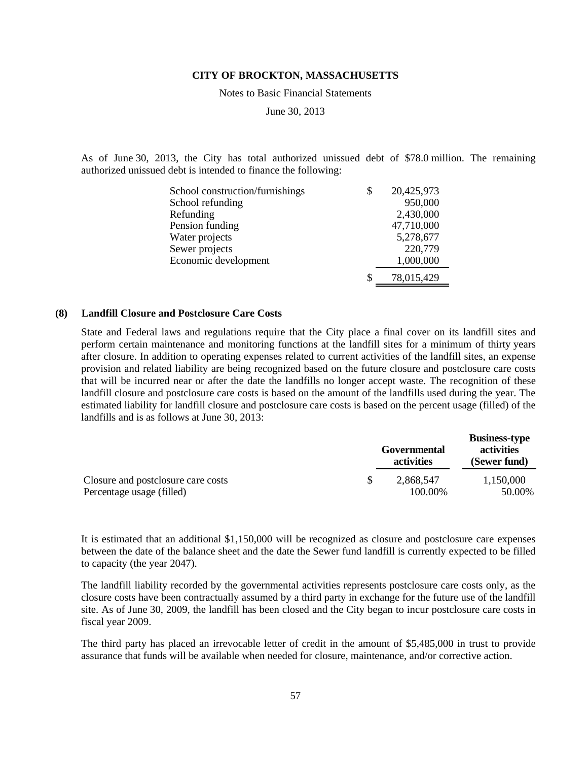Notes to Basic Financial Statements

June 30, 2013

As of June 30, 2013, the City has total authorized unissued debt of \$78.0 million. The remaining authorized unissued debt is intended to finance the following:

| School construction/furnishings | \$ | 20,425,973 |
|---------------------------------|----|------------|
| School refunding                |    | 950,000    |
| Refunding                       |    | 2,430,000  |
| Pension funding                 |    | 47,710,000 |
| Water projects                  |    | 5,278,677  |
| Sewer projects                  |    | 220,779    |
| Economic development            |    | 1,000,000  |
|                                 | S  | 78,015,429 |

## **(8) Landfill Closure and Postclosure Care Costs**

State and Federal laws and regulations require that the City place a final cover on its landfill sites and perform certain maintenance and monitoring functions at the landfill sites for a minimum of thirty years after closure. In addition to operating expenses related to current activities of the landfill sites, an expense provision and related liability are being recognized based on the future closure and postclosure care costs that will be incurred near or after the date the landfills no longer accept waste. The recognition of these landfill closure and postclosure care costs is based on the amount of the landfills used during the year. The estimated liability for landfill closure and postclosure care costs is based on the percent usage (filled) of the landfills and is as follows at June 30, 2013:

|                                    | Governmental<br>activities | <b>Business-type</b><br>activities<br>(Sewer fund) |  |
|------------------------------------|----------------------------|----------------------------------------------------|--|
| Closure and postclosure care costs | 2,868,547                  | 1,150,000                                          |  |
| Percentage usage (filled)          | 100.00%                    | 50.00%                                             |  |

It is estimated that an additional \$1,150,000 will be recognized as closure and postclosure care expenses between the date of the balance sheet and the date the Sewer fund landfill is currently expected to be filled to capacity (the year 2047).

The landfill liability recorded by the governmental activities represents postclosure care costs only, as the closure costs have been contractually assumed by a third party in exchange for the future use of the landfill site. As of June 30, 2009, the landfill has been closed and the City began to incur postclosure care costs in fiscal year 2009.

The third party has placed an irrevocable letter of credit in the amount of \$5,485,000 in trust to provide assurance that funds will be available when needed for closure, maintenance, and/or corrective action.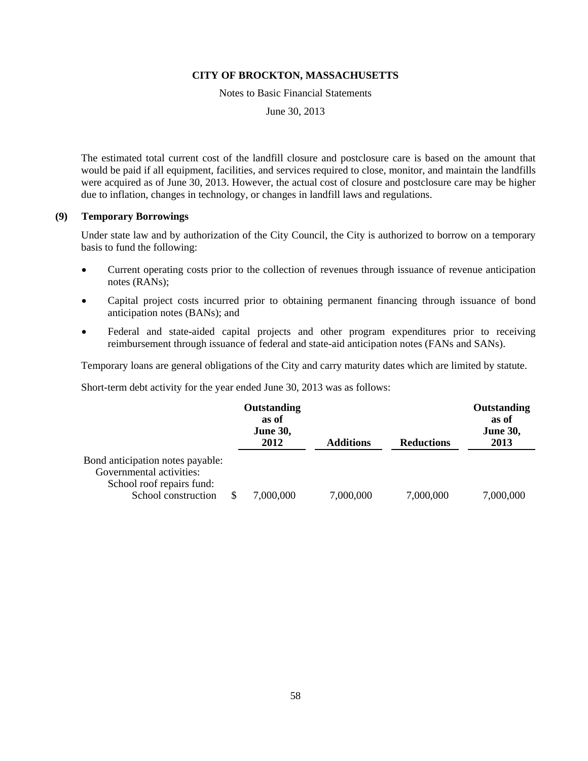Notes to Basic Financial Statements

June 30, 2013

The estimated total current cost of the landfill closure and postclosure care is based on the amount that would be paid if all equipment, facilities, and services required to close, monitor, and maintain the landfills were acquired as of June 30, 2013. However, the actual cost of closure and postclosure care may be higher due to inflation, changes in technology, or changes in landfill laws and regulations.

## **(9) Temporary Borrowings**

Under state law and by authorization of the City Council, the City is authorized to borrow on a temporary basis to fund the following:

- Current operating costs prior to the collection of revenues through issuance of revenue anticipation notes (RANs);
- Capital project costs incurred prior to obtaining permanent financing through issuance of bond anticipation notes (BANs); and
- Federal and state-aided capital projects and other program expenditures prior to receiving reimbursement through issuance of federal and state-aid anticipation notes (FANs and SANs).

Temporary loans are general obligations of the City and carry maturity dates which are limited by statute.

Short-term debt activity for the year ended June 30, 2013 was as follows:

|                                                              | <b>Outstanding</b><br>as of<br><b>June 30,</b><br>2012 | <b>Additions</b> | <b>Reductions</b> | Outstanding<br>as of<br><b>June 30,</b><br>2013 |
|--------------------------------------------------------------|--------------------------------------------------------|------------------|-------------------|-------------------------------------------------|
| Bond anticipation notes payable:<br>Governmental activities: |                                                        |                  |                   |                                                 |
|                                                              |                                                        |                  |                   |                                                 |
| School roof repairs fund:                                    |                                                        |                  |                   |                                                 |
| School construction                                          | 7,000,000                                              | 7,000,000        | 7,000,000         | 7,000,000                                       |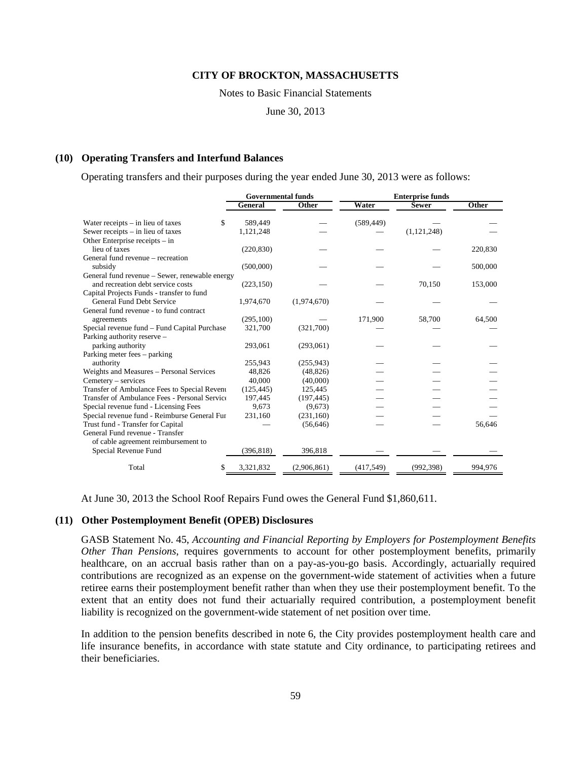Notes to Basic Financial Statements

June 30, 2013

## **(10) Operating Transfers and Interfund Balances**

Operating transfers and their purposes during the year ended June 30, 2013 were as follows:

|                                                | <b>Governmental funds</b> |             | <b>Enterprise funds</b> |               |         |  |
|------------------------------------------------|---------------------------|-------------|-------------------------|---------------|---------|--|
|                                                | General                   | Other       | Water                   | <b>Sewer</b>  | Other   |  |
| Water receipts $-$ in lieu of taxes<br>\$      | 589,449                   |             | (589, 449)              |               |         |  |
| Sewer receipts – in lieu of taxes              | 1,121,248                 |             |                         | (1, 121, 248) |         |  |
| Other Enterprise receipts – in                 |                           |             |                         |               |         |  |
| lieu of taxes                                  |                           |             |                         |               | 220,830 |  |
| General fund revenue – recreation              | (220, 830)                |             |                         |               |         |  |
|                                                |                           |             |                         |               |         |  |
| subsidy                                        | (500,000)                 |             |                         |               | 500,000 |  |
| General fund revenue - Sewer, renewable energy |                           |             |                         |               |         |  |
| and recreation debt service costs              | (223, 150)                |             |                         | 70,150        | 153,000 |  |
| Capital Projects Funds - transfer to fund      |                           |             |                         |               |         |  |
| General Fund Debt Service                      | 1,974,670                 | (1,974,670) |                         |               |         |  |
| General fund revenue - to fund contract        |                           |             |                         |               |         |  |
| agreements                                     | (295,100)                 |             | 171,900                 | 58,700        | 64,500  |  |
| Special revenue fund - Fund Capital Purchase   | 321,700                   | (321,700)   |                         |               |         |  |
| Parking authority reserve -                    |                           |             |                         |               |         |  |
| parking authority                              | 293,061                   | (293,061)   |                         |               |         |  |
| Parking meter fees – parking                   |                           |             |                         |               |         |  |
| authority                                      | 255,943                   | (255, 943)  |                         |               |         |  |
| Weights and Measures - Personal Services       | 48.826                    | (48, 826)   |                         |               |         |  |
| Cemetery - services                            | 40,000                    | (40,000)    |                         |               |         |  |
| Transfer of Ambulance Fees to Special Revenu   | (125, 445)                | 125,445     |                         |               |         |  |
| Transfer of Ambulance Fees - Personal Service  | 197,445                   | (197, 445)  |                         |               |         |  |
| Special revenue fund - Licensing Fees          | 9,673                     | (9,673)     |                         |               |         |  |
| Special revenue fund - Reimburse General Fur   | 231,160                   | (231, 160)  |                         |               |         |  |
| Trust fund - Transfer for Capital              |                           | (56, 646)   |                         |               | 56,646  |  |
| General Fund revenue - Transfer                |                           |             |                         |               |         |  |
| of cable agreement reimbursement to            |                           |             |                         |               |         |  |
| Special Revenue Fund                           | (396, 818)                | 396,818     |                         |               |         |  |
| Total<br>\$                                    | 3,321,832                 | (2,906,861) | (417, 549)              | (992, 398)    | 994,976 |  |

At June 30, 2013 the School Roof Repairs Fund owes the General Fund \$1,860,611.

#### **(11) Other Postemployment Benefit (OPEB) Disclosures**

GASB Statement No. 45, *Accounting and Financial Reporting by Employers for Postemployment Benefits Other Than Pensions*, requires governments to account for other postemployment benefits, primarily healthcare, on an accrual basis rather than on a pay-as-you-go basis. Accordingly, actuarially required contributions are recognized as an expense on the government-wide statement of activities when a future retiree earns their postemployment benefit rather than when they use their postemployment benefit. To the extent that an entity does not fund their actuarially required contribution, a postemployment benefit liability is recognized on the government-wide statement of net position over time.

In addition to the pension benefits described in note 6, the City provides postemployment health care and life insurance benefits, in accordance with state statute and City ordinance, to participating retirees and their beneficiaries.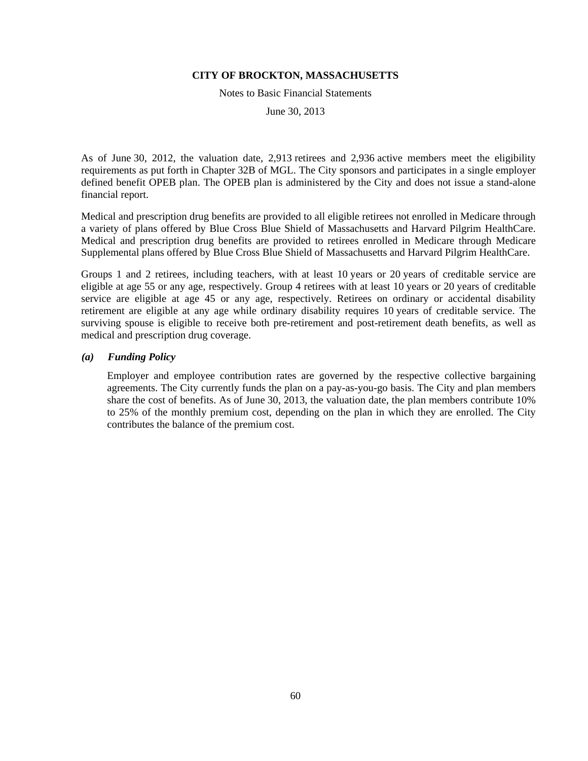Notes to Basic Financial Statements

June 30, 2013

As of June 30, 2012, the valuation date, 2,913 retirees and 2,936 active members meet the eligibility requirements as put forth in Chapter 32B of MGL. The City sponsors and participates in a single employer defined benefit OPEB plan. The OPEB plan is administered by the City and does not issue a stand-alone financial report.

Medical and prescription drug benefits are provided to all eligible retirees not enrolled in Medicare through a variety of plans offered by Blue Cross Blue Shield of Massachusetts and Harvard Pilgrim HealthCare. Medical and prescription drug benefits are provided to retirees enrolled in Medicare through Medicare Supplemental plans offered by Blue Cross Blue Shield of Massachusetts and Harvard Pilgrim HealthCare.

Groups 1 and 2 retirees, including teachers, with at least 10 years or 20 years of creditable service are eligible at age 55 or any age, respectively. Group 4 retirees with at least 10 years or 20 years of creditable service are eligible at age 45 or any age, respectively. Retirees on ordinary or accidental disability retirement are eligible at any age while ordinary disability requires 10 years of creditable service. The surviving spouse is eligible to receive both pre-retirement and post-retirement death benefits, as well as medical and prescription drug coverage.

#### *(a) Funding Policy*

Employer and employee contribution rates are governed by the respective collective bargaining agreements. The City currently funds the plan on a pay-as-you-go basis. The City and plan members share the cost of benefits. As of June 30, 2013, the valuation date, the plan members contribute 10% to 25% of the monthly premium cost, depending on the plan in which they are enrolled. The City contributes the balance of the premium cost.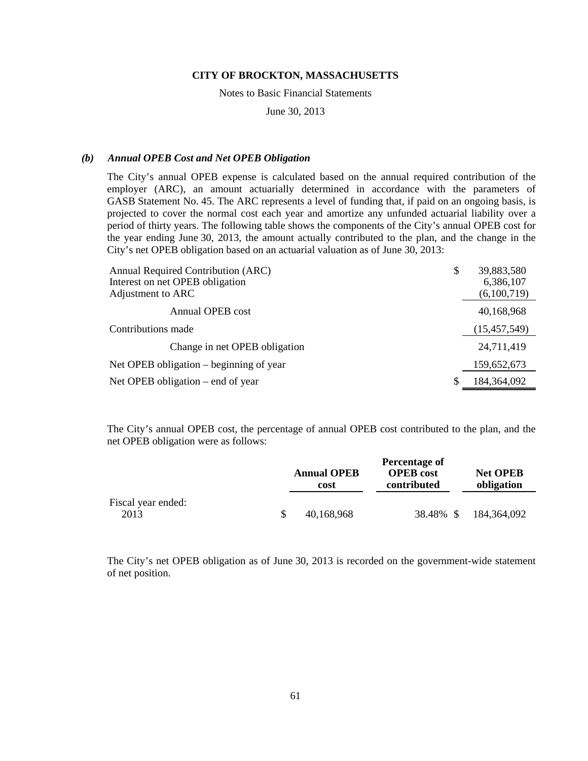Notes to Basic Financial Statements

June 30, 2013

### *(b) Annual OPEB Cost and Net OPEB Obligation*

The City's annual OPEB expense is calculated based on the annual required contribution of the employer (ARC), an amount actuarially determined in accordance with the parameters of GASB Statement No. 45. The ARC represents a level of funding that, if paid on an ongoing basis, is projected to cover the normal cost each year and amortize any unfunded actuarial liability over a period of thirty years. The following table shows the components of the City's annual OPEB cost for the year ending June 30, 2013, the amount actually contributed to the plan, and the change in the City's net OPEB obligation based on an actuarial valuation as of June 30, 2013:

| Annual Required Contribution (ARC)<br>Interest on net OPEB obligation<br>Adjustment to ARC | S | 39,883,580<br>6,386,107<br>(6,100,719) |
|--------------------------------------------------------------------------------------------|---|----------------------------------------|
| Annual OPEB cost                                                                           |   | 40,168,968                             |
| Contributions made                                                                         |   | (15, 457, 549)                         |
| Change in net OPEB obligation                                                              |   | 24,711,419                             |
| Net OPEB obligation – beginning of year                                                    |   | 159,652,673                            |
| Net OPEB obligation – end of year                                                          |   | 184,364,092                            |

The City's annual OPEB cost, the percentage of annual OPEB cost contributed to the plan, and the net OPEB obligation were as follows:

|                            | Percentage of              |                                 |                               |  |  |
|----------------------------|----------------------------|---------------------------------|-------------------------------|--|--|
|                            | <b>Annual OPEB</b><br>cost | <b>OPEB</b> cost<br>contributed | <b>Net OPEB</b><br>obligation |  |  |
| Fiscal year ended:<br>2013 | 40,168,968                 | 38.48% \$                       | 184, 364, 092                 |  |  |
|                            |                            |                                 |                               |  |  |

The City's net OPEB obligation as of June 30, 2013 is recorded on the government-wide statement of net position.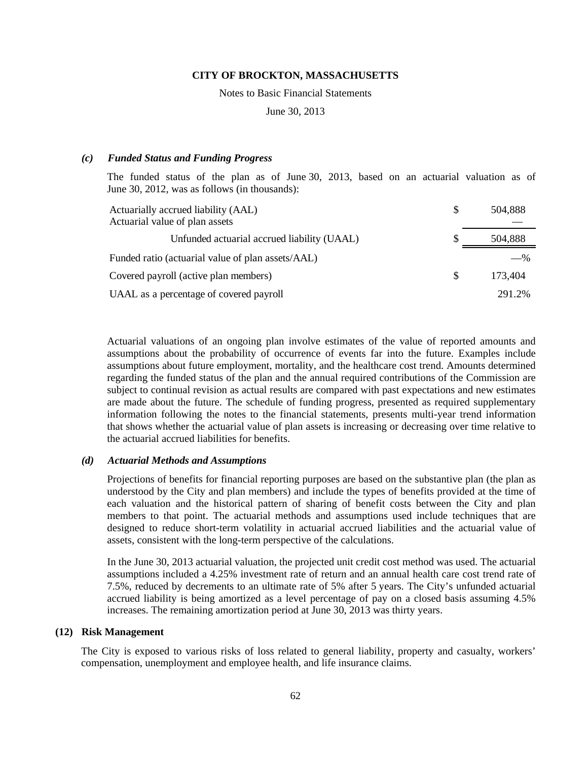Notes to Basic Financial Statements

June 30, 2013

#### *(c) Funded Status and Funding Progress*

The funded status of the plan as of June 30, 2013, based on an actuarial valuation as of June 30, 2012, was as follows (in thousands):

| Actuarially accrued liability (AAL)<br>Actuarial value of plan assets |    | 504.888 |
|-----------------------------------------------------------------------|----|---------|
| Unfunded actuarial accrued liability (UAAL)                           |    | 504,888 |
| Funded ratio (actuarial value of plan assets/AAL)                     |    | $-$ %   |
| Covered payroll (active plan members)                                 | -S | 173.404 |
| UAAL as a percentage of covered payroll                               |    | 291.2%  |

Actuarial valuations of an ongoing plan involve estimates of the value of reported amounts and assumptions about the probability of occurrence of events far into the future. Examples include assumptions about future employment, mortality, and the healthcare cost trend. Amounts determined regarding the funded status of the plan and the annual required contributions of the Commission are subject to continual revision as actual results are compared with past expectations and new estimates are made about the future. The schedule of funding progress, presented as required supplementary information following the notes to the financial statements, presents multi-year trend information that shows whether the actuarial value of plan assets is increasing or decreasing over time relative to the actuarial accrued liabilities for benefits.

### *(d) Actuarial Methods and Assumptions*

Projections of benefits for financial reporting purposes are based on the substantive plan (the plan as understood by the City and plan members) and include the types of benefits provided at the time of each valuation and the historical pattern of sharing of benefit costs between the City and plan members to that point. The actuarial methods and assumptions used include techniques that are designed to reduce short-term volatility in actuarial accrued liabilities and the actuarial value of assets, consistent with the long-term perspective of the calculations.

In the June 30, 2013 actuarial valuation, the projected unit credit cost method was used. The actuarial assumptions included a 4.25% investment rate of return and an annual health care cost trend rate of 7.5%, reduced by decrements to an ultimate rate of 5% after 5 years. The City's unfunded actuarial accrued liability is being amortized as a level percentage of pay on a closed basis assuming 4.5% increases. The remaining amortization period at June 30, 2013 was thirty years.

#### **(12) Risk Management**

The City is exposed to various risks of loss related to general liability, property and casualty, workers' compensation, unemployment and employee health, and life insurance claims.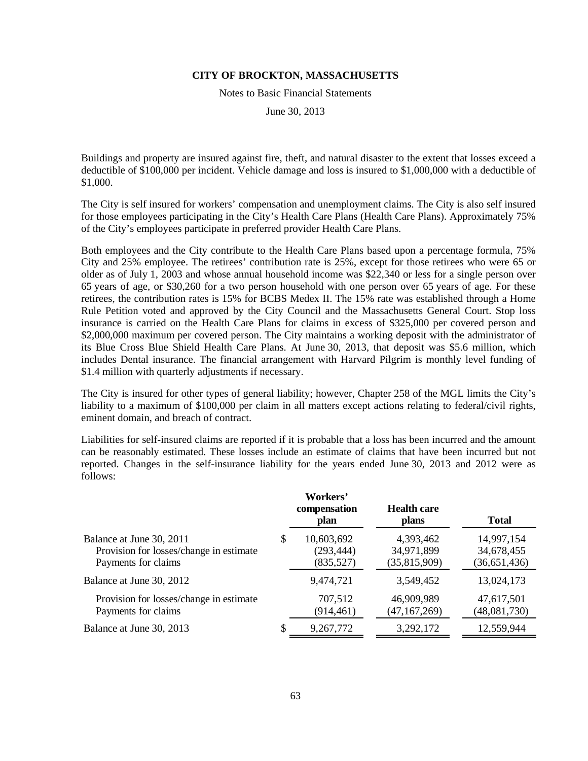Notes to Basic Financial Statements

June 30, 2013

Buildings and property are insured against fire, theft, and natural disaster to the extent that losses exceed a deductible of \$100,000 per incident. Vehicle damage and loss is insured to \$1,000,000 with a deductible of \$1,000.

The City is self insured for workers' compensation and unemployment claims. The City is also self insured for those employees participating in the City's Health Care Plans (Health Care Plans). Approximately 75% of the City's employees participate in preferred provider Health Care Plans.

Both employees and the City contribute to the Health Care Plans based upon a percentage formula, 75% City and 25% employee. The retirees' contribution rate is 25%, except for those retirees who were 65 or older as of July 1, 2003 and whose annual household income was \$22,340 or less for a single person over 65 years of age, or \$30,260 for a two person household with one person over 65 years of age. For these retirees, the contribution rates is 15% for BCBS Medex II. The 15% rate was established through a Home Rule Petition voted and approved by the City Council and the Massachusetts General Court. Stop loss insurance is carried on the Health Care Plans for claims in excess of \$325,000 per covered person and \$2,000,000 maximum per covered person. The City maintains a working deposit with the administrator of its Blue Cross Blue Shield Health Care Plans. At June 30, 2013, that deposit was \$5.6 million, which includes Dental insurance. The financial arrangement with Harvard Pilgrim is monthly level funding of \$1.4 million with quarterly adjustments if necessary.

The City is insured for other types of general liability; however, Chapter 258 of the MGL limits the City's liability to a maximum of \$100,000 per claim in all matters except actions relating to federal/civil rights, eminent domain, and breach of contract.

Liabilities for self-insured claims are reported if it is probable that a loss has been incurred and the amount can be reasonably estimated. These losses include an estimate of claims that have been incurred but not reported. Changes in the self-insurance liability for the years ended June 30, 2013 and 2012 were as follows:

|                                                                                            |   | Workers'<br>compensation<br>plan       | <b>Health care</b><br>plans               | <b>Total</b>                               |
|--------------------------------------------------------------------------------------------|---|----------------------------------------|-------------------------------------------|--------------------------------------------|
| Balance at June 30, 2011<br>Provision for losses/change in estimate<br>Payments for claims | S | 10,603,692<br>(293, 444)<br>(835, 527) | 4,393,462<br>34,971,899<br>(35, 815, 909) | 14,997,154<br>34,678,455<br>(36, 651, 436) |
| Balance at June 30, 2012                                                                   |   | 9,474,721                              | 3,549,452                                 | 13,024,173                                 |
| Provision for losses/change in estimate<br>Payments for claims                             |   | 707,512<br>(914, 461)                  | 46,909,989<br>(47, 167, 269)              | 47,617,501<br>(48,081,730)                 |
| Balance at June 30, 2013                                                                   | S | 9,267,772                              | 3,292,172                                 | 12,559,944                                 |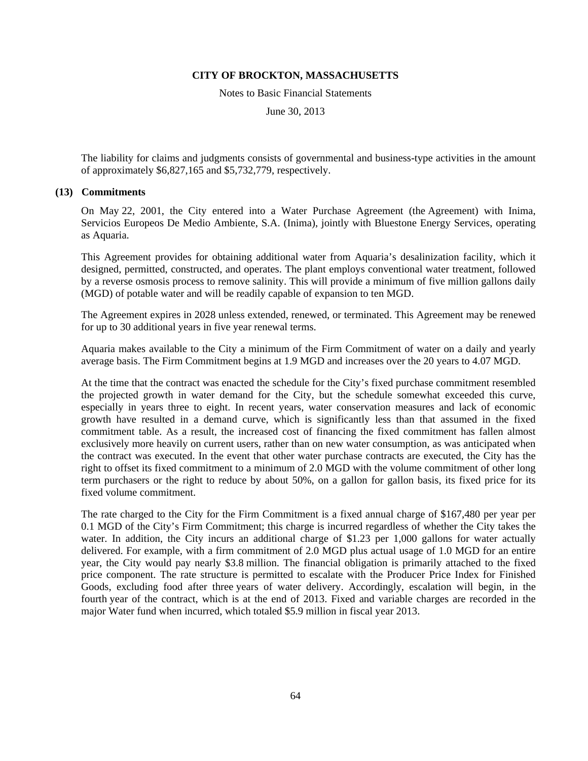Notes to Basic Financial Statements

June 30, 2013

The liability for claims and judgments consists of governmental and business-type activities in the amount of approximately \$6,827,165 and \$5,732,779, respectively.

## **(13) Commitments**

On May 22, 2001, the City entered into a Water Purchase Agreement (the Agreement) with Inima, Servicios Europeos De Medio Ambiente, S.A. (Inima), jointly with Bluestone Energy Services, operating as Aquaria.

This Agreement provides for obtaining additional water from Aquaria's desalinization facility, which it designed, permitted, constructed, and operates. The plant employs conventional water treatment, followed by a reverse osmosis process to remove salinity. This will provide a minimum of five million gallons daily (MGD) of potable water and will be readily capable of expansion to ten MGD.

The Agreement expires in 2028 unless extended, renewed, or terminated. This Agreement may be renewed for up to 30 additional years in five year renewal terms.

Aquaria makes available to the City a minimum of the Firm Commitment of water on a daily and yearly average basis. The Firm Commitment begins at 1.9 MGD and increases over the 20 years to 4.07 MGD.

At the time that the contract was enacted the schedule for the City's fixed purchase commitment resembled the projected growth in water demand for the City, but the schedule somewhat exceeded this curve, especially in years three to eight. In recent years, water conservation measures and lack of economic growth have resulted in a demand curve, which is significantly less than that assumed in the fixed commitment table. As a result, the increased cost of financing the fixed commitment has fallen almost exclusively more heavily on current users, rather than on new water consumption, as was anticipated when the contract was executed. In the event that other water purchase contracts are executed, the City has the right to offset its fixed commitment to a minimum of 2.0 MGD with the volume commitment of other long term purchasers or the right to reduce by about 50%, on a gallon for gallon basis, its fixed price for its fixed volume commitment.

The rate charged to the City for the Firm Commitment is a fixed annual charge of \$167,480 per year per 0.1 MGD of the City's Firm Commitment; this charge is incurred regardless of whether the City takes the water. In addition, the City incurs an additional charge of \$1.23 per 1,000 gallons for water actually delivered. For example, with a firm commitment of 2.0 MGD plus actual usage of 1.0 MGD for an entire year, the City would pay nearly \$3.8 million. The financial obligation is primarily attached to the fixed price component. The rate structure is permitted to escalate with the Producer Price Index for Finished Goods, excluding food after three years of water delivery. Accordingly, escalation will begin, in the fourth year of the contract, which is at the end of 2013. Fixed and variable charges are recorded in the major Water fund when incurred, which totaled \$5.9 million in fiscal year 2013.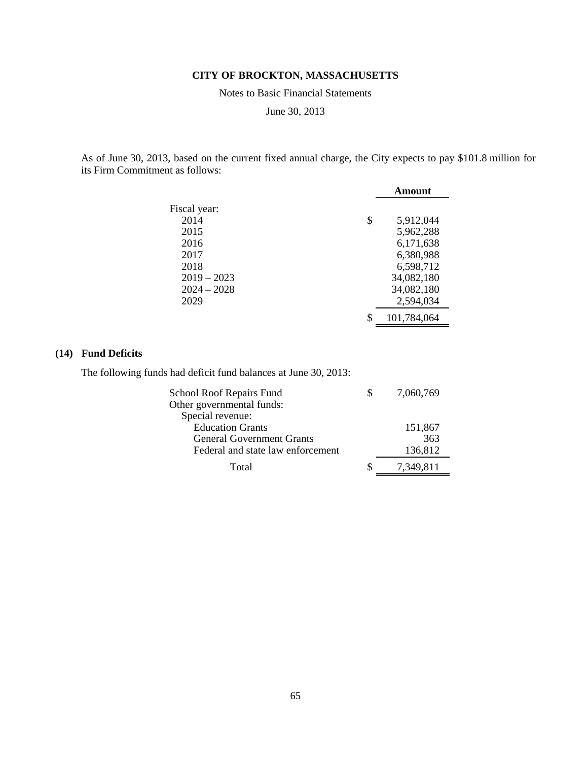Notes to Basic Financial Statements

June 30, 2013

As of June 30, 2013, based on the current fixed annual charge, the City expects to pay \$101.8 million for its Firm Commitment as follows:

|               |     | Amount      |
|---------------|-----|-------------|
| Fiscal year:  |     |             |
| 2014          | \$  | 5,912,044   |
| 2015          |     | 5,962,288   |
| 2016          |     | 6,171,638   |
| 2017          |     | 6,380,988   |
| 2018          |     | 6,598,712   |
| $2019 - 2023$ |     | 34,082,180  |
| $2024 - 2028$ |     | 34,082,180  |
| 2029          |     | 2,594,034   |
|               | \$. | 101,784,064 |

## **(14) Fund Deficits**

The following funds had deficit fund balances at June 30, 2013:

| School Roof Repairs Fund          | 7,060,769 |
|-----------------------------------|-----------|
| Other governmental funds:         |           |
| Special revenue:                  |           |
| <b>Education Grants</b>           | 151,867   |
| <b>General Government Grants</b>  | 363       |
| Federal and state law enforcement | 136,812   |
| Total                             | 7,349,811 |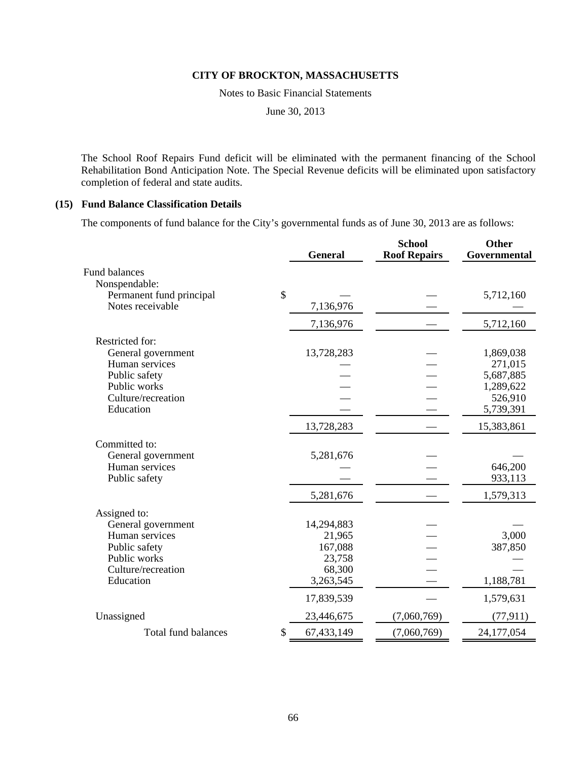Notes to Basic Financial Statements

June 30, 2013

The School Roof Repairs Fund deficit will be eliminated with the permanent financing of the School Rehabilitation Bond Anticipation Note. The Special Revenue deficits will be eliminated upon satisfactory completion of federal and state audits.

## **(15) Fund Balance Classification Details**

The components of fund balance for the City's governmental funds as of June 30, 2013 are as follows:

|                          | <b>General</b>   | <b>School</b><br><b>Roof Repairs</b> | <b>Other</b><br>Governmental |
|--------------------------|------------------|--------------------------------------|------------------------------|
| <b>Fund balances</b>     |                  |                                      |                              |
| Nonspendable:            |                  |                                      |                              |
| Permanent fund principal | \$               |                                      | 5,712,160                    |
| Notes receivable         | 7,136,976        |                                      |                              |
|                          | 7,136,976        |                                      | 5,712,160                    |
| Restricted for:          |                  |                                      |                              |
| General government       | 13,728,283       |                                      | 1,869,038                    |
| Human services           |                  |                                      | 271,015                      |
| Public safety            |                  |                                      | 5,687,885                    |
| Public works             |                  |                                      | 1,289,622                    |
| Culture/recreation       |                  |                                      | 526,910                      |
| Education                |                  |                                      | 5,739,391                    |
|                          | 13,728,283       |                                      | 15,383,861                   |
| Committed to:            |                  |                                      |                              |
| General government       | 5,281,676        |                                      |                              |
| Human services           |                  |                                      | 646,200                      |
| Public safety            |                  |                                      | 933,113                      |
|                          | 5,281,676        |                                      | 1,579,313                    |
| Assigned to:             |                  |                                      |                              |
| General government       | 14,294,883       |                                      |                              |
| Human services           | 21,965           |                                      | 3,000                        |
| Public safety            | 167,088          |                                      | 387,850                      |
| Public works             | 23,758           |                                      |                              |
| Culture/recreation       | 68,300           |                                      |                              |
| Education                | 3,263,545        |                                      | 1,188,781                    |
|                          | 17,839,539       |                                      | 1,579,631                    |
| Unassigned               | 23,446,675       | (7,060,769)                          | (77, 911)                    |
| Total fund balances      | \$<br>67,433,149 | (7,060,769)                          | 24,177,054                   |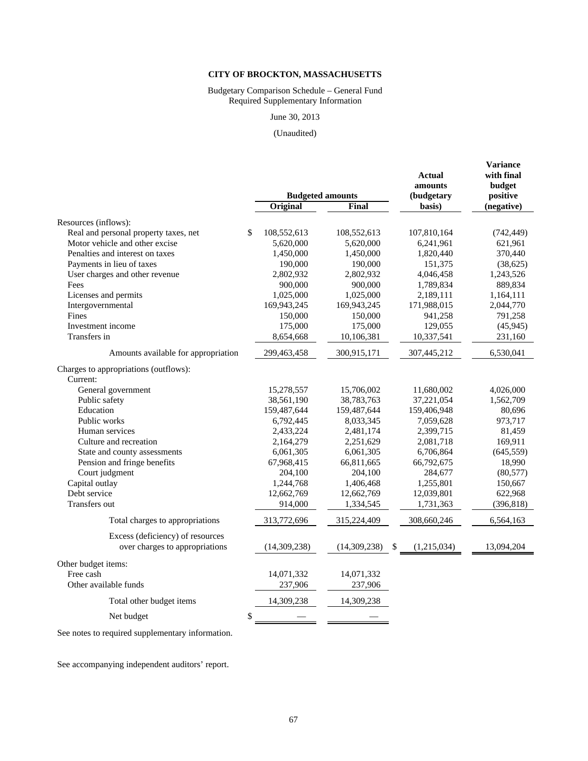#### Budgetary Comparison Schedule – General Fund Required Supplementary Information

## June 30, 2013

## (Unaudited)

|                                       |                   |                         | <b>Actual</b><br>amounts | <b>Variance</b><br>with final<br>budget |
|---------------------------------------|-------------------|-------------------------|--------------------------|-----------------------------------------|
|                                       |                   | <b>Budgeted amounts</b> | (budgetary               | positive                                |
|                                       | <b>Original</b>   | Final                   | basis)                   | (negative)                              |
| Resources (inflows):                  |                   |                         |                          |                                         |
| Real and personal property taxes, net | \$<br>108,552,613 | 108,552,613             | 107,810,164              | (742, 449)                              |
| Motor vehicle and other excise        | 5,620,000         | 5,620,000               | 6,241,961                | 621,961                                 |
| Penalties and interest on taxes       | 1,450,000         | 1,450,000               | 1,820,440                | 370,440                                 |
| Payments in lieu of taxes             | 190,000           | 190,000                 | 151,375                  | (38, 625)                               |
| User charges and other revenue        | 2,802,932         | 2,802,932               | 4,046,458                | 1,243,526                               |
| Fees                                  | 900,000           | 900,000                 | 1,789,834                | 889,834                                 |
| Licenses and permits                  | 1,025,000         | 1,025,000               | 2,189,111                | 1,164,111                               |
| Intergovernmental                     | 169,943,245       | 169,943,245             | 171,988,015              | 2,044,770                               |
| Fines                                 | 150,000           | 150,000                 | 941,258                  | 791,258                                 |
| Investment income                     | 175,000           | 175,000                 | 129,055                  | (45, 945)                               |
| Transfers in                          | 8,654,668         | 10,106,381              | 10,337,541               | 231,160                                 |
| Amounts available for appropriation   | 299,463,458       | 300,915,171             | 307,445,212              | 6,530,041                               |
| Charges to appropriations (outflows): |                   |                         |                          |                                         |
| Current:                              |                   |                         |                          |                                         |
| General government                    | 15,278,557        | 15,706,002              | 11,680,002               | 4,026,000                               |
| Public safety                         | 38,561,190        | 38,783,763              | 37,221,054               | 1,562,709                               |
| Education                             | 159,487,644       | 159,487,644             | 159,406,948              | 80,696                                  |
| Public works                          | 6,792,445         | 8,033,345               | 7,059,628                | 973,717                                 |
| Human services                        | 2,433,224         | 2,481,174               | 2,399,715                | 81,459                                  |
| Culture and recreation                | 2,164,279         | 2,251,629               | 2,081,718                | 169,911                                 |
| State and county assessments          | 6,061,305         | 6,061,305               | 6,706,864                | (645, 559)                              |
| Pension and fringe benefits           | 67,968,415        | 66,811,665              | 66,792,675               | 18,990                                  |
| Court judgment                        | 204,100           | 204,100                 | 284,677                  | (80, 577)                               |
| Capital outlay                        | 1,244,768         | 1,406,468               | 1,255,801                | 150,667                                 |
| Debt service                          | 12,662,769        | 12,662,769              | 12,039,801               | 622,968                                 |
| <b>Transfers out</b>                  | 914,000           | 1,334,545               | 1,731,363                | (396, 818)                              |
| Total charges to appropriations       | 313,772,696       | 315,224,409             | 308,660,246              | 6,564,163                               |
| Excess (deficiency) of resources      |                   |                         |                          |                                         |
| over charges to appropriations        | (14,309,238)      | (14,309,238)            | \$<br>(1,215,034)        | 13,094,204                              |
| Other budget items:                   |                   |                         |                          |                                         |
| Free cash                             | 14,071,332        | 14,071,332              |                          |                                         |
| Other available funds                 | 237,906           | 237,906                 |                          |                                         |
| Total other budget items              | 14,309,238        | 14,309,238              |                          |                                         |
| Net budget                            | \$                |                         |                          |                                         |
|                                       |                   |                         |                          |                                         |

See notes to required supplementary information.

See accompanying independent auditors' report.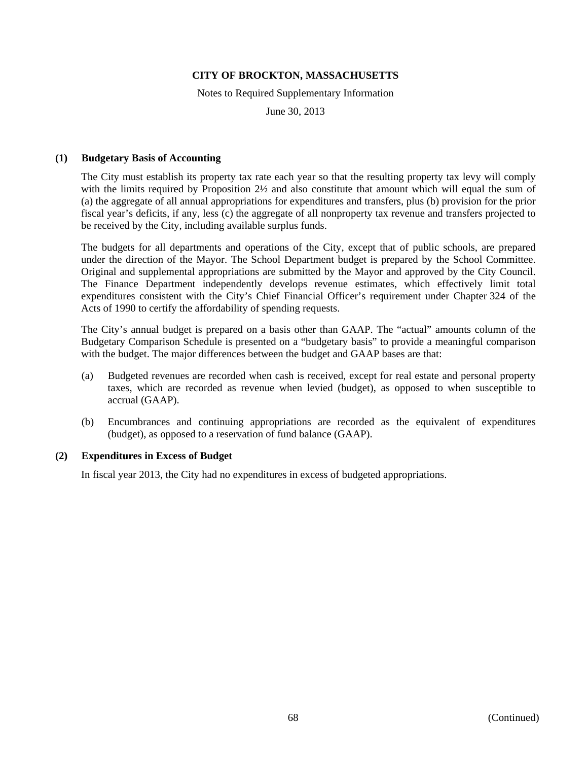Notes to Required Supplementary Information

June 30, 2013

## **(1) Budgetary Basis of Accounting**

The City must establish its property tax rate each year so that the resulting property tax levy will comply with the limits required by Proposition 2½ and also constitute that amount which will equal the sum of (a) the aggregate of all annual appropriations for expenditures and transfers, plus (b) provision for the prior fiscal year's deficits, if any, less (c) the aggregate of all nonproperty tax revenue and transfers projected to be received by the City, including available surplus funds.

The budgets for all departments and operations of the City, except that of public schools, are prepared under the direction of the Mayor. The School Department budget is prepared by the School Committee. Original and supplemental appropriations are submitted by the Mayor and approved by the City Council. The Finance Department independently develops revenue estimates, which effectively limit total expenditures consistent with the City's Chief Financial Officer's requirement under Chapter 324 of the Acts of 1990 to certify the affordability of spending requests.

The City's annual budget is prepared on a basis other than GAAP. The "actual" amounts column of the Budgetary Comparison Schedule is presented on a "budgetary basis" to provide a meaningful comparison with the budget. The major differences between the budget and GAAP bases are that:

- (a) Budgeted revenues are recorded when cash is received, except for real estate and personal property taxes, which are recorded as revenue when levied (budget), as opposed to when susceptible to accrual (GAAP).
- (b) Encumbrances and continuing appropriations are recorded as the equivalent of expenditures (budget), as opposed to a reservation of fund balance (GAAP).

## **(2) Expenditures in Excess of Budget**

In fiscal year 2013, the City had no expenditures in excess of budgeted appropriations.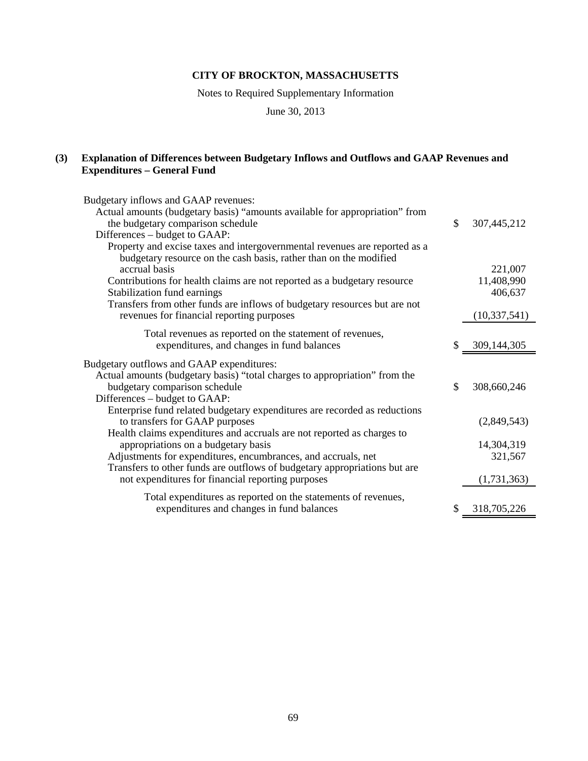Notes to Required Supplementary Information

June 30, 2013

## **(3) Explanation of Differences between Budgetary Inflows and Outflows and GAAP Revenues and Expenditures – General Fund**

| Budgetary inflows and GAAP revenues:                                                                                                            |               |                |
|-------------------------------------------------------------------------------------------------------------------------------------------------|---------------|----------------|
| Actual amounts (budgetary basis) "amounts available for appropriation" from                                                                     |               |                |
| the budgetary comparison schedule                                                                                                               | $\mathcal{S}$ | 307,445,212    |
| Differences – budget to GAAP:                                                                                                                   |               |                |
| Property and excise taxes and intergovernmental revenues are reported as a<br>budgetary resource on the cash basis, rather than on the modified |               |                |
| accrual basis                                                                                                                                   |               | 221,007        |
| Contributions for health claims are not reported as a budgetary resource                                                                        |               | 11,408,990     |
| Stabilization fund earnings                                                                                                                     |               | 406,637        |
| Transfers from other funds are inflows of budgetary resources but are not<br>revenues for financial reporting purposes                          |               | (10, 337, 541) |
| Total revenues as reported on the statement of revenues,                                                                                        |               |                |
| expenditures, and changes in fund balances                                                                                                      | \$            | 309,144,305    |
| Budgetary outflows and GAAP expenditures:                                                                                                       |               |                |
| Actual amounts (budgetary basis) "total charges to appropriation" from the                                                                      |               |                |
| budgetary comparison schedule                                                                                                                   | \$            | 308,660,246    |
| Differences – budget to GAAP:                                                                                                                   |               |                |
| Enterprise fund related budgetary expenditures are recorded as reductions                                                                       |               |                |
| to transfers for GAAP purposes                                                                                                                  |               | (2,849,543)    |
| Health claims expenditures and accruals are not reported as charges to                                                                          |               |                |
| appropriations on a budgetary basis                                                                                                             |               | 14,304,319     |
| Adjustments for expenditures, encumbrances, and accruals, net                                                                                   |               | 321,567        |
| Transfers to other funds are outflows of budgetary appropriations but are                                                                       |               |                |
| not expenditures for financial reporting purposes                                                                                               |               | (1,731,363)    |
| Total expenditures as reported on the statements of revenues,                                                                                   |               |                |
| expenditures and changes in fund balances                                                                                                       | \$            | 318,705,226    |
|                                                                                                                                                 |               |                |